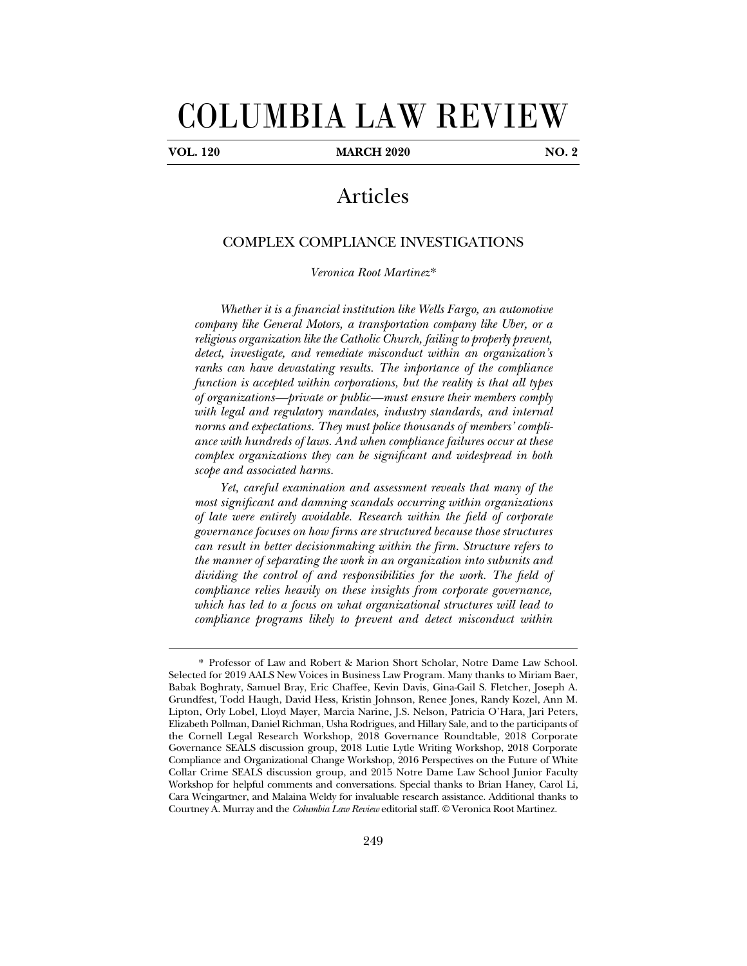# COLUMBIA LAW REVIEW

j

**VOL. 120 MARCH 2020 NO. 2** 

## Articles

### COMPLEX COMPLIANCE INVESTIGATIONS

*Veronica Root Martinez*\*

*Whether it is a financial institution like Wells Fargo, an automotive company like General Motors, a transportation company like Uber, or a religious organization like the Catholic Church, failing to properly prevent, detect, investigate, and remediate misconduct within an organization's ranks can have devastating results. The importance of the compliance function is accepted within corporations, but the reality is that all types of organizations—private or public—must ensure their members comply with legal and regulatory mandates, industry standards, and internal norms and expectations. They must police thousands of members' compliance with hundreds of laws. And when compliance failures occur at these complex organizations they can be significant and widespread in both scope and associated harms.* 

*Yet, careful examination and assessment reveals that many of the most significant and damning scandals occurring within organizations of late were entirely avoidable. Research within the field of corporate governance focuses on how firms are structured because those structures can result in better decisionmaking within the firm. Structure refers to the manner of separating the work in an organization into subunits and dividing the control of and responsibilities for the work. The field of compliance relies heavily on these insights from corporate governance, which has led to a focus on what organizational structures will lead to compliance programs likely to prevent and detect misconduct within* 

 <sup>\*</sup> Professor of Law and Robert & Marion Short Scholar, Notre Dame Law School. Selected for 2019 AALS New Voices in Business Law Program. Many thanks to Miriam Baer, Babak Boghraty, Samuel Bray, Eric Chaffee, Kevin Davis, Gina-Gail S. Fletcher, Joseph A. Grundfest, Todd Haugh, David Hess, Kristin Johnson, Renee Jones, Randy Kozel, Ann M. Lipton, Orly Lobel, Lloyd Mayer, Marcia Narine, J.S. Nelson, Patricia O'Hara, Jari Peters, Elizabeth Pollman, Daniel Richman, Usha Rodrigues, and Hillary Sale, and to the participants of the Cornell Legal Research Workshop, 2018 Governance Roundtable, 2018 Corporate Governance SEALS discussion group, 2018 Lutie Lytle Writing Workshop, 2018 Corporate Compliance and Organizational Change Workshop, 2016 Perspectives on the Future of White Collar Crime SEALS discussion group, and 2015 Notre Dame Law School Junior Faculty Workshop for helpful comments and conversations. Special thanks to Brian Haney, Carol Li, Cara Weingartner, and Malaina Weldy for invaluable research assistance. Additional thanks to Courtney A. Murray and the *Columbia Law Review* editorial staff. © Veronica Root Martinez.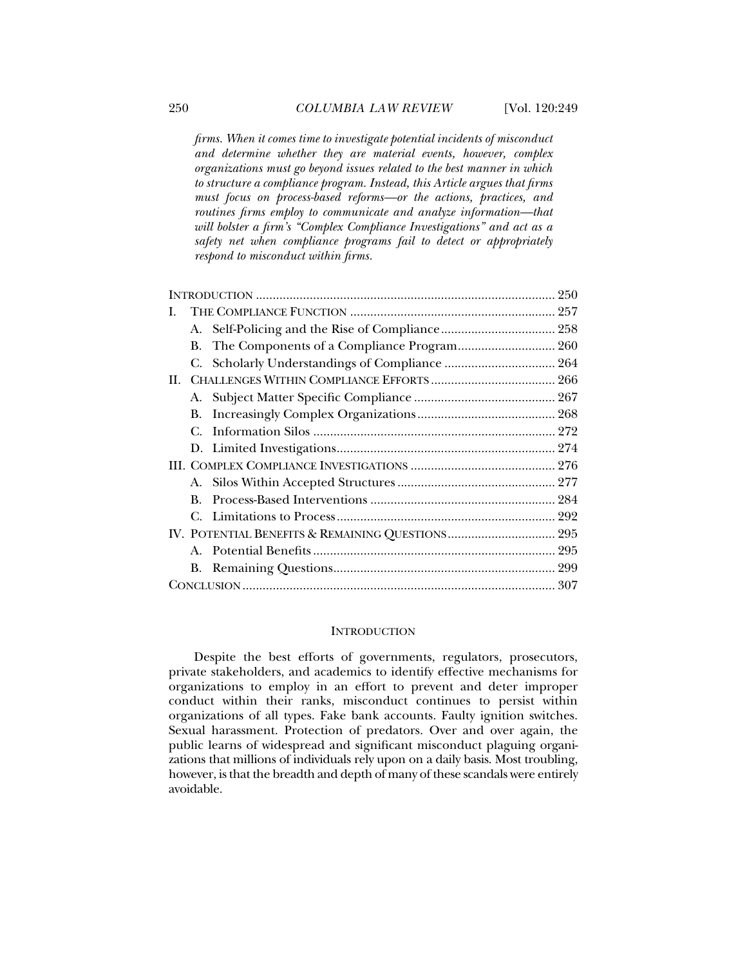*firms. When it comes time to investigate potential incidents of misconduct and determine whether they are material events, however, complex organizations must go beyond issues related to the best manner in which to structure a compliance program. Instead, this Article argues that firms must focus on process-based reforms—or the actions, practices, and routines firms employ to communicate and analyze information—that will bolster a firm's "Complex Compliance Investigations" and act as a safety net when compliance programs fail to detect or appropriately respond to misconduct within firms.* 

| L.  |    |  |  |
|-----|----|--|--|
|     |    |  |  |
|     | В. |  |  |
|     |    |  |  |
| II. |    |  |  |
|     |    |  |  |
|     | В. |  |  |
|     | С. |  |  |
|     |    |  |  |
|     |    |  |  |
|     |    |  |  |
|     | B. |  |  |
|     |    |  |  |
|     |    |  |  |
|     |    |  |  |
|     | В. |  |  |
|     |    |  |  |

#### **INTRODUCTION**

Despite the best efforts of governments, regulators, prosecutors, private stakeholders, and academics to identify effective mechanisms for organizations to employ in an effort to prevent and deter improper conduct within their ranks, misconduct continues to persist within organizations of all types. Fake bank accounts. Faulty ignition switches. Sexual harassment. Protection of predators. Over and over again, the public learns of widespread and significant misconduct plaguing organizations that millions of individuals rely upon on a daily basis. Most troubling, however, is that the breadth and depth of many of these scandals were entirely avoidable.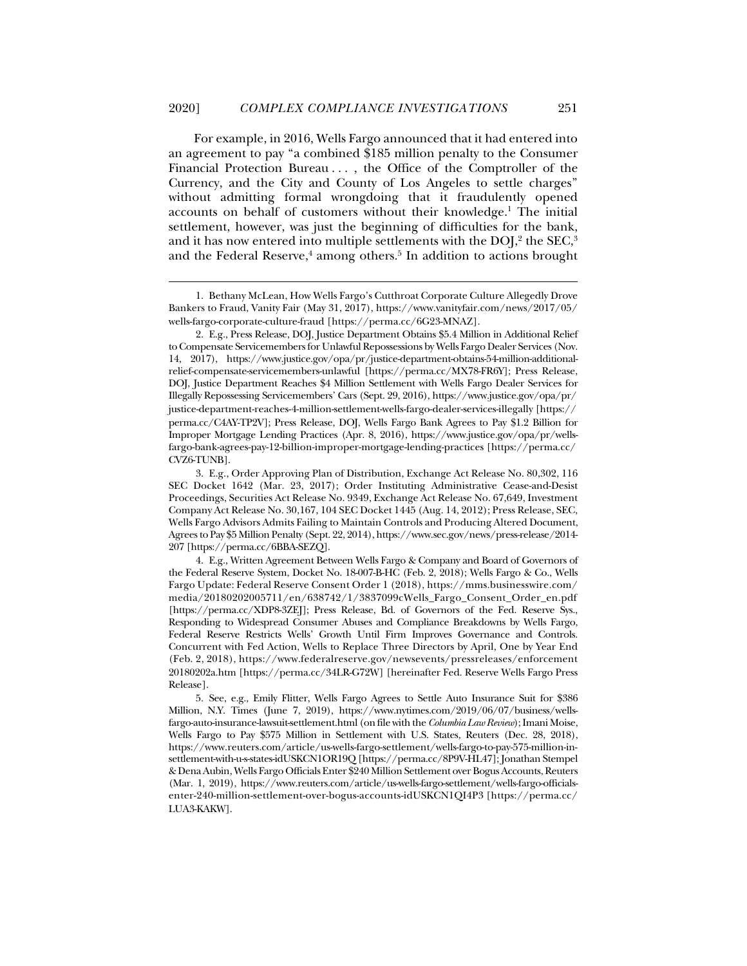j

For example, in 2016, Wells Fargo announced that it had entered into an agreement to pay "a combined \$185 million penalty to the Consumer Financial Protection Bureau . . . , the Office of the Comptroller of the Currency, and the City and County of Los Angeles to settle charges" without admitting formal wrongdoing that it fraudulently opened accounts on behalf of customers without their knowledge.<sup>1</sup> The initial settlement, however, was just the beginning of difficulties for the bank, and it has now entered into multiple settlements with the DOJ, $^2$  the SEC, $^3$ and the Federal Reserve,<sup>4</sup> among others.<sup>5</sup> In addition to actions brought

 <sup>1.</sup> Bethany McLean, How Wells Fargo's Cutthroat Corporate Culture Allegedly Drove Bankers to Fraud, Vanity Fair (May 31, 2017), https://www.vanityfair.com/news/2017/05/ wells-fargo-corporate-culture-fraud [https://perma.cc/6G23-MNAZ].

 <sup>2.</sup> E.g., Press Release, DOJ, Justice Department Obtains \$5.4 Million in Additional Relief to Compensate Servicemembers for Unlawful Repossessions by Wells Fargo Dealer Services (Nov. 14, 2017), https://www.justice.gov/opa/pr/justice-department-obtains-54-million-additionalrelief-compensate-servicemembers-unlawful [https://perma.cc/MX78-FR6Y]; Press Release, DOJ, Justice Department Reaches \$4 Million Settlement with Wells Fargo Dealer Services for Illegally Repossessing Servicemembers' Cars (Sept. 29, 2016), https://www.justice.gov/opa/pr/ justice-department-reaches-4-million-settlement-wells-fargo-dealer-services-illegally [https:// perma.cc/C4AY-TP2V]; Press Release, DOJ, Wells Fargo Bank Agrees to Pay \$1.2 Billion for Improper Mortgage Lending Practices (Apr. 8, 2016), https://www.justice.gov/opa/pr/wellsfargo-bank-agrees-pay-12-billion-improper-mortgage-lending-practices [https://perma.cc/ CVZ6-TUNB].

 <sup>3.</sup> E.g., Order Approving Plan of Distribution, Exchange Act Release No. 80,302, 116 SEC Docket 1642 (Mar. 23, 2017); Order Instituting Administrative Cease-and-Desist Proceedings, Securities Act Release No. 9349, Exchange Act Release No. 67,649, Investment Company Act Release No. 30,167, 104 SEC Docket 1445 (Aug. 14, 2012); Press Release, SEC, Wells Fargo Advisors Admits Failing to Maintain Controls and Producing Altered Document, Agrees to Pay \$5 Million Penalty (Sept. 22, 2014), https://www.sec.gov/news/press-release/2014- 207 [https://perma.cc/6BBA-SEZQ].

 <sup>4.</sup> E.g., Written Agreement Between Wells Fargo & Company and Board of Governors of the Federal Reserve System, Docket No. 18-007-B-HC (Feb. 2, 2018); Wells Fargo & Co., Wells Fargo Update: Federal Reserve Consent Order 1 (2018), https://mms.businesswire.com/ media/20180202005711/en/638742/1/3837099cWells\_Fargo\_Consent\_Order\_en.pdf [https://perma.cc/XDP8-3ZEJ]; Press Release, Bd. of Governors of the Fed. Reserve Sys., Responding to Widespread Consumer Abuses and Compliance Breakdowns by Wells Fargo, Federal Reserve Restricts Wells' Growth Until Firm Improves Governance and Controls. Concurrent with Fed Action, Wells to Replace Three Directors by April, One by Year End (Feb. 2, 2018), https://www.federalreserve.gov/newsevents/pressreleases/enforcement 20180202a.htm [https://perma.cc/34LR-G72W] [hereinafter Fed. Reserve Wells Fargo Press Release].

 <sup>5.</sup> See, e.g., Emily Flitter, Wells Fargo Agrees to Settle Auto Insurance Suit for \$386 Million, N.Y. Times (June 7, 2019), https://www.nytimes.com/2019/06/07/business/wellsfargo-auto-insurance-lawsuit-settlement.html (on file with the *Columbia Law Review*); Imani Moise, Wells Fargo to Pay \$575 Million in Settlement with U.S. States, Reuters (Dec. 28, 2018), https://www.reuters.com/article/us-wells-fargo-settlement/wells-fargo-to-pay-575-million-insettlement-with-u-s-states-idUSKCN1OR19Q [https://perma.cc/8P9V-HL47]; Jonathan Stempel & Dena Aubin, Wells Fargo Officials Enter \$240 Million Settlement over Bogus Accounts, Reuters (Mar. 1, 2019), https://www.reuters.com/article/us-wells-fargo-settlement/wells-fargo-officialsenter-240-million-settlement-over-bogus-accounts-idUSKCN1QI4P3 [https://perma.cc/ LUA3-KAKW].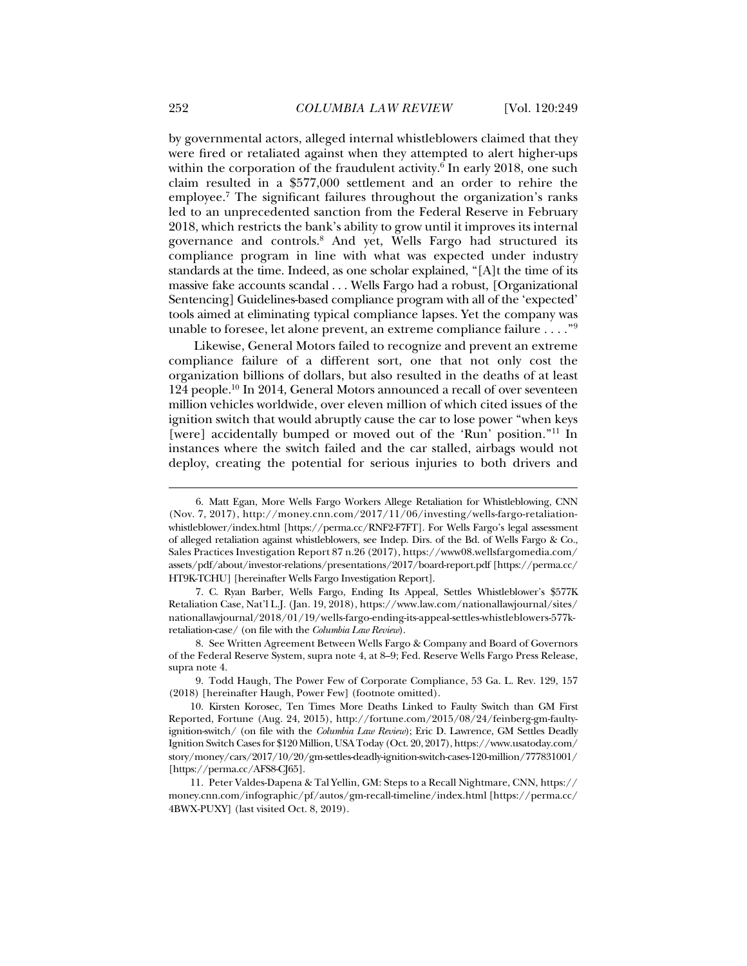by governmental actors, alleged internal whistleblowers claimed that they were fired or retaliated against when they attempted to alert higher-ups within the corporation of the fraudulent activity.6 In early 2018, one such claim resulted in a \$577,000 settlement and an order to rehire the employee.7 The significant failures throughout the organization's ranks led to an unprecedented sanction from the Federal Reserve in February 2018, which restricts the bank's ability to grow until it improves its internal governance and controls.8 And yet, Wells Fargo had structured its compliance program in line with what was expected under industry standards at the time. Indeed, as one scholar explained, "[A]t the time of its massive fake accounts scandal . . . Wells Fargo had a robust, [Organizational Sentencing] Guidelines-based compliance program with all of the 'expected' tools aimed at eliminating typical compliance lapses. Yet the company was unable to foresee, let alone prevent, an extreme compliance failure . . . ."9

Likewise, General Motors failed to recognize and prevent an extreme compliance failure of a different sort, one that not only cost the organization billions of dollars, but also resulted in the deaths of at least 124 people.<sup>10</sup> In 2014, General Motors announced a recall of over seventeen million vehicles worldwide, over eleven million of which cited issues of the ignition switch that would abruptly cause the car to lose power "when keys [were] accidentally bumped or moved out of the 'Run' position."<sup>11</sup> In instances where the switch failed and the car stalled, airbags would not deploy, creating the potential for serious injuries to both drivers and

 9. Todd Haugh, The Power Few of Corporate Compliance, 53 Ga. L. Rev. 129, 157 (2018) [hereinafter Haugh, Power Few] (footnote omitted).

 <sup>6.</sup> Matt Egan, More Wells Fargo Workers Allege Retaliation for Whistleblowing, CNN (Nov. 7, 2017), http://money.cnn.com/2017/11/06/investing/wells-fargo-retaliationwhistleblower/index.html [https://perma.cc/RNF2-F7FT]. For Wells Fargo's legal assessment of alleged retaliation against whistleblowers, see Indep. Dirs. of the Bd. of Wells Fargo & Co., Sales Practices Investigation Report 87 n.26 (2017), https://www08.wellsfargomedia.com/ assets/pdf/about/investor-relations/presentations/2017/board-report.pdf [https://perma.cc/ HT9K-TCHU] [hereinafter Wells Fargo Investigation Report].

 <sup>7.</sup> C. Ryan Barber, Wells Fargo, Ending Its Appeal, Settles Whistleblower's \$577K Retaliation Case, Nat'l L.J. (Jan. 19, 2018), https://www.law.com/nationallawjournal/sites/ nationallawjournal/2018/01/19/wells-fargo-ending-its-appeal-settles-whistleblowers-577kretaliation-case/ (on file with the *Columbia Law Review*).

 <sup>8.</sup> See Written Agreement Between Wells Fargo & Company and Board of Governors of the Federal Reserve System, supra note 4, at 8–9; Fed. Reserve Wells Fargo Press Release, supra note 4.

 <sup>10.</sup> Kirsten Korosec, Ten Times More Deaths Linked to Faulty Switch than GM First Reported, Fortune (Aug. 24, 2015), http://fortune.com/2015/08/24/feinberg-gm-faultyignition-switch/ (on file with the *Columbia Law Review*); Eric D. Lawrence, GM Settles Deadly Ignition Switch Cases for \$120 Million, USA Today (Oct. 20, 2017), https://www.usatoday.com/ story/money/cars/2017/10/20/gm-settles-deadly-ignition-switch-cases-120-million/777831001/ [https://perma.cc/AFS8-CJ65].

 <sup>11.</sup> Peter Valdes-Dapena & Tal Yellin, GM: Steps to a Recall Nightmare, CNN, https:// money.cnn.com/infographic/pf/autos/gm-recall-timeline/index.html [https://perma.cc/ 4BWX-PUXY] (last visited Oct. 8, 2019).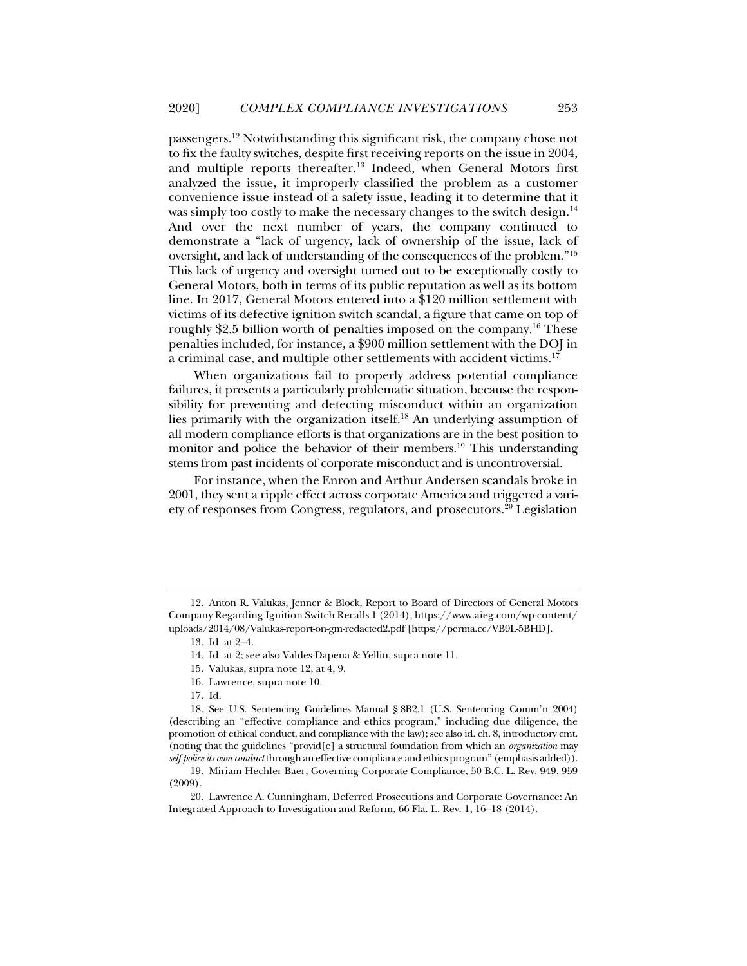passengers.12 Notwithstanding this significant risk, the company chose not to fix the faulty switches, despite first receiving reports on the issue in 2004, and multiple reports thereafter.<sup>13</sup> Indeed, when General Motors first analyzed the issue, it improperly classified the problem as a customer convenience issue instead of a safety issue, leading it to determine that it was simply too costly to make the necessary changes to the switch design.<sup>14</sup> And over the next number of years, the company continued to demonstrate a "lack of urgency, lack of ownership of the issue, lack of oversight, and lack of understanding of the consequences of the problem."15 This lack of urgency and oversight turned out to be exceptionally costly to General Motors, both in terms of its public reputation as well as its bottom line. In 2017, General Motors entered into a \$120 million settlement with victims of its defective ignition switch scandal, a figure that came on top of roughly \$2.5 billion worth of penalties imposed on the company.16 These penalties included, for instance, a \$900 million settlement with the DOJ in a criminal case, and multiple other settlements with accident victims.17

When organizations fail to properly address potential compliance failures, it presents a particularly problematic situation, because the responsibility for preventing and detecting misconduct within an organization lies primarily with the organization itself.18 An underlying assumption of all modern compliance efforts is that organizations are in the best position to monitor and police the behavior of their members.<sup>19</sup> This understanding stems from past incidents of corporate misconduct and is uncontroversial.

For instance, when the Enron and Arthur Andersen scandals broke in 2001, they sent a ripple effect across corporate America and triggered a variety of responses from Congress, regulators, and prosecutors.20 Legislation

- 16. Lawrence, supra note 10.
- 17. Id.

 <sup>12.</sup> Anton R. Valukas, Jenner & Block, Report to Board of Directors of General Motors Company Regarding Ignition Switch Recalls 1 (2014), https://www.aieg.com/wp-content/ uploads/2014/08/Valukas-report-on-gm-redacted2.pdf [https://perma.cc/VB9L-5BHD].

 <sup>13.</sup> Id. at 2–4*.* 

 <sup>14.</sup> Id. at 2; see also Valdes-Dapena & Yellin, supra note 11.

 <sup>15.</sup> Valukas, supra note 12, at 4, 9.

 <sup>18.</sup> See U.S. Sentencing Guidelines Manual § 8B2.1 (U.S. Sentencing Comm'n 2004) (describing an "effective compliance and ethics program," including due diligence, the promotion of ethical conduct, and compliance with the law); see also id. ch. 8, introductory cmt. (noting that the guidelines "provid[e] a structural foundation from which an *organization* may *self-police its own conduct* through an effective compliance and ethics program" (emphasis added)).

 <sup>19.</sup> Miriam Hechler Baer, Governing Corporate Compliance, 50 B.C. L. Rev. 949, 959 (2009).

 <sup>20.</sup> Lawrence A. Cunningham, Deferred Prosecutions and Corporate Governance: An Integrated Approach to Investigation and Reform, 66 Fla. L. Rev. 1, 16–18 (2014).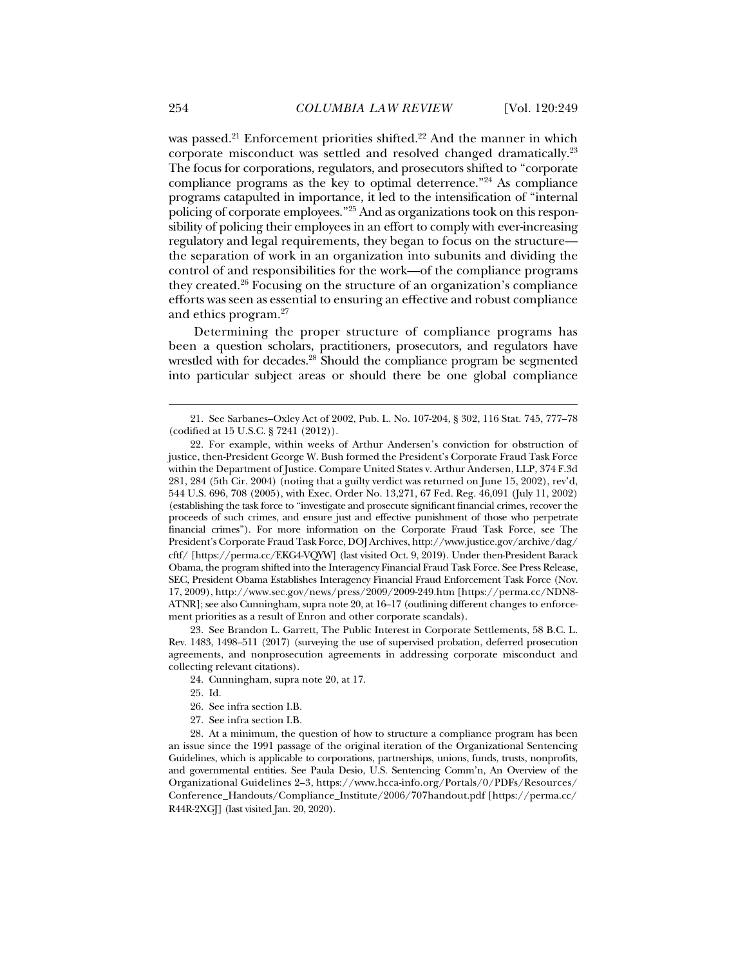was passed.<sup>21</sup> Enforcement priorities shifted.<sup>22</sup> And the manner in which corporate misconduct was settled and resolved changed dramatically.23 The focus for corporations, regulators, and prosecutors shifted to "corporate compliance programs as the key to optimal deterrence."24 As compliance programs catapulted in importance, it led to the intensification of "internal policing of corporate employees."25 And as organizations took on this responsibility of policing their employees in an effort to comply with ever-increasing regulatory and legal requirements, they began to focus on the structure the separation of work in an organization into subunits and dividing the control of and responsibilities for the work—of the compliance programs they created.26 Focusing on the structure of an organization's compliance efforts was seen as essential to ensuring an effective and robust compliance and ethics program.27

Determining the proper structure of compliance programs has been a question scholars, practitioners, prosecutors, and regulators have wrestled with for decades.<sup>28</sup> Should the compliance program be segmented into particular subject areas or should there be one global compliance

 23. See Brandon L. Garrett, The Public Interest in Corporate Settlements, 58 B.C. L. Rev. 1483, 1498–511 (2017) (surveying the use of supervised probation, deferred prosecution agreements, and nonprosecution agreements in addressing corporate misconduct and collecting relevant citations).

24. Cunningham, supra note 20, at 17.

- 26. See infra section I.B.
- 27. See infra section I.B.

 28. At a minimum, the question of how to structure a compliance program has been an issue since the 1991 passage of the original iteration of the Organizational Sentencing Guidelines, which is applicable to corporations, partnerships, unions, funds, trusts, nonprofits, and governmental entities. See Paula Desio, U.S. Sentencing Comm'n, An Overview of the Organizational Guidelines 2–3, https://www.hcca-info.org/Portals/0/PDFs/Resources/ Conference\_Handouts/Compliance\_Institute/2006/707handout.pdf [https://perma.cc/ R44R-2XGJ] (last visited Jan. 20, 2020).

 <sup>21.</sup> See Sarbanes–Oxley Act of 2002, Pub. L. No. 107-204, § 302, 116 Stat. 745, 777–78 (codified at 15 U.S.C. § 7241 (2012)).

 <sup>22.</sup> For example, within weeks of Arthur Andersen's conviction for obstruction of justice, then-President George W. Bush formed the President's Corporate Fraud Task Force within the Department of Justice. Compare United States v. Arthur Andersen, LLP, 374 F.3d 281, 284 (5th Cir. 2004) (noting that a guilty verdict was returned on June 15, 2002), rev'd, 544 U.S. 696, 708 (2005), with Exec. Order No. 13,271, 67 Fed. Reg. 46,091 (July 11, 2002) (establishing the task force to "investigate and prosecute significant financial crimes, recover the proceeds of such crimes, and ensure just and effective punishment of those who perpetrate financial crimes"). For more information on the Corporate Fraud Task Force, see The President's Corporate Fraud Task Force, DOJ Archives, http://www.justice.gov/archive/dag/ cftf/ [https://perma.cc/EKG4-VQYW] (last visited Oct. 9, 2019). Under then-President Barack Obama, the program shifted into the Interagency Financial Fraud Task Force. See Press Release, SEC, President Obama Establishes Interagency Financial Fraud Enforcement Task Force (Nov. 17, 2009), http://www.sec.gov/news/press/2009/2009-249.htm [https://perma.cc/NDN8- ATNR]; see also Cunningham, supra note 20, at 16–17 (outlining different changes to enforcement priorities as a result of Enron and other corporate scandals).

 <sup>25.</sup> Id.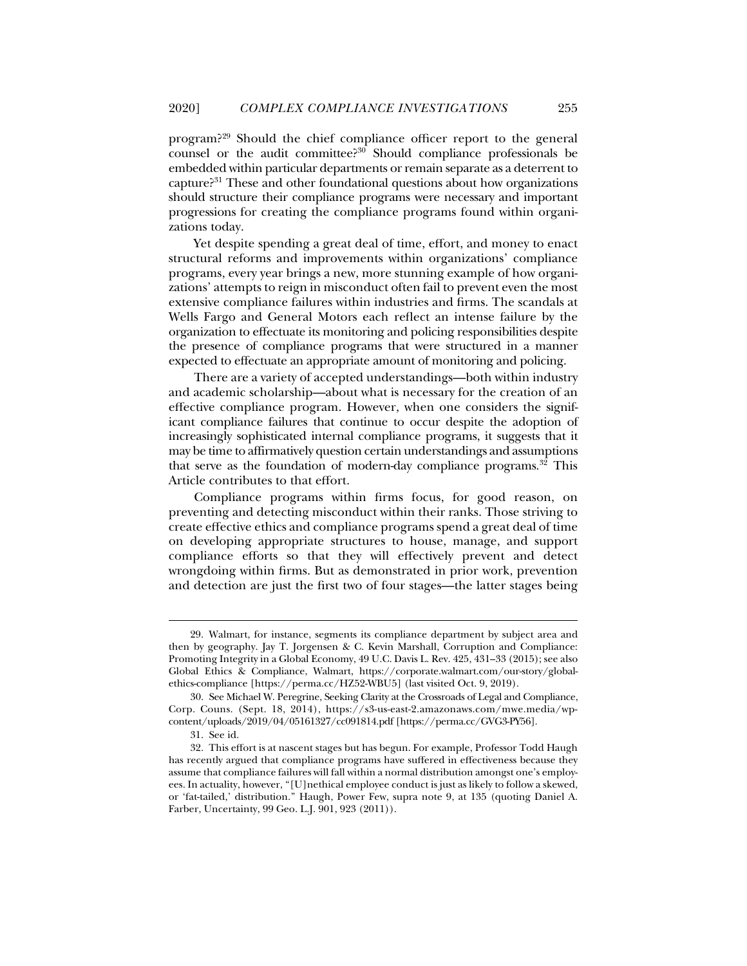program?29 Should the chief compliance officer report to the general counsel or the audit committee?<sup>30</sup> Should compliance professionals be embedded within particular departments or remain separate as a deterrent to capture?31 These and other foundational questions about how organizations should structure their compliance programs were necessary and important progressions for creating the compliance programs found within organizations today.

Yet despite spending a great deal of time, effort, and money to enact structural reforms and improvements within organizations' compliance programs, every year brings a new, more stunning example of how organizations' attempts to reign in misconduct often fail to prevent even the most extensive compliance failures within industries and firms. The scandals at Wells Fargo and General Motors each reflect an intense failure by the organization to effectuate its monitoring and policing responsibilities despite the presence of compliance programs that were structured in a manner expected to effectuate an appropriate amount of monitoring and policing.

There are a variety of accepted understandings—both within industry and academic scholarship—about what is necessary for the creation of an effective compliance program. However, when one considers the significant compliance failures that continue to occur despite the adoption of increasingly sophisticated internal compliance programs, it suggests that it may be time to affirmatively question certain understandings and assumptions that serve as the foundation of modern-day compliance programs.32 This Article contributes to that effort.

Compliance programs within firms focus, for good reason, on preventing and detecting misconduct within their ranks. Those striving to create effective ethics and compliance programs spend a great deal of time on developing appropriate structures to house, manage, and support compliance efforts so that they will effectively prevent and detect wrongdoing within firms. But as demonstrated in prior work, prevention and detection are just the first two of four stages—the latter stages being

 <sup>29.</sup> Walmart, for instance, segments its compliance department by subject area and then by geography. Jay T. Jorgensen & C. Kevin Marshall, Corruption and Compliance: Promoting Integrity in a Global Economy, 49 U.C. Davis L. Rev. 425, 431–33 (2015); see also Global Ethics & Compliance, Walmart, https://corporate.walmart.com/our-story/globalethics-compliance [https://perma.cc/HZ52-WBU5] (last visited Oct. 9, 2019).

 <sup>30.</sup> See Michael W. Peregrine, Seeking Clarity at the Crossroads of Legal and Compliance, Corp. Couns. (Sept. 18, 2014), https://s3-us-east-2.amazonaws.com/mwe.media/wpcontent/uploads/2019/04/05161327/cc091814.pdf [https://perma.cc/GVG3-PY56].

 <sup>31.</sup> See id.

 <sup>32.</sup> This effort is at nascent stages but has begun. For example, Professor Todd Haugh has recently argued that compliance programs have suffered in effectiveness because they assume that compliance failures will fall within a normal distribution amongst one's employees. In actuality, however, "[U]nethical employee conduct is just as likely to follow a skewed, or 'fat-tailed,' distribution." Haugh, Power Few, supra note 9, at 135 (quoting Daniel A. Farber, Uncertainty, 99 Geo. L.J. 901, 923 (2011)).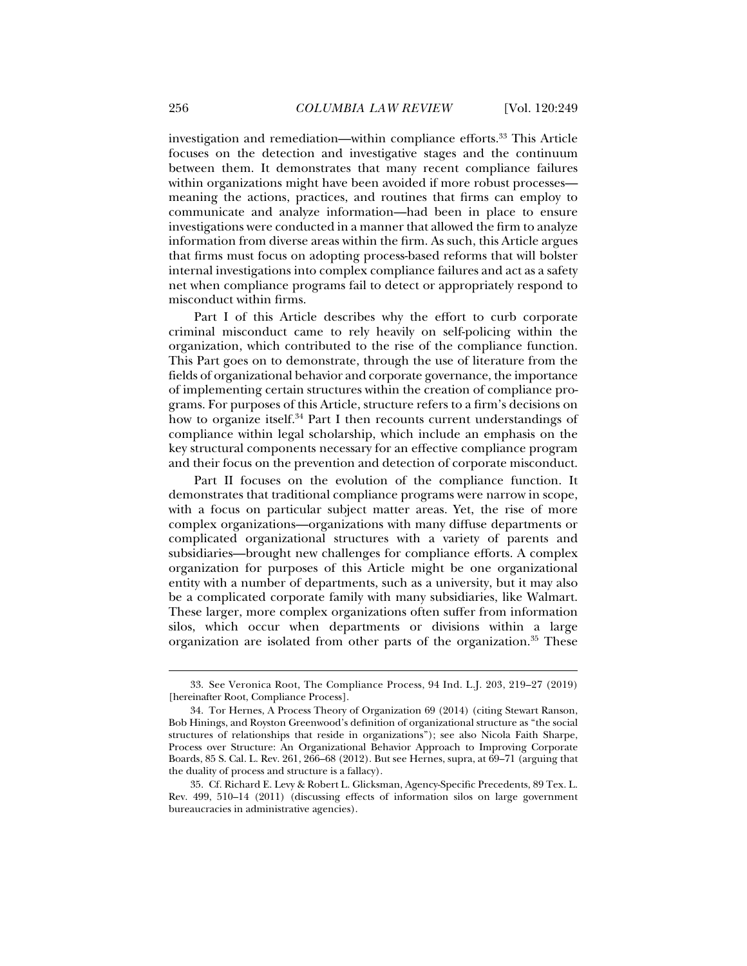investigation and remediation—within compliance efforts.<sup>33</sup> This Article focuses on the detection and investigative stages and the continuum between them. It demonstrates that many recent compliance failures within organizations might have been avoided if more robust processes meaning the actions, practices, and routines that firms can employ to communicate and analyze information—had been in place to ensure investigations were conducted in a manner that allowed the firm to analyze information from diverse areas within the firm. As such, this Article argues that firms must focus on adopting process-based reforms that will bolster internal investigations into complex compliance failures and act as a safety net when compliance programs fail to detect or appropriately respond to misconduct within firms.

Part I of this Article describes why the effort to curb corporate criminal misconduct came to rely heavily on self-policing within the organization, which contributed to the rise of the compliance function. This Part goes on to demonstrate, through the use of literature from the fields of organizational behavior and corporate governance, the importance of implementing certain structures within the creation of compliance programs. For purposes of this Article, structure refers to a firm's decisions on how to organize itself.<sup>34</sup> Part I then recounts current understandings of compliance within legal scholarship, which include an emphasis on the key structural components necessary for an effective compliance program and their focus on the prevention and detection of corporate misconduct.

Part II focuses on the evolution of the compliance function. It demonstrates that traditional compliance programs were narrow in scope, with a focus on particular subject matter areas. Yet, the rise of more complex organizations—organizations with many diffuse departments or complicated organizational structures with a variety of parents and subsidiaries—brought new challenges for compliance efforts. A complex organization for purposes of this Article might be one organizational entity with a number of departments, such as a university, but it may also be a complicated corporate family with many subsidiaries, like Walmart. These larger, more complex organizations often suffer from information silos, which occur when departments or divisions within a large organization are isolated from other parts of the organization.35 These

 <sup>33.</sup> See Veronica Root, The Compliance Process, 94 Ind. L.J. 203, 219–27 (2019) [hereinafter Root, Compliance Process].

 <sup>34.</sup> Tor Hernes, A Process Theory of Organization 69 (2014) (citing Stewart Ranson, Bob Hinings, and Royston Greenwood's definition of organizational structure as "the social structures of relationships that reside in organizations"); see also Nicola Faith Sharpe, Process over Structure: An Organizational Behavior Approach to Improving Corporate Boards, 85 S. Cal. L. Rev. 261, 266–68 (2012). But see Hernes, supra, at 69–71 (arguing that the duality of process and structure is a fallacy).

 <sup>35.</sup> Cf. Richard E. Levy & Robert L. Glicksman, Agency-Specific Precedents, 89 Tex. L. Rev. 499, 510–14 (2011) (discussing effects of information silos on large government bureaucracies in administrative agencies).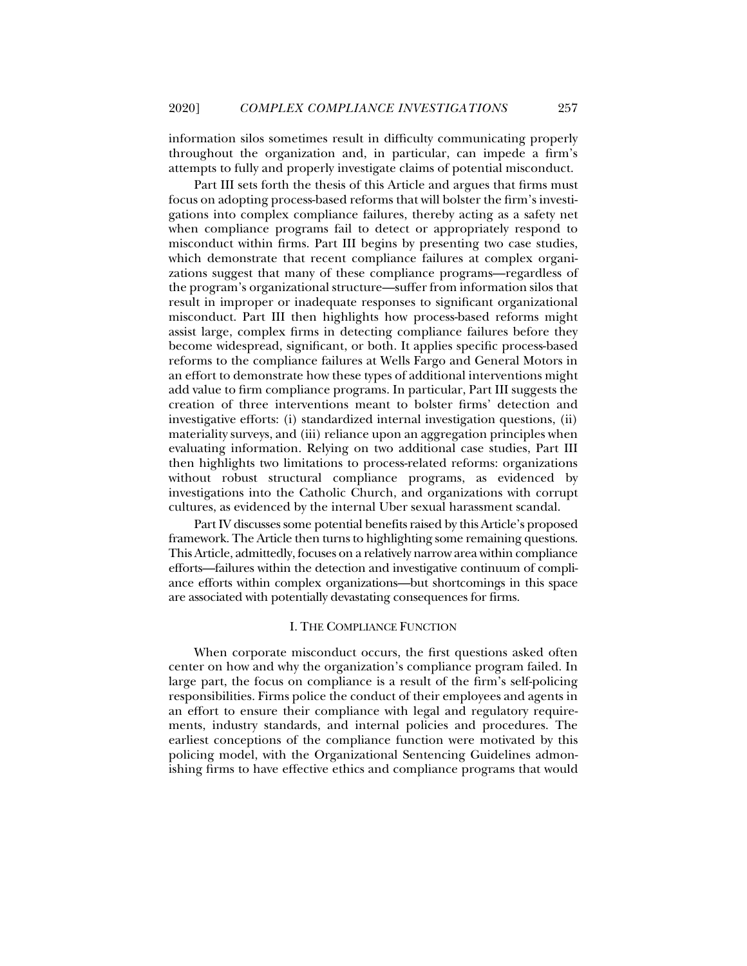information silos sometimes result in difficulty communicating properly throughout the organization and, in particular, can impede a firm's attempts to fully and properly investigate claims of potential misconduct.

Part III sets forth the thesis of this Article and argues that firms must focus on adopting process-based reforms that will bolster the firm's investigations into complex compliance failures, thereby acting as a safety net when compliance programs fail to detect or appropriately respond to misconduct within firms. Part III begins by presenting two case studies, which demonstrate that recent compliance failures at complex organizations suggest that many of these compliance programs—regardless of the program's organizational structure—suffer from information silos that result in improper or inadequate responses to significant organizational misconduct. Part III then highlights how process-based reforms might assist large, complex firms in detecting compliance failures before they become widespread, significant, or both. It applies specific process-based reforms to the compliance failures at Wells Fargo and General Motors in an effort to demonstrate how these types of additional interventions might add value to firm compliance programs. In particular, Part III suggests the creation of three interventions meant to bolster firms' detection and investigative efforts: (i) standardized internal investigation questions, (ii) materiality surveys, and (iii) reliance upon an aggregation principles when evaluating information. Relying on two additional case studies, Part III then highlights two limitations to process-related reforms: organizations without robust structural compliance programs, as evidenced by investigations into the Catholic Church, and organizations with corrupt cultures, as evidenced by the internal Uber sexual harassment scandal.

Part IV discusses some potential benefits raised by this Article's proposed framework. The Article then turns to highlighting some remaining questions. This Article, admittedly, focuses on a relatively narrow area within compliance efforts—failures within the detection and investigative continuum of compliance efforts within complex organizations—but shortcomings in this space are associated with potentially devastating consequences for firms.

#### I. THE COMPLIANCE FUNCTION

When corporate misconduct occurs, the first questions asked often center on how and why the organization's compliance program failed. In large part, the focus on compliance is a result of the firm's self-policing responsibilities. Firms police the conduct of their employees and agents in an effort to ensure their compliance with legal and regulatory requirements, industry standards, and internal policies and procedures. The earliest conceptions of the compliance function were motivated by this policing model, with the Organizational Sentencing Guidelines admonishing firms to have effective ethics and compliance programs that would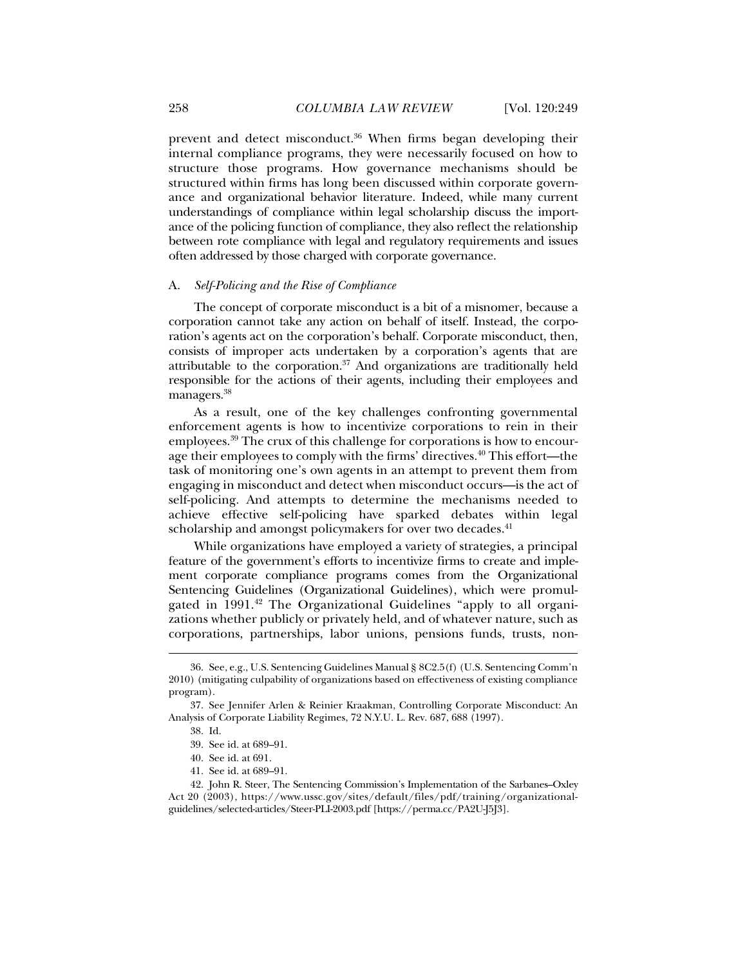prevent and detect misconduct.36 When firms began developing their internal compliance programs, they were necessarily focused on how to structure those programs. How governance mechanisms should be structured within firms has long been discussed within corporate governance and organizational behavior literature. Indeed, while many current understandings of compliance within legal scholarship discuss the importance of the policing function of compliance, they also reflect the relationship between rote compliance with legal and regulatory requirements and issues often addressed by those charged with corporate governance.

#### A. *Self-Policing and the Rise of Compliance*

The concept of corporate misconduct is a bit of a misnomer, because a corporation cannot take any action on behalf of itself. Instead, the corporation's agents act on the corporation's behalf. Corporate misconduct, then, consists of improper acts undertaken by a corporation's agents that are attributable to the corporation.37 And organizations are traditionally held responsible for the actions of their agents, including their employees and managers.<sup>38</sup>

As a result, one of the key challenges confronting governmental enforcement agents is how to incentivize corporations to rein in their employees.39 The crux of this challenge for corporations is how to encourage their employees to comply with the firms' directives.40 This effort—the task of monitoring one's own agents in an attempt to prevent them from engaging in misconduct and detect when misconduct occurs—is the act of self-policing. And attempts to determine the mechanisms needed to achieve effective self-policing have sparked debates within legal scholarship and amongst policymakers for over two decades.<sup>41</sup>

While organizations have employed a variety of strategies, a principal feature of the government's efforts to incentivize firms to create and implement corporate compliance programs comes from the Organizational Sentencing Guidelines (Organizational Guidelines), which were promulgated in 1991.<sup>42</sup> The Organizational Guidelines "apply to all organizations whether publicly or privately held, and of whatever nature, such as corporations, partnerships, labor unions, pensions funds, trusts, non-

 <sup>36.</sup> See, e.g., U.S. Sentencing Guidelines Manual § 8C2.5(f) (U.S. Sentencing Comm'n 2010) (mitigating culpability of organizations based on effectiveness of existing compliance program).

 <sup>37.</sup> See Jennifer Arlen & Reinier Kraakman, Controlling Corporate Misconduct: An Analysis of Corporate Liability Regimes, 72 N.Y.U. L. Rev. 687, 688 (1997).

 <sup>38.</sup> Id.

 <sup>39.</sup> See id. at 689–91.

 <sup>40.</sup> See id. at 691.

 <sup>41.</sup> See id. at 689–91.

 <sup>42.</sup> John R. Steer, The Sentencing Commission's Implementation of the Sarbanes–Oxley Act 20 (2003), https://www.ussc.gov/sites/default/files/pdf/training/organizationalguidelines/selected-articles/Steer-PLI-2003.pdf [https://perma.cc/PA2U-J5J3].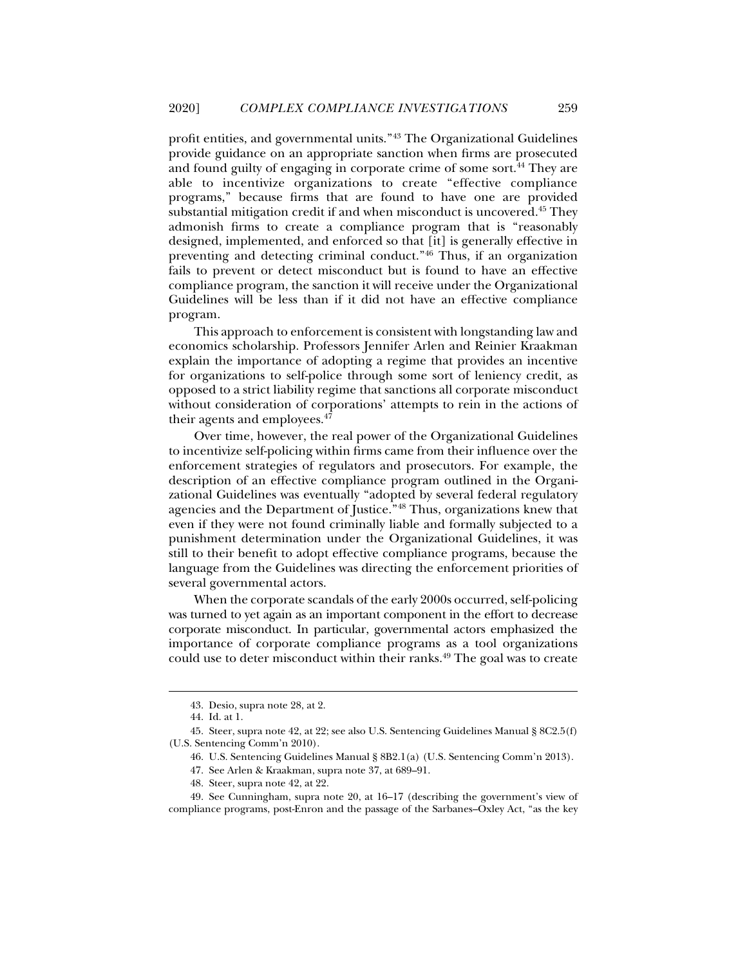profit entities, and governmental units."43 The Organizational Guidelines provide guidance on an appropriate sanction when firms are prosecuted and found guilty of engaging in corporate crime of some sort.<sup>44</sup> They are able to incentivize organizations to create "effective compliance programs," because firms that are found to have one are provided substantial mitigation credit if and when misconduct is uncovered.45 They admonish firms to create a compliance program that is "reasonably designed, implemented, and enforced so that [it] is generally effective in preventing and detecting criminal conduct."46 Thus, if an organization fails to prevent or detect misconduct but is found to have an effective compliance program, the sanction it will receive under the Organizational Guidelines will be less than if it did not have an effective compliance program.

This approach to enforcement is consistent with longstanding law and economics scholarship. Professors Jennifer Arlen and Reinier Kraakman explain the importance of adopting a regime that provides an incentive for organizations to self-police through some sort of leniency credit, as opposed to a strict liability regime that sanctions all corporate misconduct without consideration of corporations' attempts to rein in the actions of their agents and employees.<sup>47</sup>

Over time, however, the real power of the Organizational Guidelines to incentivize self-policing within firms came from their influence over the enforcement strategies of regulators and prosecutors. For example, the description of an effective compliance program outlined in the Organizational Guidelines was eventually "adopted by several federal regulatory agencies and the Department of Justice."48 Thus, organizations knew that even if they were not found criminally liable and formally subjected to a punishment determination under the Organizational Guidelines, it was still to their benefit to adopt effective compliance programs, because the language from the Guidelines was directing the enforcement priorities of several governmental actors.

When the corporate scandals of the early 2000s occurred, self-policing was turned to yet again as an important component in the effort to decrease corporate misconduct. In particular, governmental actors emphasized the importance of corporate compliance programs as a tool organizations could use to deter misconduct within their ranks.<sup>49</sup> The goal was to create

 <sup>43.</sup> Desio, supra note 28, at 2.

 <sup>44.</sup> Id. at 1.

 <sup>45.</sup> Steer, supra note 42, at 22; see also U.S. Sentencing Guidelines Manual § 8C2.5(f) (U.S. Sentencing Comm'n 2010).

 <sup>46.</sup> U.S. Sentencing Guidelines Manual § 8B2.1(a) (U.S. Sentencing Comm'n 2013).

 <sup>47.</sup> See Arlen & Kraakman, supra note 37, at 689–91.

 <sup>48.</sup> Steer, supra note 42, at 22.

 <sup>49.</sup> See Cunningham, supra note 20, at 16–17 (describing the government's view of compliance programs, post-Enron and the passage of the Sarbanes–Oxley Act, "as the key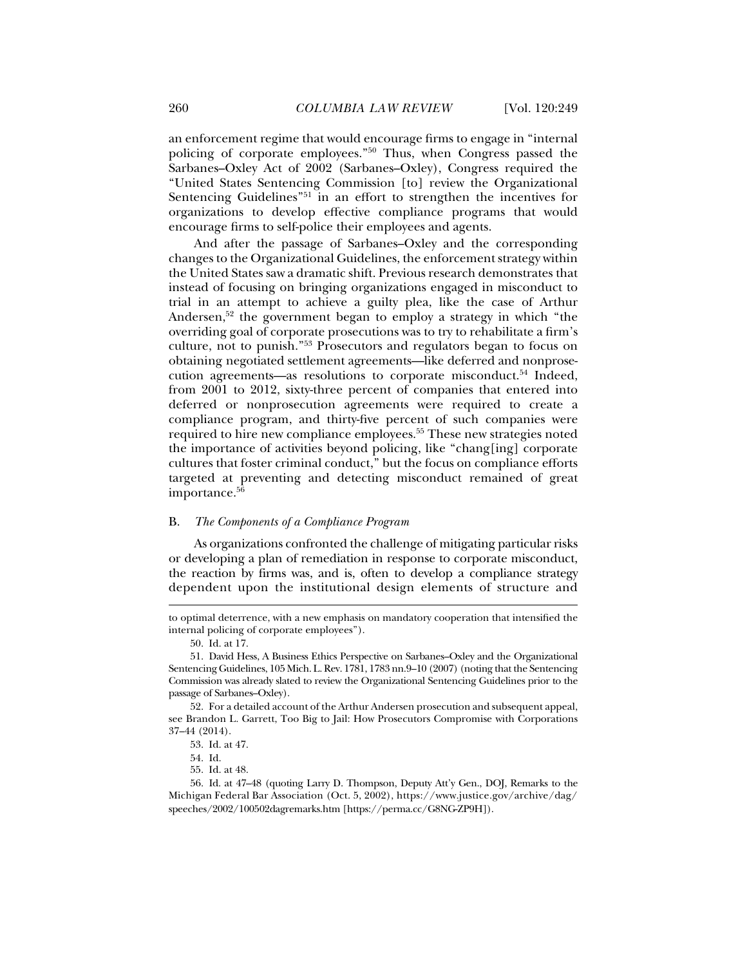an enforcement regime that would encourage firms to engage in "internal policing of corporate employees."50 Thus, when Congress passed the Sarbanes–Oxley Act of 2002 (Sarbanes–Oxley), Congress required the "United States Sentencing Commission [to] review the Organizational Sentencing Guidelines<sup>"51</sup> in an effort to strengthen the incentives for organizations to develop effective compliance programs that would encourage firms to self-police their employees and agents.

And after the passage of Sarbanes–Oxley and the corresponding changes to the Organizational Guidelines, the enforcement strategy within the United States saw a dramatic shift. Previous research demonstrates that instead of focusing on bringing organizations engaged in misconduct to trial in an attempt to achieve a guilty plea, like the case of Arthur Andersen, $52$  the government began to employ a strategy in which "the overriding goal of corporate prosecutions was to try to rehabilitate a firm's culture, not to punish."53 Prosecutors and regulators began to focus on obtaining negotiated settlement agreements—like deferred and nonprosecution agreements—as resolutions to corporate misconduct.<sup>54</sup> Indeed, from 2001 to 2012, sixty-three percent of companies that entered into deferred or nonprosecution agreements were required to create a compliance program, and thirty-five percent of such companies were required to hire new compliance employees.<sup>55</sup> These new strategies noted the importance of activities beyond policing, like "chang[ing] corporate cultures that foster criminal conduct," but the focus on compliance efforts targeted at preventing and detecting misconduct remained of great importance.<sup>56</sup>

#### B. *The Components of a Compliance Program*

As organizations confronted the challenge of mitigating particular risks or developing a plan of remediation in response to corporate misconduct, the reaction by firms was, and is, often to develop a compliance strategy dependent upon the institutional design elements of structure and

to optimal deterrence, with a new emphasis on mandatory cooperation that intensified the internal policing of corporate employees").

 <sup>50.</sup> Id. at 17.

 <sup>51.</sup> David Hess, A Business Ethics Perspective on Sarbanes–Oxley and the Organizational Sentencing Guidelines, 105 Mich. L. Rev. 1781, 1783 nn.9–10 (2007) (noting that the Sentencing Commission was already slated to review the Organizational Sentencing Guidelines prior to the passage of Sarbanes–Oxley).

 <sup>52.</sup> For a detailed account of the Arthur Andersen prosecution and subsequent appeal, see Brandon L. Garrett, Too Big to Jail: How Prosecutors Compromise with Corporations 37–44 (2014).

 <sup>53.</sup> Id. at 47.

 <sup>54.</sup> Id.

<sup>55.</sup> Id. at 48.

 <sup>56.</sup> Id. at 47–48 (quoting Larry D. Thompson, Deputy Att'y Gen., DOJ, Remarks to the Michigan Federal Bar Association (Oct. 5, 2002), https://www.justice.gov/archive/dag/ speeches/2002/100502dagremarks.htm [https://perma.cc/G8NG-ZP9H]).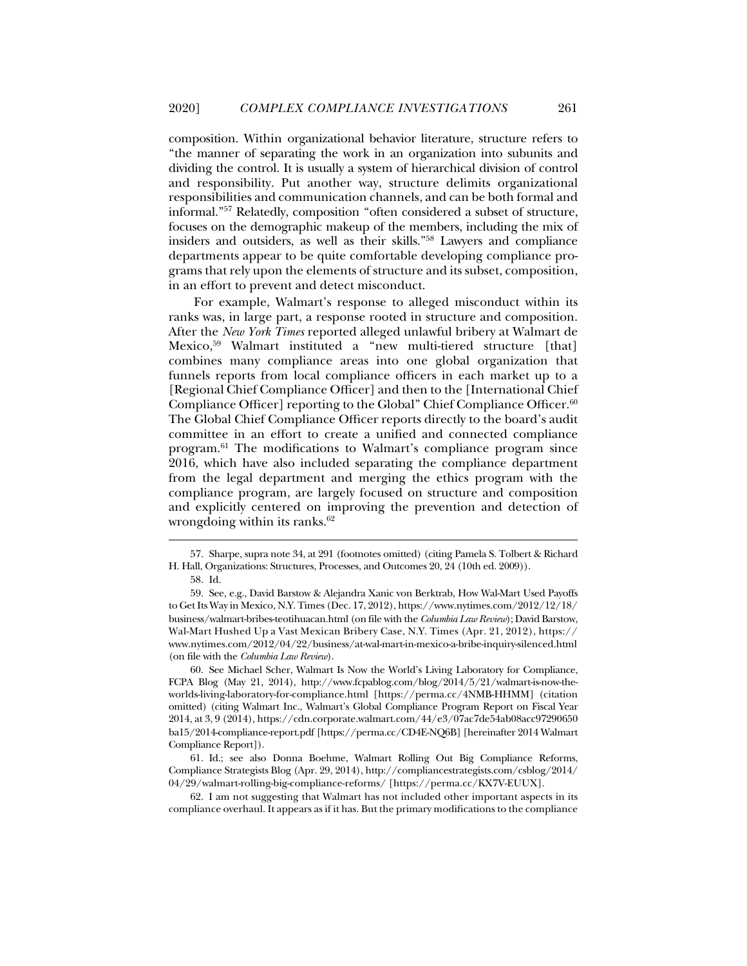composition. Within organizational behavior literature, structure refers to "the manner of separating the work in an organization into subunits and dividing the control. It is usually a system of hierarchical division of control and responsibility. Put another way, structure delimits organizational responsibilities and communication channels, and can be both formal and informal."57 Relatedly, composition "often considered a subset of structure, focuses on the demographic makeup of the members, including the mix of insiders and outsiders, as well as their skills."58 Lawyers and compliance departments appear to be quite comfortable developing compliance programs that rely upon the elements of structure and its subset, composition, in an effort to prevent and detect misconduct.

For example, Walmart's response to alleged misconduct within its ranks was, in large part, a response rooted in structure and composition. After the *New York Times* reported alleged unlawful bribery at Walmart de Mexico,59 Walmart instituted a "new multi-tiered structure [that] combines many compliance areas into one global organization that funnels reports from local compliance officers in each market up to a [Regional Chief Compliance Officer] and then to the [International Chief Compliance Officer] reporting to the Global" Chief Compliance Officer.<sup>60</sup> The Global Chief Compliance Officer reports directly to the board's audit committee in an effort to create a unified and connected compliance program.61 The modifications to Walmart's compliance program since 2016, which have also included separating the compliance department from the legal department and merging the ethics program with the compliance program, are largely focused on structure and composition and explicitly centered on improving the prevention and detection of wrongdoing within its ranks. $62$ 

j

 61. Id.; see also Donna Boehme, Walmart Rolling Out Big Compliance Reforms, Compliance Strategists Blog (Apr. 29, 2014), http://compliancestrategists.com/csblog/2014/ 04/29/walmart-rolling-big-compliance-reforms/ [https://perma.cc/KX7V-EUUX].

 62. I am not suggesting that Walmart has not included other important aspects in its compliance overhaul. It appears as if it has. But the primary modifications to the compliance

 <sup>57.</sup> Sharpe, supra note 34, at 291 (footnotes omitted) (citing Pamela S. Tolbert & Richard H. Hall, Organizations: Structures, Processes, and Outcomes 20, 24 (10th ed. 2009)).

 <sup>58.</sup> Id.

 <sup>59.</sup> See, e.g., David Barstow & Alejandra Xanic von Berktrab, How Wal-Mart Used Payoffs to Get Its Way in Mexico, N.Y. Times (Dec. 17, 2012), https://www.nytimes.com/2012/12/18/ business/walmart-bribes-teotihuacan.html (on file with the *Columbia Law Review*); David Barstow, Wal-Mart Hushed Up a Vast Mexican Bribery Case, N.Y. Times (Apr. 21, 2012), https:// www.nytimes.com/2012/04/22/business/at-wal-mart-in-mexico-a-bribe-inquiry-silenced.html (on file with the *Columbia Law Review*).

 <sup>60.</sup> See Michael Scher, Walmart Is Now the World's Living Laboratory for Compliance, FCPA Blog (May 21, 2014), http://www.fcpablog.com/blog/2014/5/21/walmart-is-now-theworlds-living-laboratory-for-compliance.html [https://perma.cc/4NMB-HHMM] (citation omitted) (citing Walmart Inc., Walmart's Global Compliance Program Report on Fiscal Year 2014, at 3, 9 (2014), https://cdn.corporate.walmart.com/44/e3/07ac7de54ab08acc97290650 ba15/2014-compliance-report.pdf [https://perma.cc/CD4E-NQ6B] [hereinafter 2014 Walmart Compliance Report]).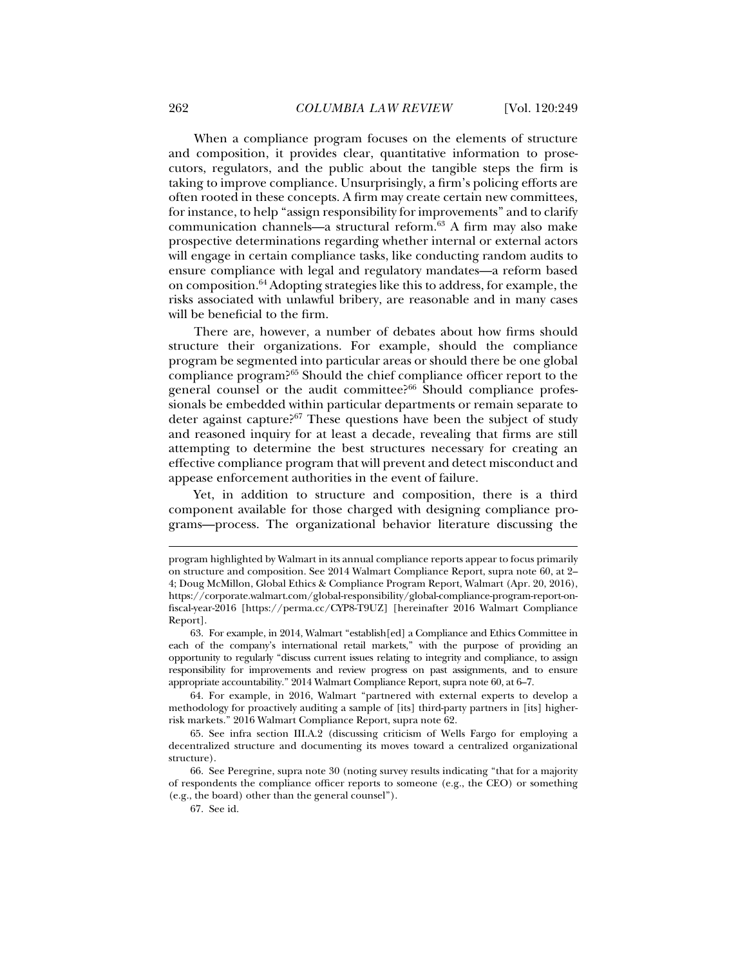When a compliance program focuses on the elements of structure and composition, it provides clear, quantitative information to prosecutors, regulators, and the public about the tangible steps the firm is taking to improve compliance. Unsurprisingly, a firm's policing efforts are often rooted in these concepts. A firm may create certain new committees, for instance, to help "assign responsibility for improvements" and to clarify communication channels—a structural reform.63 A firm may also make prospective determinations regarding whether internal or external actors will engage in certain compliance tasks, like conducting random audits to ensure compliance with legal and regulatory mandates—a reform based on composition.64 Adopting strategies like this to address, for example, the risks associated with unlawful bribery, are reasonable and in many cases will be beneficial to the firm.

There are, however, a number of debates about how firms should structure their organizations. For example, should the compliance program be segmented into particular areas or should there be one global compliance program?65 Should the chief compliance officer report to the general counsel or the audit committee?<sup>66</sup> Should compliance professionals be embedded within particular departments or remain separate to deter against capture?<sup>67</sup> These questions have been the subject of study and reasoned inquiry for at least a decade, revealing that firms are still attempting to determine the best structures necessary for creating an effective compliance program that will prevent and detect misconduct and appease enforcement authorities in the event of failure.

Yet, in addition to structure and composition, there is a third component available for those charged with designing compliance programs—process. The organizational behavior literature discussing the

 64. For example, in 2016, Walmart "partnered with external experts to develop a methodology for proactively auditing a sample of [its] third-party partners in [its] higherrisk markets." 2016 Walmart Compliance Report, supra note 62.

 65. See infra section III.A.2 (discussing criticism of Wells Fargo for employing a decentralized structure and documenting its moves toward a centralized organizational structure).

 66. See Peregrine, supra note 30 (noting survey results indicating "that for a majority of respondents the compliance officer reports to someone (e.g., the CEO) or something (e.g., the board) other than the general counsel").

program highlighted by Walmart in its annual compliance reports appear to focus primarily on structure and composition. See 2014 Walmart Compliance Report, supra note 60, at 2– 4; Doug McMillon, Global Ethics & Compliance Program Report, Walmart (Apr. 20, 2016), https://corporate.walmart.com/global-responsibility/global-compliance-program-report-onfiscal-year-2016 [https://perma.cc/CYP8-T9UZ] [hereinafter 2016 Walmart Compliance Report].

 <sup>63.</sup> For example, in 2014, Walmart "establish[ed] a Compliance and Ethics Committee in each of the company's international retail markets," with the purpose of providing an opportunity to regularly "discuss current issues relating to integrity and compliance, to assign responsibility for improvements and review progress on past assignments, and to ensure appropriate accountability." 2014 Walmart Compliance Report, supra note 60, at 6–7.

 <sup>67.</sup> See id.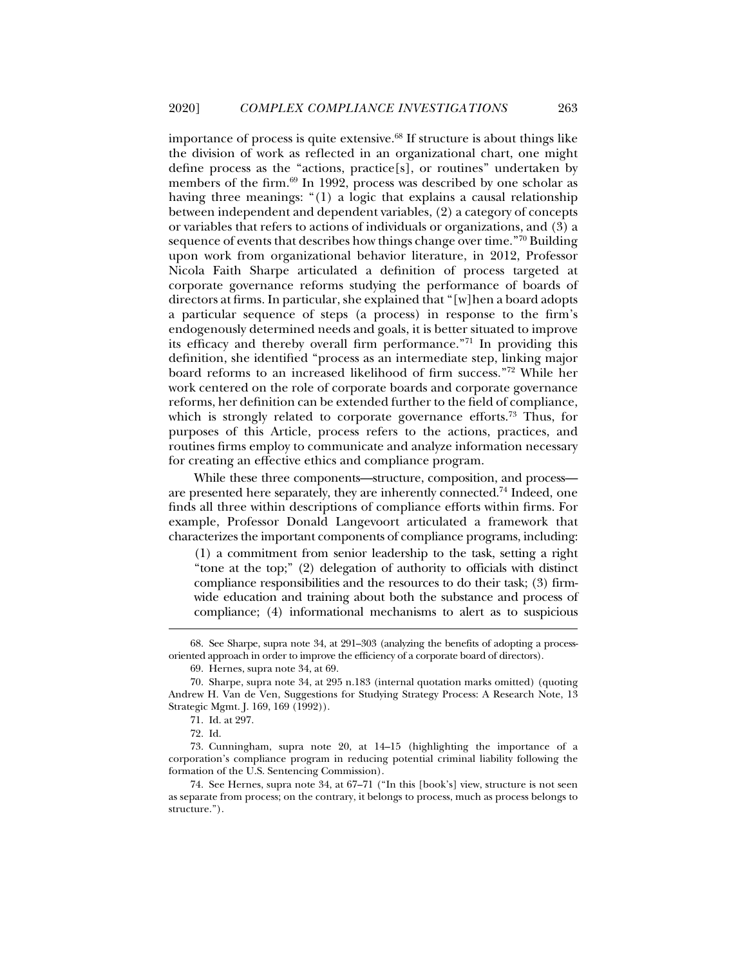importance of process is quite extensive.68 If structure is about things like the division of work as reflected in an organizational chart, one might define process as the "actions, practice[s], or routines" undertaken by members of the firm. $69$  In 1992, process was described by one scholar as having three meanings: "(1) a logic that explains a causal relationship between independent and dependent variables, (2) a category of concepts or variables that refers to actions of individuals or organizations, and (3) a sequence of events that describes how things change over time."70 Building upon work from organizational behavior literature, in 2012, Professor Nicola Faith Sharpe articulated a definition of process targeted at corporate governance reforms studying the performance of boards of directors at firms. In particular, she explained that "[w]hen a board adopts a particular sequence of steps (a process) in response to the firm's endogenously determined needs and goals, it is better situated to improve its efficacy and thereby overall firm performance."71 In providing this definition, she identified "process as an intermediate step, linking major board reforms to an increased likelihood of firm success."72 While her work centered on the role of corporate boards and corporate governance reforms, her definition can be extended further to the field of compliance, which is strongly related to corporate governance efforts.<sup>73</sup> Thus, for purposes of this Article, process refers to the actions, practices, and routines firms employ to communicate and analyze information necessary for creating an effective ethics and compliance program.

While these three components—structure, composition, and process are presented here separately, they are inherently connected.<sup>74</sup> Indeed, one finds all three within descriptions of compliance efforts within firms. For example, Professor Donald Langevoort articulated a framework that characterizes the important components of compliance programs, including:

(1) a commitment from senior leadership to the task, setting a right "tone at the top;" (2) delegation of authority to officials with distinct compliance responsibilities and the resources to do their task; (3) firmwide education and training about both the substance and process of compliance; (4) informational mechanisms to alert as to suspicious

 <sup>68.</sup> See Sharpe, supra note 34, at 291–303 (analyzing the benefits of adopting a processoriented approach in order to improve the efficiency of a corporate board of directors).

 <sup>69.</sup> Hernes, supra note 34, at 69.

 <sup>70.</sup> Sharpe, supra note 34, at 295 n.183 (internal quotation marks omitted) (quoting Andrew H. Van de Ven, Suggestions for Studying Strategy Process: A Research Note, 13 Strategic Mgmt. J. 169, 169 (1992)).

 <sup>71.</sup> Id. at 297.

 <sup>72.</sup> Id.

 <sup>73.</sup> Cunningham, supra note 20, at 14–15 (highlighting the importance of a corporation's compliance program in reducing potential criminal liability following the formation of the U.S. Sentencing Commission).

 <sup>74.</sup> See Hernes, supra note 34, at 67–71 ("In this [book's] view, structure is not seen as separate from process; on the contrary, it belongs to process, much as process belongs to structure.").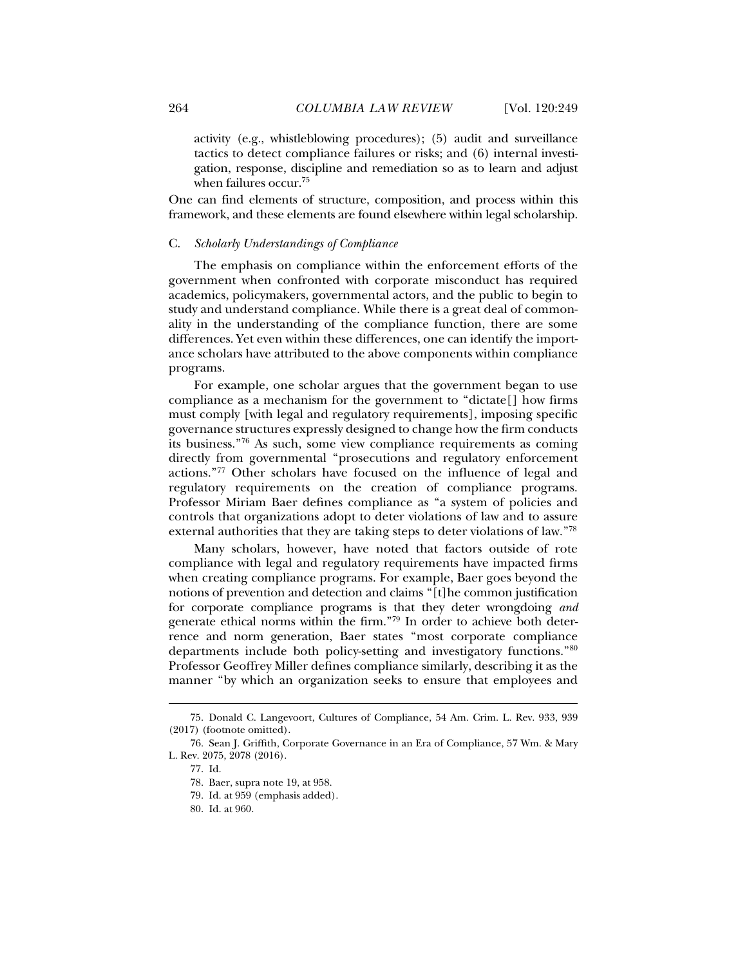activity (e.g., whistleblowing procedures); (5) audit and surveillance tactics to detect compliance failures or risks; and (6) internal investigation, response, discipline and remediation so as to learn and adjust when failures occur.75

One can find elements of structure, composition, and process within this framework, and these elements are found elsewhere within legal scholarship.

#### C. *Scholarly Understandings of Compliance*

The emphasis on compliance within the enforcement efforts of the government when confronted with corporate misconduct has required academics, policymakers, governmental actors, and the public to begin to study and understand compliance. While there is a great deal of commonality in the understanding of the compliance function, there are some differences. Yet even within these differences, one can identify the importance scholars have attributed to the above components within compliance programs.

For example, one scholar argues that the government began to use compliance as a mechanism for the government to "dictate[] how firms must comply [with legal and regulatory requirements], imposing specific governance structures expressly designed to change how the firm conducts its business."76 As such, some view compliance requirements as coming directly from governmental "prosecutions and regulatory enforcement actions."77 Other scholars have focused on the influence of legal and regulatory requirements on the creation of compliance programs. Professor Miriam Baer defines compliance as "a system of policies and controls that organizations adopt to deter violations of law and to assure external authorities that they are taking steps to deter violations of law."78

Many scholars, however, have noted that factors outside of rote compliance with legal and regulatory requirements have impacted firms when creating compliance programs. For example, Baer goes beyond the notions of prevention and detection and claims "[t]he common justification for corporate compliance programs is that they deter wrongdoing *and* generate ethical norms within the firm."79 In order to achieve both deterrence and norm generation, Baer states "most corporate compliance departments include both policy-setting and investigatory functions."80 Professor Geoffrey Miller defines compliance similarly, describing it as the manner "by which an organization seeks to ensure that employees and

 <sup>75.</sup> Donald C. Langevoort, Cultures of Compliance, 54 Am. Crim. L. Rev. 933, 939 (2017) (footnote omitted).

 <sup>76.</sup> Sean J. Griffith, Corporate Governance in an Era of Compliance, 57 Wm. & Mary L. Rev. 2075, 2078 (2016).

 <sup>77.</sup> Id.

 <sup>78.</sup> Baer, supra note 19, at 958.

 <sup>79.</sup> Id. at 959 (emphasis added).

 <sup>80.</sup> Id. at 960.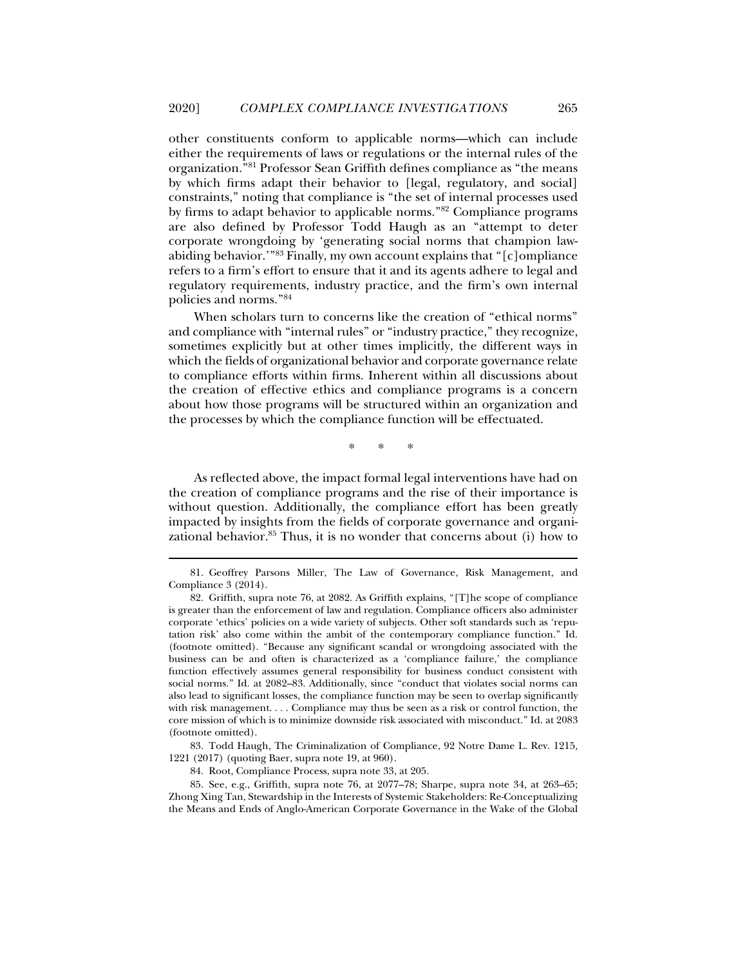other constituents conform to applicable norms—which can include either the requirements of laws or regulations or the internal rules of the organization."81 Professor Sean Griffith defines compliance as "the means by which firms adapt their behavior to [legal, regulatory, and social] constraints," noting that compliance is "the set of internal processes used by firms to adapt behavior to applicable norms."82 Compliance programs are also defined by Professor Todd Haugh as an "attempt to deter corporate wrongdoing by 'generating social norms that champion lawabiding behavior.'"83 Finally, my own account explains that "[c]ompliance refers to a firm's effort to ensure that it and its agents adhere to legal and regulatory requirements, industry practice, and the firm's own internal policies and norms."84

When scholars turn to concerns like the creation of "ethical norms" and compliance with "internal rules" or "industry practice," they recognize, sometimes explicitly but at other times implicitly, the different ways in which the fields of organizational behavior and corporate governance relate to compliance efforts within firms. Inherent within all discussions about the creation of effective ethics and compliance programs is a concern about how those programs will be structured within an organization and the processes by which the compliance function will be effectuated.

\* \* \*

As reflected above, the impact formal legal interventions have had on the creation of compliance programs and the rise of their importance is without question. Additionally, the compliance effort has been greatly impacted by insights from the fields of corporate governance and organizational behavior.<sup>85</sup> Thus, it is no wonder that concerns about (i) how to

 <sup>81.</sup> Geoffrey Parsons Miller, The Law of Governance, Risk Management, and Compliance 3 (2014).

 <sup>82.</sup> Griffith, supra note 76, at 2082. As Griffith explains, "[T]he scope of compliance is greater than the enforcement of law and regulation. Compliance officers also administer corporate 'ethics' policies on a wide variety of subjects. Other soft standards such as 'reputation risk' also come within the ambit of the contemporary compliance function." Id. (footnote omitted). "Because any significant scandal or wrongdoing associated with the business can be and often is characterized as a 'compliance failure,' the compliance function effectively assumes general responsibility for business conduct consistent with social norms." Id. at 2082–83. Additionally, since "conduct that violates social norms can also lead to significant losses, the compliance function may be seen to overlap significantly with risk management. . . . Compliance may thus be seen as a risk or control function, the core mission of which is to minimize downside risk associated with misconduct." Id. at 2083 (footnote omitted).

 <sup>83.</sup> Todd Haugh, The Criminalization of Compliance, 92 Notre Dame L. Rev. 1215, 1221 (2017) (quoting Baer, supra note 19, at 960).

 <sup>84.</sup> Root, Compliance Process, supra note 33, at 205.

 <sup>85.</sup> See, e.g., Griffith, supra note 76, at 2077–78; Sharpe, supra note 34, at 263–65; Zhong Xing Tan, Stewardship in the Interests of Systemic Stakeholders: Re-Conceptualizing the Means and Ends of Anglo-American Corporate Governance in the Wake of the Global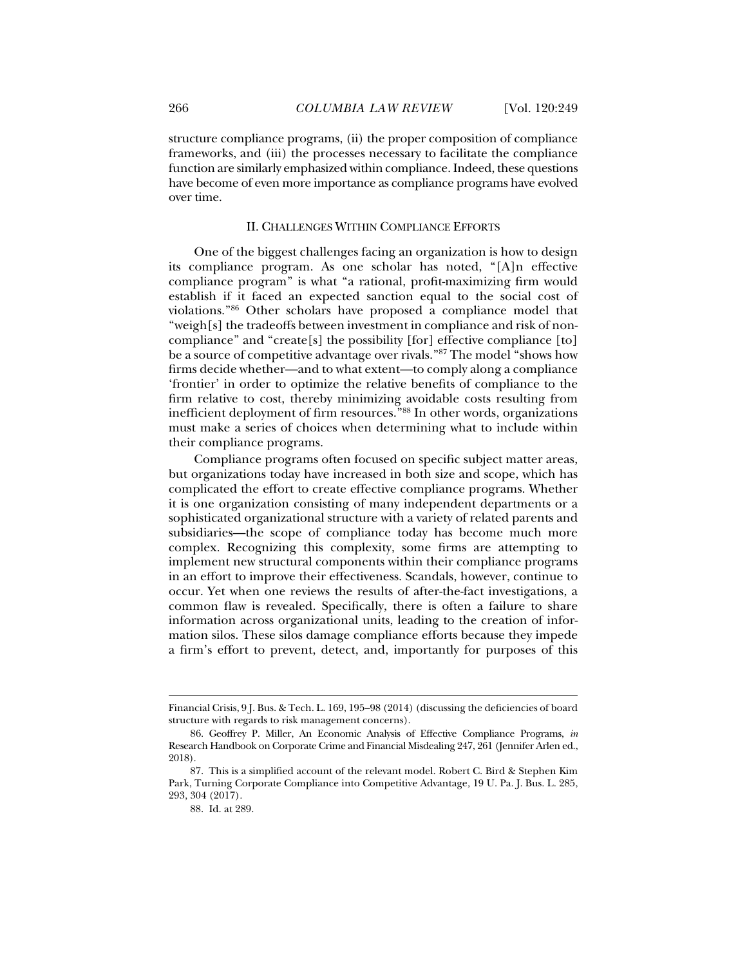structure compliance programs, (ii) the proper composition of compliance frameworks, and (iii) the processes necessary to facilitate the compliance function are similarly emphasized within compliance. Indeed, these questions have become of even more importance as compliance programs have evolved over time.

#### II. CHALLENGES WITHIN COMPLIANCE EFFORTS

One of the biggest challenges facing an organization is how to design its compliance program. As one scholar has noted, "[A]n effective compliance program" is what "a rational, profit-maximizing firm would establish if it faced an expected sanction equal to the social cost of violations."86 Other scholars have proposed a compliance model that "weigh[s] the tradeoffs between investment in compliance and risk of noncompliance" and "create[s] the possibility [for] effective compliance [to] be a source of competitive advantage over rivals."87 The model "shows how firms decide whether—and to what extent—to comply along a compliance 'frontier' in order to optimize the relative benefits of compliance to the firm relative to cost, thereby minimizing avoidable costs resulting from inefficient deployment of firm resources."88 In other words, organizations must make a series of choices when determining what to include within their compliance programs.

Compliance programs often focused on specific subject matter areas, but organizations today have increased in both size and scope, which has complicated the effort to create effective compliance programs. Whether it is one organization consisting of many independent departments or a sophisticated organizational structure with a variety of related parents and subsidiaries—the scope of compliance today has become much more complex. Recognizing this complexity, some firms are attempting to implement new structural components within their compliance programs in an effort to improve their effectiveness. Scandals, however, continue to occur. Yet when one reviews the results of after-the-fact investigations, a common flaw is revealed. Specifically, there is often a failure to share information across organizational units, leading to the creation of information silos. These silos damage compliance efforts because they impede a firm's effort to prevent, detect, and, importantly for purposes of this

Financial Crisis, 9 J. Bus. & Tech. L. 169, 195–98 (2014) (discussing the deficiencies of board structure with regards to risk management concerns).

 <sup>86.</sup> Geoffrey P. Miller, An Economic Analysis of Effective Compliance Programs, *in* Research Handbook on Corporate Crime and Financial Misdealing 247, 261 (Jennifer Arlen ed., 2018).

 <sup>87.</sup> This is a simplified account of the relevant model. Robert C. Bird & Stephen Kim Park, Turning Corporate Compliance into Competitive Advantage*,* 19 U. Pa. J. Bus. L. 285, 293, 304 (2017).

 <sup>88.</sup> Id. at 289.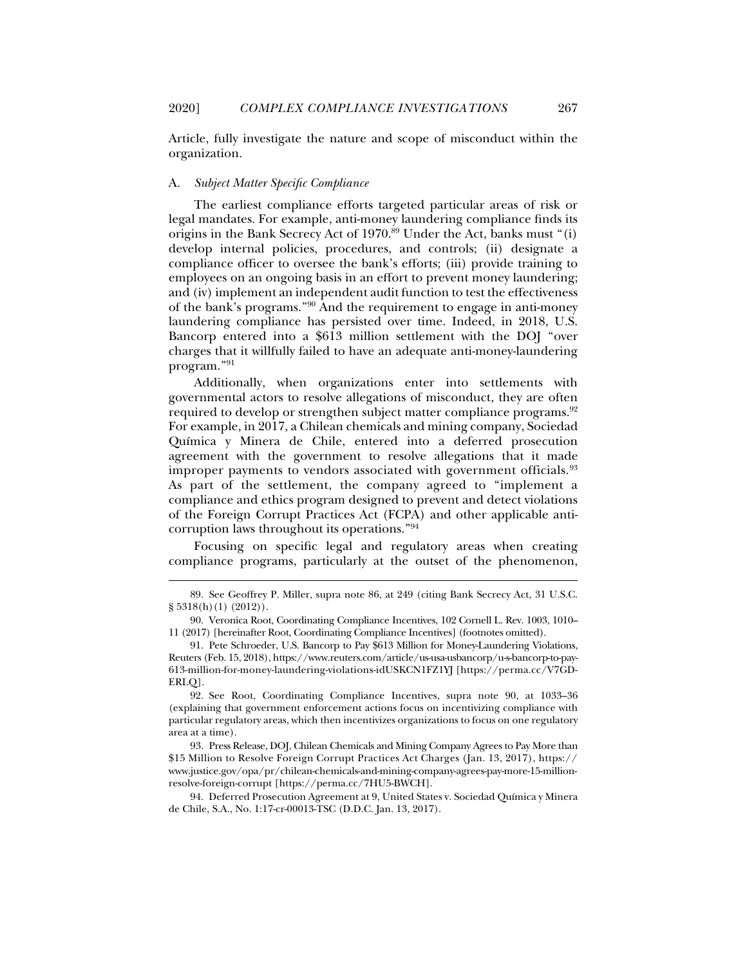Article, fully investigate the nature and scope of misconduct within the organization.

#### A. *Subject Matter Specific Compliance*

j

The earliest compliance efforts targeted particular areas of risk or legal mandates. For example, anti-money laundering compliance finds its origins in the Bank Secrecy Act of 1970.<sup>89</sup> Under the Act, banks must "(i) develop internal policies, procedures, and controls; (ii) designate a compliance officer to oversee the bank's efforts; (iii) provide training to employees on an ongoing basis in an effort to prevent money laundering; and (iv) implement an independent audit function to test the effectiveness of the bank's programs."90 And the requirement to engage in anti-money laundering compliance has persisted over time. Indeed, in 2018, U.S. Bancorp entered into a \$613 million settlement with the DOJ "over charges that it willfully failed to have an adequate anti-money-laundering program."91

Additionally, when organizations enter into settlements with governmental actors to resolve allegations of misconduct, they are often required to develop or strengthen subject matter compliance programs.<sup>92</sup> For example, in 2017, a Chilean chemicals and mining company, Sociedad Química y Minera de Chile, entered into a deferred prosecution agreement with the government to resolve allegations that it made improper payments to vendors associated with government officials.<sup>93</sup> As part of the settlement, the company agreed to "implement a compliance and ethics program designed to prevent and detect violations of the Foreign Corrupt Practices Act (FCPA) and other applicable anticorruption laws throughout its operations."94

Focusing on specific legal and regulatory areas when creating compliance programs, particularly at the outset of the phenomenon,

 <sup>89.</sup> See Geoffrey P. Miller, supra note 86, at 249 (citing Bank Secrecy Act, 31 U.S.C.  $\S 5318(h)(1) (2012)$ .

 <sup>90.</sup> Veronica Root, Coordinating Compliance Incentives, 102 Cornell L. Rev. 1003, 1010– 11 (2017) [hereinafter Root, Coordinating Compliance Incentives] (footnotes omitted).

 <sup>91.</sup> Pete Schroeder, U.S. Bancorp to Pay \$613 Million for Money-Laundering Violations, Reuters (Feb. 15, 2018), https://www.reuters.com/article/us-usa-usbancorp/u-s-bancorp-to-pay-613-million-for-money-laundering-violations-idUSKCN1FZ1YJ [https://perma.cc/V7GD-ERLQ].

 <sup>92.</sup> See Root, Coordinating Compliance Incentives, supra note 90, at 1033–36 (explaining that government enforcement actions focus on incentivizing compliance with particular regulatory areas, which then incentivizes organizations to focus on one regulatory area at a time).

 <sup>93.</sup> Press Release, DOJ, Chilean Chemicals and Mining Company Agrees to Pay More than \$15 Million to Resolve Foreign Corrupt Practices Act Charges (Jan. 13, 2017), https:// www.justice.gov/opa/pr/chilean-chemicals-and-mining-company-agrees-pay-more-15-millionresolve-foreign-corrupt [https://perma.cc/7HU5-BWCH].

 <sup>94.</sup> Deferred Prosecution Agreement at 9, United States v. Sociedad Química y Minera de Chile, S.A., No. 1:17-cr-00013-TSC (D.D.C. Jan. 13, 2017).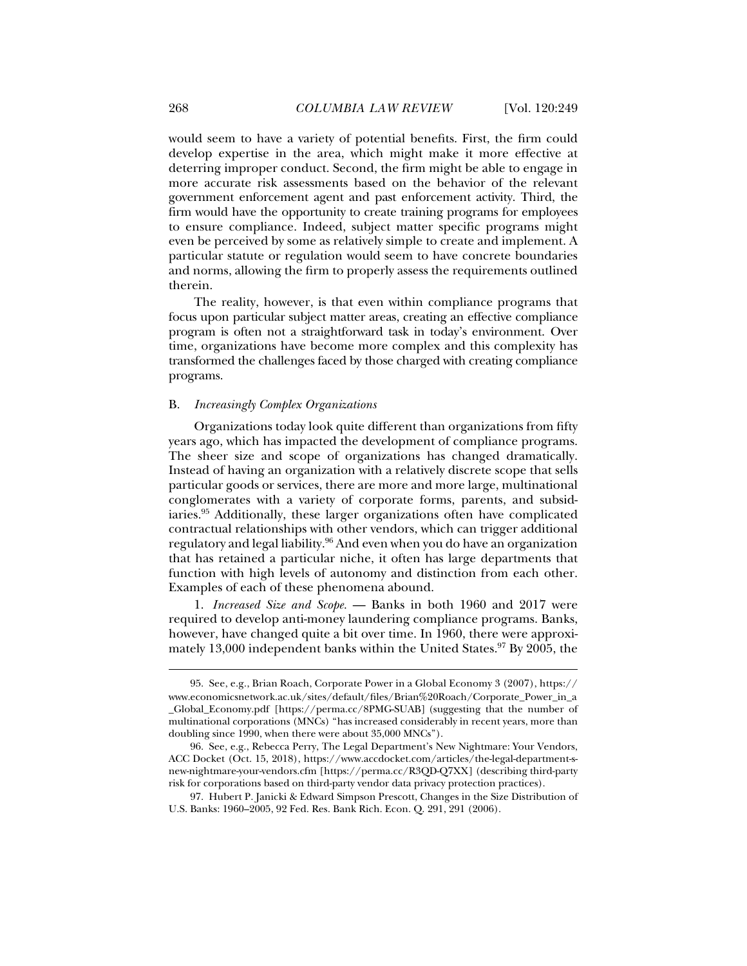would seem to have a variety of potential benefits. First, the firm could develop expertise in the area, which might make it more effective at deterring improper conduct. Second, the firm might be able to engage in more accurate risk assessments based on the behavior of the relevant government enforcement agent and past enforcement activity. Third, the firm would have the opportunity to create training programs for employees to ensure compliance. Indeed, subject matter specific programs might even be perceived by some as relatively simple to create and implement. A particular statute or regulation would seem to have concrete boundaries and norms, allowing the firm to properly assess the requirements outlined therein.

The reality, however, is that even within compliance programs that focus upon particular subject matter areas, creating an effective compliance program is often not a straightforward task in today's environment. Over time, organizations have become more complex and this complexity has transformed the challenges faced by those charged with creating compliance programs.

#### B. *Increasingly Complex Organizations*

Organizations today look quite different than organizations from fifty years ago, which has impacted the development of compliance programs. The sheer size and scope of organizations has changed dramatically. Instead of having an organization with a relatively discrete scope that sells particular goods or services, there are more and more large, multinational conglomerates with a variety of corporate forms, parents, and subsidiaries.95 Additionally, these larger organizations often have complicated contractual relationships with other vendors, which can trigger additional regulatory and legal liability.96 And even when you do have an organization that has retained a particular niche, it often has large departments that function with high levels of autonomy and distinction from each other. Examples of each of these phenomena abound.

1. *Increased Size and Scope.* — Banks in both 1960 and 2017 were required to develop anti-money laundering compliance programs. Banks, however, have changed quite a bit over time. In 1960, there were approximately 13,000 independent banks within the United States.  $97$  By 2005, the

 <sup>95.</sup> See, e.g., Brian Roach, Corporate Power in a Global Economy 3 (2007), https:// www.economicsnetwork.ac.uk/sites/default/files/Brian%20Roach/Corporate\_Power\_in\_a \_Global\_Economy.pdf [https://perma.cc/8PMG-SUAB] (suggesting that the number of multinational corporations (MNCs) "has increased considerably in recent years, more than doubling since 1990, when there were about 35,000 MNCs").

 <sup>96.</sup> See, e.g., Rebecca Perry, The Legal Department's New Nightmare: Your Vendors, ACC Docket (Oct. 15, 2018), https://www.accdocket.com/articles/the-legal-department-snew-nightmare-your-vendors.cfm [https://perma.cc/R3QD-Q7XX] (describing third-party risk for corporations based on third-party vendor data privacy protection practices).

 <sup>97.</sup> Hubert P. Janicki & Edward Simpson Prescott, Changes in the Size Distribution of U.S. Banks: 1960–2005, 92 Fed. Res. Bank Rich. Econ. Q. 291, 291 (2006).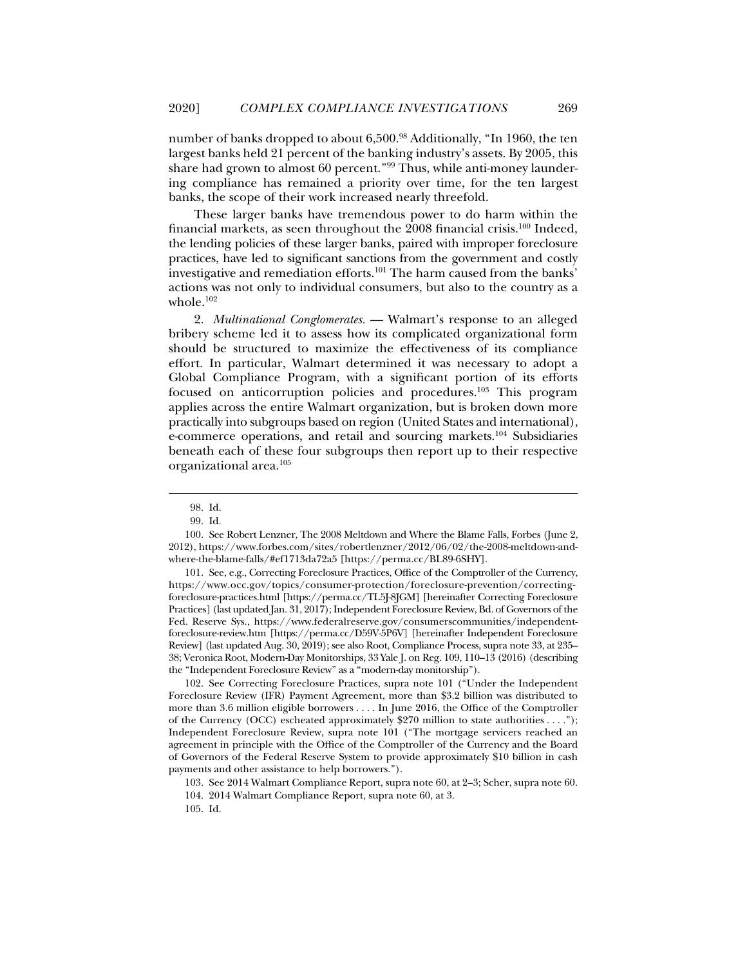number of banks dropped to about 6,500.<sup>98</sup> Additionally, "In 1960, the ten largest banks held 21 percent of the banking industry's assets. By 2005, this share had grown to almost 60 percent."99 Thus, while anti-money laundering compliance has remained a priority over time, for the ten largest banks, the scope of their work increased nearly threefold.

These larger banks have tremendous power to do harm within the financial markets, as seen throughout the 2008 financial crisis.<sup>100</sup> Indeed, the lending policies of these larger banks, paired with improper foreclosure practices, have led to significant sanctions from the government and costly investigative and remediation efforts.<sup>101</sup> The harm caused from the banks' actions was not only to individual consumers, but also to the country as a whole.<sup>102</sup>

2. *Multinational Conglomerates.* — Walmart's response to an alleged bribery scheme led it to assess how its complicated organizational form should be structured to maximize the effectiveness of its compliance effort. In particular, Walmart determined it was necessary to adopt a Global Compliance Program, with a significant portion of its efforts focused on anticorruption policies and procedures.103 This program applies across the entire Walmart organization, but is broken down more practically into subgroups based on region (United States and international), e-commerce operations, and retail and sourcing markets.104 Subsidiaries beneath each of these four subgroups then report up to their respective organizational area.105

j

 101. See, e.g., Correcting Foreclosure Practices, Office of the Comptroller of the Currency, https://www.occ.gov/topics/consumer-protection/foreclosure-prevention/correctingforeclosure-practices.html [https://perma.cc/TL5J-8JGM] [hereinafter Correcting Foreclosure Practices] (last updated Jan. 31, 2017); Independent Foreclosure Review, Bd. of Governors of the Fed. Reserve Sys., https://www.federalreserve.gov/consumerscommunities/independentforeclosure-review.htm [https://perma.cc/D59V-5P6V] [hereinafter Independent Foreclosure Review] (last updated Aug. 30, 2019); see also Root, Compliance Process, supra note 33, at 235– 38; Veronica Root, Modern-Day Monitorships, 33 Yale J. on Reg. 109, 110–13 (2016) (describing the "Independent Foreclosure Review" as a "modern-day monitorship").

 102. See Correcting Foreclosure Practices, supra note 101 ("Under the Independent Foreclosure Review (IFR) Payment Agreement, more than \$3.2 billion was distributed to more than 3.6 million eligible borrowers . . . . In June 2016, the Office of the Comptroller of the Currency (OCC) escheated approximately \$270 million to state authorities . . . ."); Independent Foreclosure Review, supra note 101 ("The mortgage servicers reached an agreement in principle with the Office of the Comptroller of the Currency and the Board of Governors of the Federal Reserve System to provide approximately \$10 billion in cash payments and other assistance to help borrowers.").

103. See 2014 Walmart Compliance Report, supra note 60, at 2–3; Scher, supra note 60.

105. Id.

 <sup>98.</sup> Id.

 <sup>99.</sup> Id.

 <sup>100.</sup> See Robert Lenzner, The 2008 Meltdown and Where the Blame Falls, Forbes (June 2, 2012), https://www.forbes.com/sites/robertlenzner/2012/06/02/the-2008-meltdown-andwhere-the-blame-falls/#ef1713da72a5 [https://perma.cc/BL89-6SHY].

 <sup>104. 2014</sup> Walmart Compliance Report, supra note 60, at 3.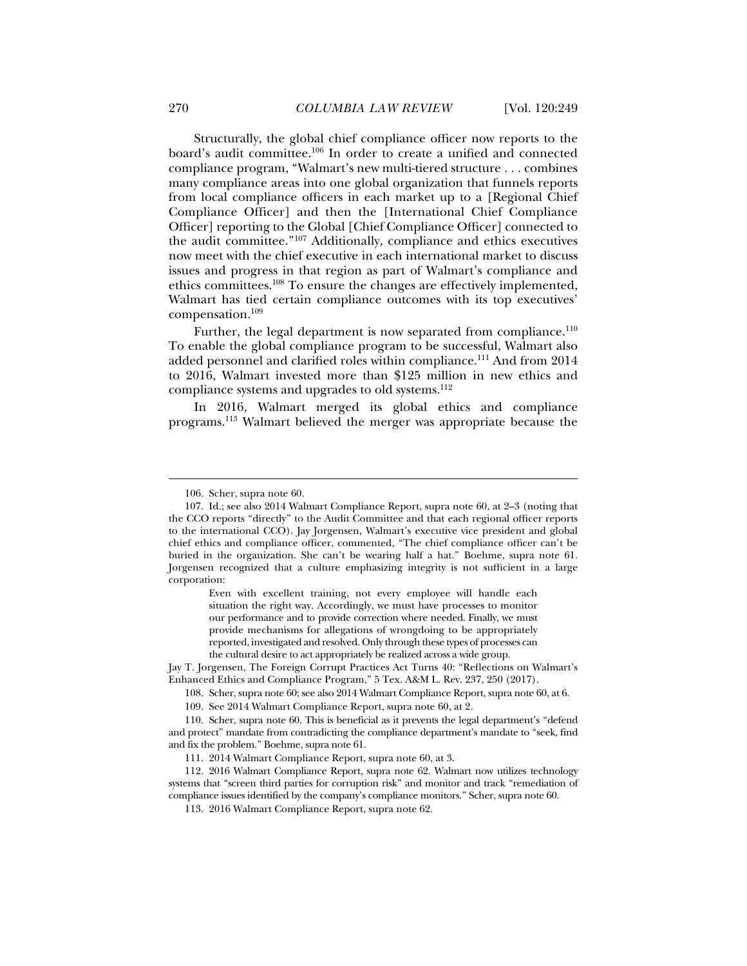Structurally, the global chief compliance officer now reports to the board's audit committee.106 In order to create a unified and connected compliance program, "Walmart's new multi-tiered structure . . . combines many compliance areas into one global organization that funnels reports from local compliance officers in each market up to a [Regional Chief Compliance Officer] and then the [International Chief Compliance Officer] reporting to the Global [Chief Compliance Officer] connected to the audit committee."107 Additionally, compliance and ethics executives now meet with the chief executive in each international market to discuss issues and progress in that region as part of Walmart's compliance and ethics committees.108 To ensure the changes are effectively implemented, Walmart has tied certain compliance outcomes with its top executives'

Further, the legal department is now separated from compliance.<sup>110</sup> To enable the global compliance program to be successful, Walmart also added personnel and clarified roles within compliance.111 And from 2014 to 2016, Walmart invested more than \$125 million in new ethics and compliance systems and upgrades to old systems.<sup>112</sup>

In 2016, Walmart merged its global ethics and compliance programs.113 Walmart believed the merger was appropriate because the

j

compensation.109

Even with excellent training, not every employee will handle each situation the right way. Accordingly, we must have processes to monitor our performance and to provide correction where needed. Finally, we must provide mechanisms for allegations of wrongdoing to be appropriately reported, investigated and resolved. Only through these types of processes can the cultural desire to act appropriately be realized across a wide group.

Jay T. Jorgensen, The Foreign Corrupt Practices Act Turns 40: "Reflections on Walmart's Enhanced Ethics and Compliance Program," 5 Tex. A&M L. Rev. 237, 250 (2017).

108. Scher, supra note 60; see also 2014 Walmart Compliance Report, supra note 60, at 6.

109. See 2014 Walmart Compliance Report, supra note 60, at 2.

 <sup>106.</sup> Scher, supra note 60.

 <sup>107.</sup> Id.; see also 2014 Walmart Compliance Report, supra note 60, at 2–3 (noting that the CCO reports "directly" to the Audit Committee and that each regional officer reports to the international CCO). Jay Jorgensen, Walmart's executive vice president and global chief ethics and compliance officer, commented, "The chief compliance officer can't be buried in the organization. She can't be wearing half a hat." Boehme, supra note 61. Jorgensen recognized that a culture emphasizing integrity is not sufficient in a large corporation:

 <sup>110.</sup> Scher, supra note 60. This is beneficial as it prevents the legal department's "defend and protect" mandate from contradicting the compliance department's mandate to "seek, find and fix the problem." Boehme, supra note 61.

 <sup>111. 2014</sup> Walmart Compliance Report, supra note 60, at 3.

 <sup>112. 2016</sup> Walmart Compliance Report, supra note 62. Walmart now utilizes technology systems that "screen third parties for corruption risk" and monitor and track "remediation of compliance issues identified by the company's compliance monitors." Scher, supra note 60.

 <sup>113. 2016</sup> Walmart Compliance Report, supra note 62.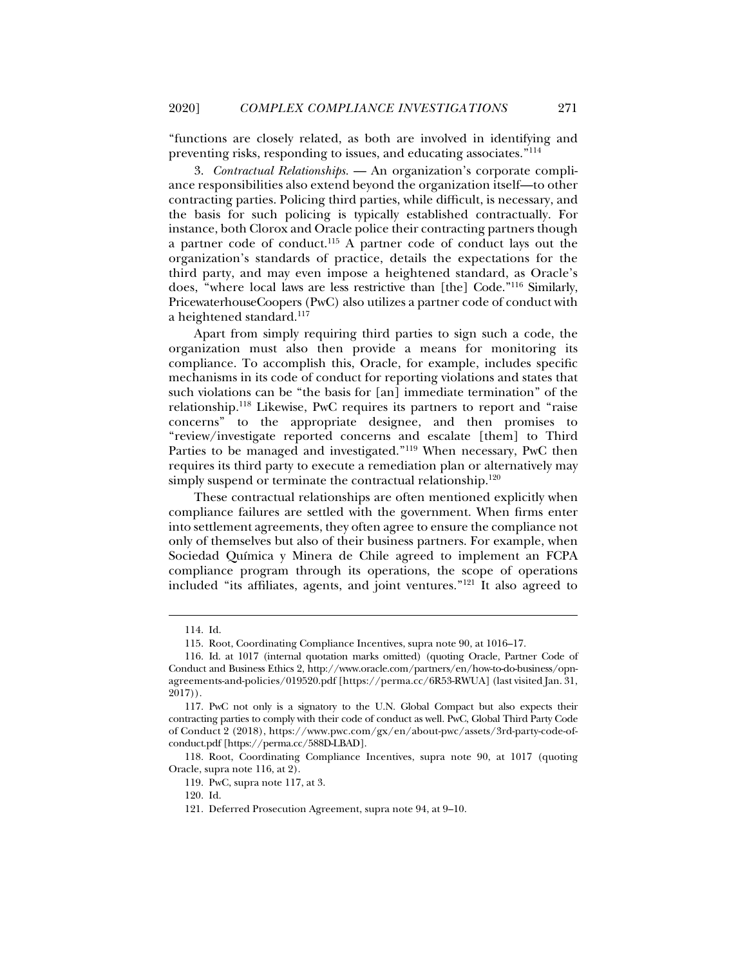"functions are closely related, as both are involved in identifying and preventing risks, responding to issues, and educating associates."114

3. *Contractual Relationships.* — An organization's corporate compliance responsibilities also extend beyond the organization itself—to other contracting parties. Policing third parties, while difficult, is necessary, and the basis for such policing is typically established contractually. For instance, both Clorox and Oracle police their contracting partners though a partner code of conduct.115 A partner code of conduct lays out the organization's standards of practice, details the expectations for the third party, and may even impose a heightened standard, as Oracle's does, "where local laws are less restrictive than [the] Code."116 Similarly, PricewaterhouseCoopers (PwC) also utilizes a partner code of conduct with a heightened standard.<sup>117</sup>

Apart from simply requiring third parties to sign such a code, the organization must also then provide a means for monitoring its compliance. To accomplish this, Oracle, for example, includes specific mechanisms in its code of conduct for reporting violations and states that such violations can be "the basis for [an] immediate termination" of the relationship.118 Likewise, PwC requires its partners to report and "raise concerns" to the appropriate designee, and then promises to "review/investigate reported concerns and escalate [them] to Third Parties to be managed and investigated."119 When necessary, PwC then requires its third party to execute a remediation plan or alternatively may simply suspend or terminate the contractual relationship.<sup>120</sup>

These contractual relationships are often mentioned explicitly when compliance failures are settled with the government. When firms enter into settlement agreements, they often agree to ensure the compliance not only of themselves but also of their business partners. For example, when Sociedad Química y Minera de Chile agreed to implement an FCPA compliance program through its operations, the scope of operations included "its affiliates, agents, and joint ventures."121 It also agreed to

j

119. PwC, supra note 117, at 3.

 <sup>114.</sup> Id.

 <sup>115.</sup> Root, Coordinating Compliance Incentives, supra note 90, at 1016–17.

 <sup>116.</sup> Id. at 1017 (internal quotation marks omitted) (quoting Oracle, Partner Code of Conduct and Business Ethics 2, http://www.oracle.com/partners/en/how-to-do-business/opnagreements-and-policies/019520.pdf [https://perma.cc/6R53-RWUA] (last visited Jan. 31, 2017)).

 <sup>117.</sup> PwC not only is a signatory to the U.N. Global Compact but also expects their contracting parties to comply with their code of conduct as well. PwC, Global Third Party Code of Conduct 2 (2018), https://www.pwc.com/gx/en/about-pwc/assets/3rd-party-code-ofconduct.pdf [https://perma.cc/588D-LBAD].

 <sup>118.</sup> Root, Coordinating Compliance Incentives, supra note 90, at 1017 (quoting Oracle, supra note 116, at 2).

 <sup>120.</sup> Id.

 <sup>121.</sup> Deferred Prosecution Agreement, supra note 94, at 9–10.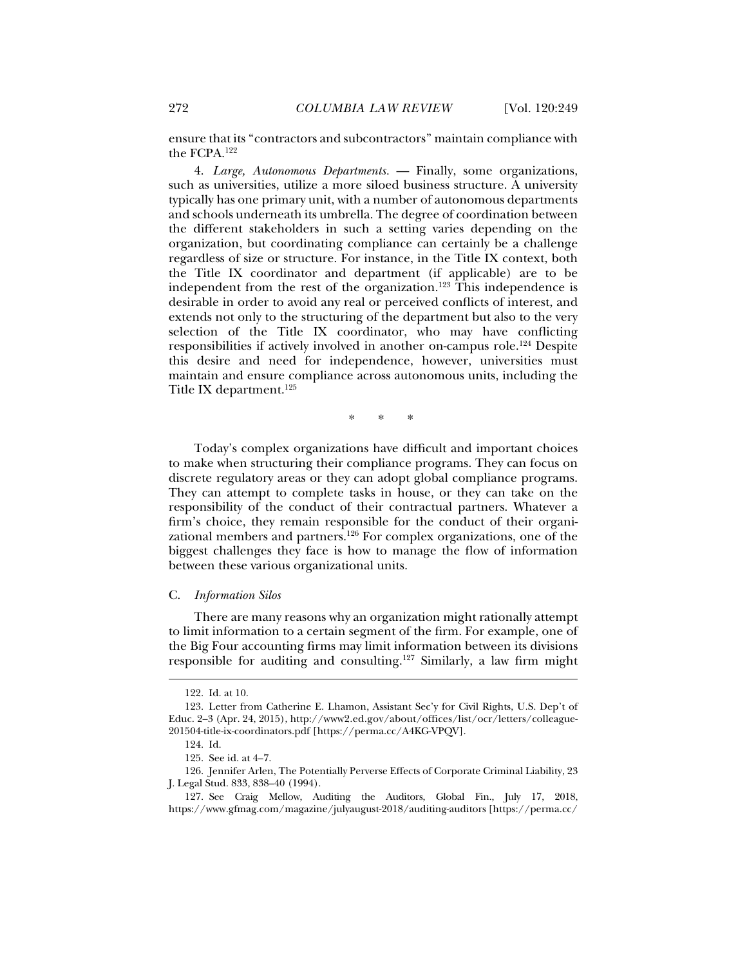ensure that its "contractors and subcontractors" maintain compliance with the FCPA.122

4. *Large, Autonomous Departments.* — Finally, some organizations, such as universities, utilize a more siloed business structure. A university typically has one primary unit, with a number of autonomous departments and schools underneath its umbrella. The degree of coordination between the different stakeholders in such a setting varies depending on the organization, but coordinating compliance can certainly be a challenge regardless of size or structure. For instance, in the Title IX context, both the Title IX coordinator and department (if applicable) are to be independent from the rest of the organization.<sup>123</sup> This independence is desirable in order to avoid any real or perceived conflicts of interest, and extends not only to the structuring of the department but also to the very selection of the Title IX coordinator, who may have conflicting responsibilities if actively involved in another on-campus role.124 Despite this desire and need for independence, however, universities must maintain and ensure compliance across autonomous units, including the Title IX department.125

\* \* \*

Today's complex organizations have difficult and important choices to make when structuring their compliance programs. They can focus on discrete regulatory areas or they can adopt global compliance programs. They can attempt to complete tasks in house, or they can take on the responsibility of the conduct of their contractual partners. Whatever a firm's choice, they remain responsible for the conduct of their organizational members and partners.126 For complex organizations, one of the biggest challenges they face is how to manage the flow of information between these various organizational units.

#### C. *Information Silos*

There are many reasons why an organization might rationally attempt to limit information to a certain segment of the firm. For example, one of the Big Four accounting firms may limit information between its divisions responsible for auditing and consulting.<sup>127</sup> Similarly, a law firm might

 <sup>122.</sup> Id. at 10.

 <sup>123.</sup> Letter from Catherine E. Lhamon, Assistant Sec'y for Civil Rights, U.S. Dep't of Educ. 2–3 (Apr. 24, 2015), http://www2.ed.gov/about/offices/list/ocr/letters/colleague-201504-title-ix-coordinators.pdf [https://perma.cc/A4KG-VPQV].

 <sup>124.</sup> Id.

 <sup>125.</sup> See id. at 4–7.

 <sup>126.</sup> Jennifer Arlen, The Potentially Perverse Effects of Corporate Criminal Liability, 23 J. Legal Stud. 833, 838–40 (1994).

 <sup>127.</sup> See Craig Mellow, Auditing the Auditors, Global Fin., July 17, 2018, https://www.gfmag.com/magazine/julyaugust-2018/auditing-auditors [https://perma.cc/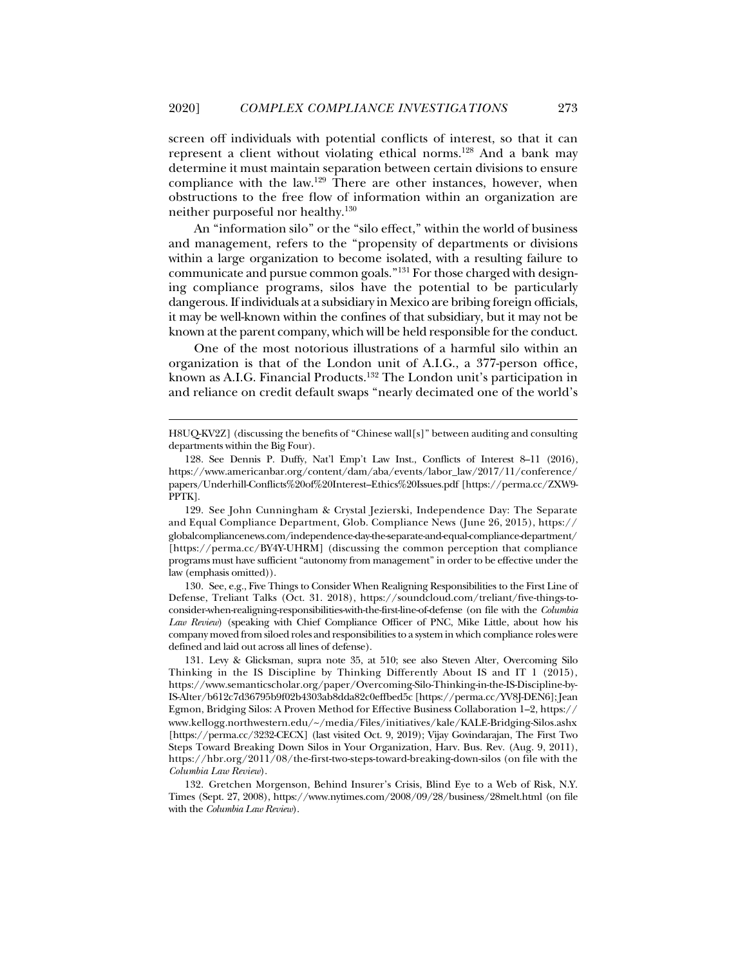screen off individuals with potential conflicts of interest, so that it can represent a client without violating ethical norms.128 And a bank may determine it must maintain separation between certain divisions to ensure compliance with the law.129 There are other instances, however, when obstructions to the free flow of information within an organization are neither purposeful nor healthy.130

An "information silo" or the "silo effect," within the world of business and management, refers to the "propensity of departments or divisions within a large organization to become isolated, with a resulting failure to communicate and pursue common goals."131 For those charged with designing compliance programs, silos have the potential to be particularly dangerous. If individuals at a subsidiary in Mexico are bribing foreign officials, it may be well-known within the confines of that subsidiary, but it may not be known at the parent company, which will be held responsible for the conduct.

One of the most notorious illustrations of a harmful silo within an organization is that of the London unit of A.I.G., a 377-person office, known as A.I.G. Financial Products.132 The London unit's participation in and reliance on credit default swaps "nearly decimated one of the world's

j

 130. See, e.g., Five Things to Consider When Realigning Responsibilities to the First Line of Defense, Treliant Talks (Oct. 31. 2018), https://soundcloud.com/treliant/five-things-toconsider-when-realigning-responsibilities-with-the-first-line-of-defense (on file with the *Columbia Law Review*) (speaking with Chief Compliance Officer of PNC, Mike Little, about how his company moved from siloed roles and responsibilities to a system in which compliance roles were defined and laid out across all lines of defense).

H8UQ-KV2Z] (discussing the benefits of "Chinese wall[s]" between auditing and consulting departments within the Big Four).

 <sup>128.</sup> See Dennis P. Duffy, Nat'l Emp't Law Inst., Conflicts of Interest 8–11 (2016), https://www.americanbar.org/content/dam/aba/events/labor\_law/2017/11/conference/ papers/Underhill-Conflicts%20of%20Interest–Ethics%20Issues.pdf [https://perma.cc/ZXW9- PPTK].

 <sup>129.</sup> See John Cunningham & Crystal Jezierski, Independence Day: The Separate and Equal Compliance Department, Glob. Compliance News (June 26, 2015), https:// globalcompliancenews.com/independence-day-the-separate-and-equal-compliance-department/ [https://perma.cc/BY4Y-UHRM] (discussing the common perception that compliance programs must have sufficient "autonomy from management" in order to be effective under the law (emphasis omitted)).

 <sup>131.</sup> Levy & Glicksman, supra note 35, at 510; see also Steven Alter, Overcoming Silo Thinking in the IS Discipline by Thinking Differently About IS and IT 1 (2015), https://www.semanticscholar.org/paper/Overcoming-Silo-Thinking-in-the-IS-Discipline-by-IS-Alter/b612c7d36795b9f02b4303ab8dda82c0effbed5c [https://perma.cc/YV8J-DEN6];Jean Egmon, Bridging Silos: A Proven Method for Effective Business Collaboration 1–2, https:// www.kellogg.northwestern.edu/~/media/Files/initiatives/kale/KALE-Bridging-Silos.ashx [https://perma.cc/3232-CECX] (last visited Oct. 9, 2019); Vijay Govindarajan, The First Two Steps Toward Breaking Down Silos in Your Organization, Harv. Bus. Rev. (Aug. 9, 2011), https://hbr.org/2011/08/the-first-two-steps-toward-breaking-down-silos (on file with the *Columbia Law Review*).

 <sup>132.</sup> Gretchen Morgenson, Behind Insurer's Crisis, Blind Eye to a Web of Risk, N.Y. Times (Sept. 27, 2008), https://www.nytimes.com/2008/09/28/business/28melt.html (on file with the *Columbia Law Review*).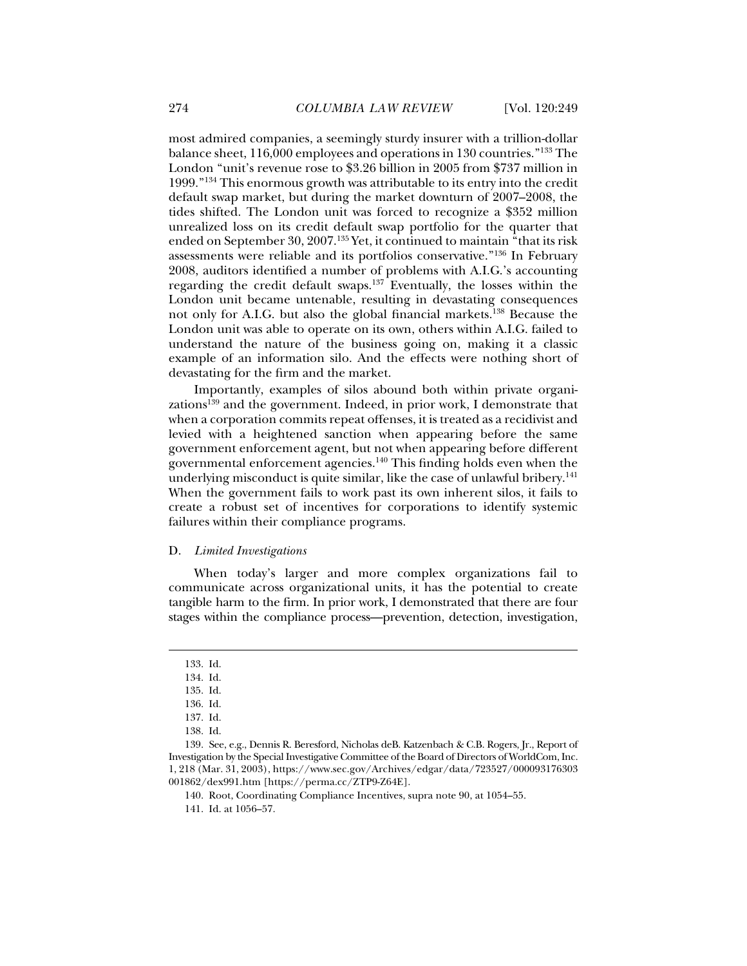most admired companies, a seemingly sturdy insurer with a trillion-dollar balance sheet, 116,000 employees and operations in 130 countries."133 The London "unit's revenue rose to \$3.26 billion in 2005 from \$737 million in 1999."134 This enormous growth was attributable to its entry into the credit default swap market, but during the market downturn of 2007–2008, the tides shifted. The London unit was forced to recognize a \$352 million unrealized loss on its credit default swap portfolio for the quarter that ended on September 30, 2007.135 Yet, it continued to maintain "that its risk assessments were reliable and its portfolios conservative."136 In February 2008, auditors identified a number of problems with A.I.G.'s accounting regarding the credit default swaps.137 Eventually, the losses within the London unit became untenable, resulting in devastating consequences not only for A.I.G. but also the global financial markets.138 Because the London unit was able to operate on its own, others within A.I.G. failed to understand the nature of the business going on, making it a classic example of an information silo. And the effects were nothing short of devastating for the firm and the market.

Importantly, examples of silos abound both within private organizations $139$  and the government. Indeed, in prior work, I demonstrate that when a corporation commits repeat offenses, it is treated as a recidivist and levied with a heightened sanction when appearing before the same government enforcement agent, but not when appearing before different governmental enforcement agencies.140 This finding holds even when the underlying misconduct is quite similar, like the case of unlawful bribery.<sup>141</sup> When the government fails to work past its own inherent silos, it fails to create a robust set of incentives for corporations to identify systemic failures within their compliance programs.

#### D. *Limited Investigations*

When today's larger and more complex organizations fail to communicate across organizational units, it has the potential to create tangible harm to the firm. In prior work, I demonstrated that there are four stages within the compliance process—prevention, detection, investigation,

 <sup>133.</sup> Id.

 <sup>134.</sup> Id.

 <sup>135.</sup> Id.

 <sup>136.</sup> Id.

 <sup>137.</sup> Id.

 <sup>138.</sup> Id.

 <sup>139.</sup> See, e.g., Dennis R. Beresford, Nicholas deB. Katzenbach & C.B. Rogers, Jr., Report of Investigation by the Special Investigative Committee of the Board of Directors of WorldCom, Inc. 1, 218 (Mar. 31, 2003), https://www.sec.gov/Archives/edgar/data/723527/000093176303 001862/dex991.htm [https://perma.cc/ZTP9-Z64E].

 <sup>140.</sup> Root, Coordinating Compliance Incentives, supra note 90, at 1054–55.

 <sup>141.</sup> Id. at 1056–57.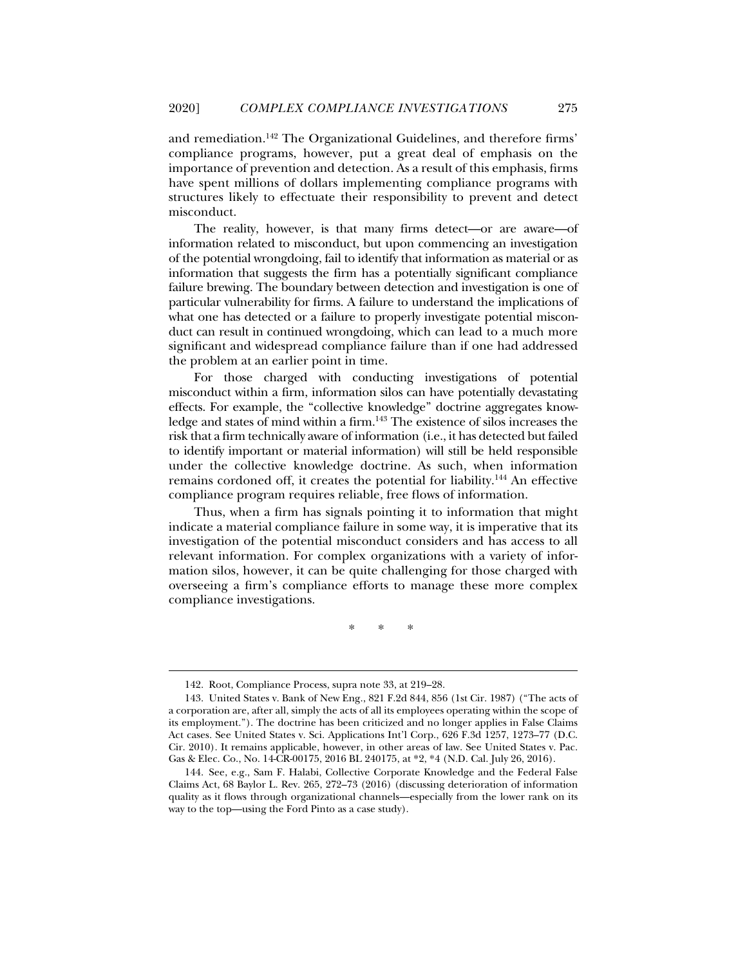and remediation.142 The Organizational Guidelines, and therefore firms' compliance programs, however, put a great deal of emphasis on the importance of prevention and detection. As a result of this emphasis, firms have spent millions of dollars implementing compliance programs with structures likely to effectuate their responsibility to prevent and detect misconduct.

The reality, however, is that many firms detect—or are aware—of information related to misconduct, but upon commencing an investigation of the potential wrongdoing, fail to identify that information as material or as information that suggests the firm has a potentially significant compliance failure brewing. The boundary between detection and investigation is one of particular vulnerability for firms. A failure to understand the implications of what one has detected or a failure to properly investigate potential misconduct can result in continued wrongdoing, which can lead to a much more significant and widespread compliance failure than if one had addressed the problem at an earlier point in time.

For those charged with conducting investigations of potential misconduct within a firm, information silos can have potentially devastating effects. For example, the "collective knowledge" doctrine aggregates knowledge and states of mind within a firm.<sup>143</sup> The existence of silos increases the risk that a firm technically aware of information (i.e., it has detected but failed to identify important or material information) will still be held responsible under the collective knowledge doctrine. As such, when information remains cordoned off, it creates the potential for liability.144 An effective compliance program requires reliable, free flows of information.

Thus, when a firm has signals pointing it to information that might indicate a material compliance failure in some way, it is imperative that its investigation of the potential misconduct considers and has access to all relevant information. For complex organizations with a variety of information silos, however, it can be quite challenging for those charged with overseeing a firm's compliance efforts to manage these more complex compliance investigations.

\* \* \*

 <sup>142.</sup> Root, Compliance Process, supra note 33, at 219–28.

 <sup>143.</sup> United States v. Bank of New Eng., 821 F.2d 844, 856 (1st Cir. 1987) ("The acts of a corporation are, after all, simply the acts of all its employees operating within the scope of its employment."). The doctrine has been criticized and no longer applies in False Claims Act cases. See United States v. Sci. Applications Int'l Corp., 626 F.3d 1257, 1273–77 (D.C. Cir. 2010). It remains applicable, however, in other areas of law. See United States v. Pac. Gas & Elec. Co., No. 14-CR-00175, 2016 BL 240175, at \*2, \*4 (N.D. Cal. July 26, 2016).

 <sup>144.</sup> See, e.g., Sam F. Halabi, Collective Corporate Knowledge and the Federal False Claims Act, 68 Baylor L. Rev. 265, 272–73 (2016) (discussing deterioration of information quality as it flows through organizational channels—especially from the lower rank on its way to the top—using the Ford Pinto as a case study).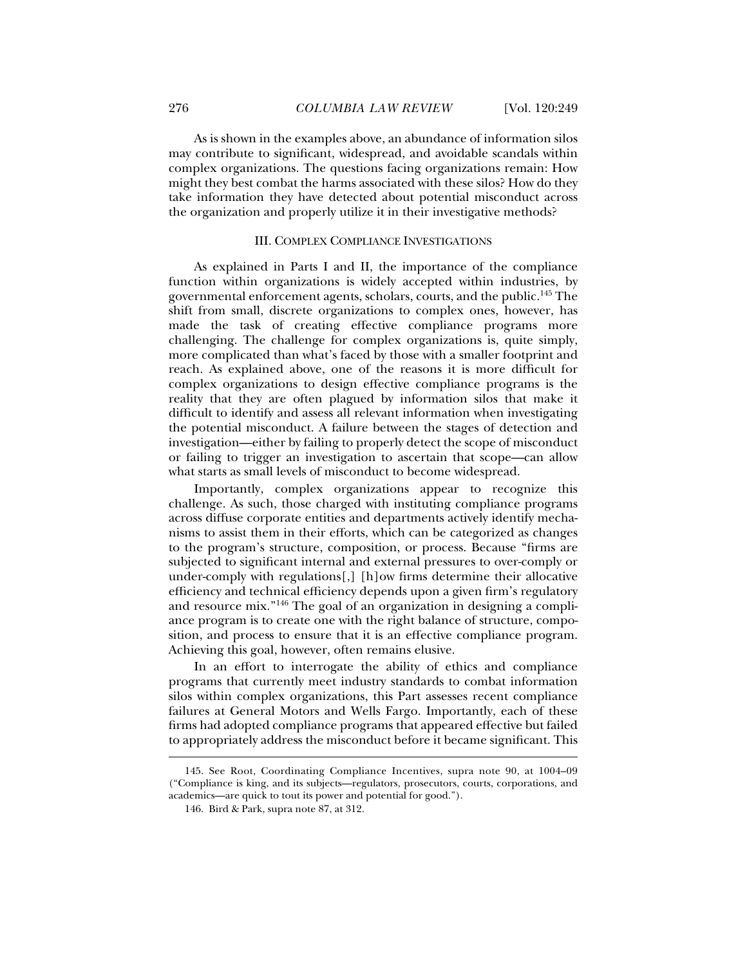As is shown in the examples above, an abundance of information silos may contribute to significant, widespread, and avoidable scandals within complex organizations. The questions facing organizations remain: How might they best combat the harms associated with these silos? How do they take information they have detected about potential misconduct across the organization and properly utilize it in their investigative methods?

#### III. COMPLEX COMPLIANCE INVESTIGATIONS

As explained in Parts I and II, the importance of the compliance function within organizations is widely accepted within industries, by governmental enforcement agents, scholars, courts, and the public.145 The shift from small, discrete organizations to complex ones, however, has made the task of creating effective compliance programs more challenging. The challenge for complex organizations is, quite simply, more complicated than what's faced by those with a smaller footprint and reach. As explained above, one of the reasons it is more difficult for complex organizations to design effective compliance programs is the reality that they are often plagued by information silos that make it difficult to identify and assess all relevant information when investigating the potential misconduct. A failure between the stages of detection and investigation—either by failing to properly detect the scope of misconduct or failing to trigger an investigation to ascertain that scope—can allow what starts as small levels of misconduct to become widespread.

Importantly, complex organizations appear to recognize this challenge. As such, those charged with instituting compliance programs across diffuse corporate entities and departments actively identify mechanisms to assist them in their efforts, which can be categorized as changes to the program's structure, composition, or process. Because "firms are subjected to significant internal and external pressures to over-comply or under-comply with regulations[,] [h]ow firms determine their allocative efficiency and technical efficiency depends upon a given firm's regulatory and resource mix."146 The goal of an organization in designing a compliance program is to create one with the right balance of structure, composition, and process to ensure that it is an effective compliance program. Achieving this goal, however, often remains elusive.

In an effort to interrogate the ability of ethics and compliance programs that currently meet industry standards to combat information silos within complex organizations, this Part assesses recent compliance failures at General Motors and Wells Fargo. Importantly, each of these firms had adopted compliance programs that appeared effective but failed to appropriately address the misconduct before it became significant. This

 <sup>145.</sup> See Root, Coordinating Compliance Incentives, supra note 90, at 1004–09 ("Compliance is king, and its subjects—regulators, prosecutors, courts, corporations, and academics—are quick to tout its power and potential for good.").

 <sup>146.</sup> Bird & Park, supra note 87, at 312.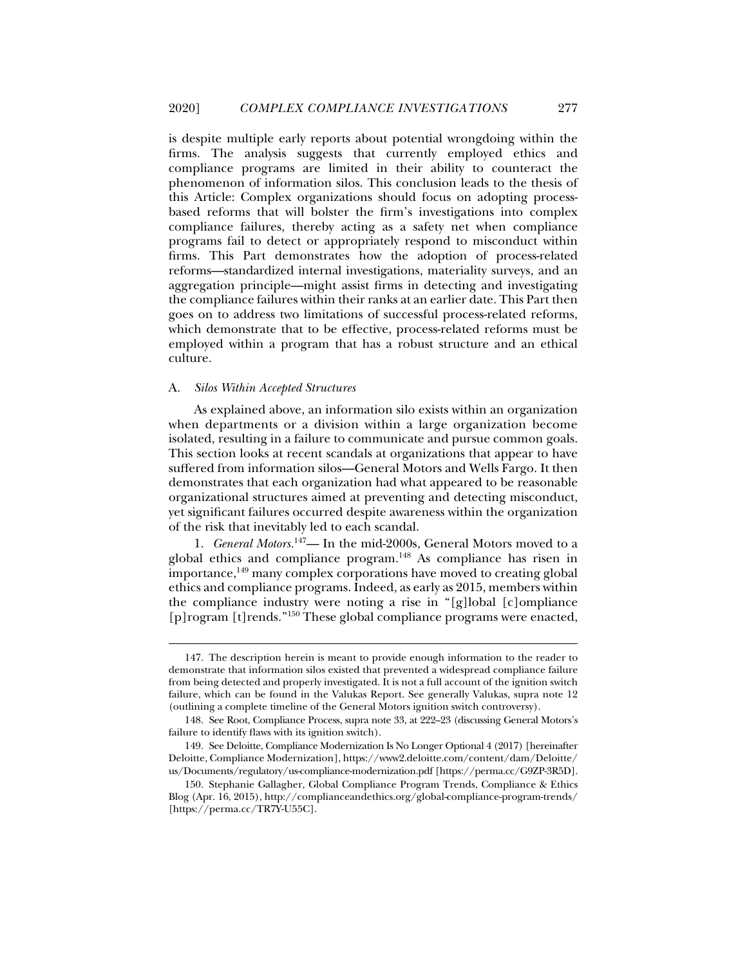is despite multiple early reports about potential wrongdoing within the firms. The analysis suggests that currently employed ethics and compliance programs are limited in their ability to counteract the phenomenon of information silos. This conclusion leads to the thesis of this Article: Complex organizations should focus on adopting processbased reforms that will bolster the firm's investigations into complex compliance failures, thereby acting as a safety net when compliance programs fail to detect or appropriately respond to misconduct within firms. This Part demonstrates how the adoption of process-related reforms—standardized internal investigations, materiality surveys, and an aggregation principle—might assist firms in detecting and investigating the compliance failures within their ranks at an earlier date. This Part then goes on to address two limitations of successful process-related reforms, which demonstrate that to be effective, process-related reforms must be employed within a program that has a robust structure and an ethical culture.

#### A. *Silos Within Accepted Structures*

j

As explained above, an information silo exists within an organization when departments or a division within a large organization become isolated, resulting in a failure to communicate and pursue common goals. This section looks at recent scandals at organizations that appear to have suffered from information silos—General Motors and Wells Fargo. It then demonstrates that each organization had what appeared to be reasonable organizational structures aimed at preventing and detecting misconduct, yet significant failures occurred despite awareness within the organization of the risk that inevitably led to each scandal.

1. *General Motors.*147— In the mid-2000s, General Motors moved to a global ethics and compliance program.<sup>148</sup> As compliance has risen in  $im$ portance, $149$  many complex corporations have moved to creating global ethics and compliance programs. Indeed, as early as 2015, members within the compliance industry were noting a rise in "[g]lobal [c]ompliance [p]rogram [t]rends."<sup>150</sup> These global compliance programs were enacted,

 <sup>147.</sup> The description herein is meant to provide enough information to the reader to demonstrate that information silos existed that prevented a widespread compliance failure from being detected and properly investigated. It is not a full account of the ignition switch failure, which can be found in the Valukas Report. See generally Valukas, supra note 12 (outlining a complete timeline of the General Motors ignition switch controversy).

 <sup>148.</sup> See Root, Compliance Process, supra note 33, at 222–23 (discussing General Motors's failure to identify flaws with its ignition switch).

 <sup>149.</sup> See Deloitte, Compliance Modernization Is No Longer Optional 4 (2017) [hereinafter Deloitte, Compliance Modernization], https://www2.deloitte.com/content/dam/Deloitte/ us/Documents/regulatory/us-compliance-modernization.pdf [https://perma.cc/G9ZP-3R5D].

 <sup>150.</sup> Stephanie Gallagher, Global Compliance Program Trends, Compliance & Ethics Blog (Apr. 16, 2015), http://complianceandethics.org/global-compliance-program-trends/ [https://perma.cc/TR7Y-U55C].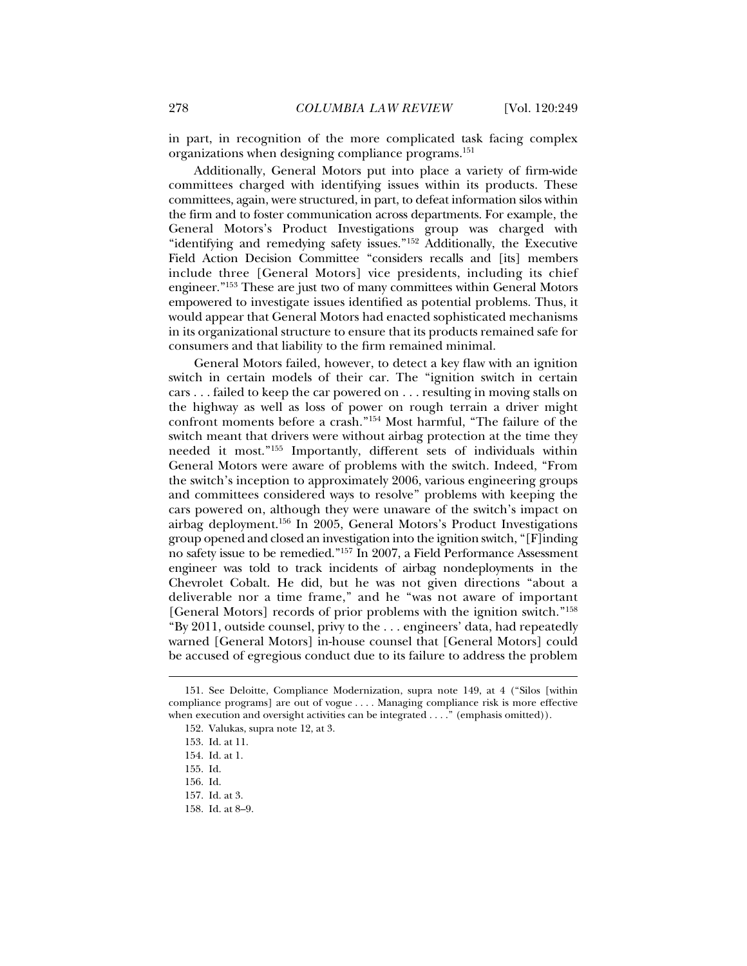in part, in recognition of the more complicated task facing complex organizations when designing compliance programs.151

Additionally, General Motors put into place a variety of firm-wide committees charged with identifying issues within its products. These committees, again, were structured, in part, to defeat information silos within the firm and to foster communication across departments. For example, the General Motors's Product Investigations group was charged with "identifying and remedying safety issues."152 Additionally, the Executive Field Action Decision Committee "considers recalls and [its] members include three [General Motors] vice presidents, including its chief engineer."153 These are just two of many committees within General Motors empowered to investigate issues identified as potential problems. Thus, it would appear that General Motors had enacted sophisticated mechanisms in its organizational structure to ensure that its products remained safe for consumers and that liability to the firm remained minimal.

General Motors failed, however, to detect a key flaw with an ignition switch in certain models of their car. The "ignition switch in certain cars . . . failed to keep the car powered on . . . resulting in moving stalls on the highway as well as loss of power on rough terrain a driver might confront moments before a crash."154 Most harmful, "The failure of the switch meant that drivers were without airbag protection at the time they needed it most."155 Importantly, different sets of individuals within General Motors were aware of problems with the switch. Indeed, "From the switch's inception to approximately 2006, various engineering groups and committees considered ways to resolve" problems with keeping the cars powered on, although they were unaware of the switch's impact on airbag deployment.156 In 2005, General Motors's Product Investigations group opened and closed an investigation into the ignition switch, "[F]inding no safety issue to be remedied."157 In 2007, a Field Performance Assessment engineer was told to track incidents of airbag nondeployments in the Chevrolet Cobalt. He did, but he was not given directions "about a deliverable nor a time frame," and he "was not aware of important [General Motors] records of prior problems with the ignition switch."158 "By 2011, outside counsel, privy to the . . . engineers' data, had repeatedly warned [General Motors] in-house counsel that [General Motors] could be accused of egregious conduct due to its failure to address the problem

 <sup>151.</sup> See Deloitte, Compliance Modernization, supra note 149, at 4 ("Silos [within compliance programs] are out of vogue . . . . Managing compliance risk is more effective when execution and oversight activities can be integrated . . . ." (emphasis omitted)).

 <sup>152.</sup> Valukas, supra note 12, at 3.

 <sup>153.</sup> Id. at 11.

 <sup>154.</sup> Id. at 1.

 <sup>155.</sup> Id.

 <sup>156.</sup> Id.

 <sup>157.</sup> Id. at 3.

 <sup>158.</sup> Id. at 8–9.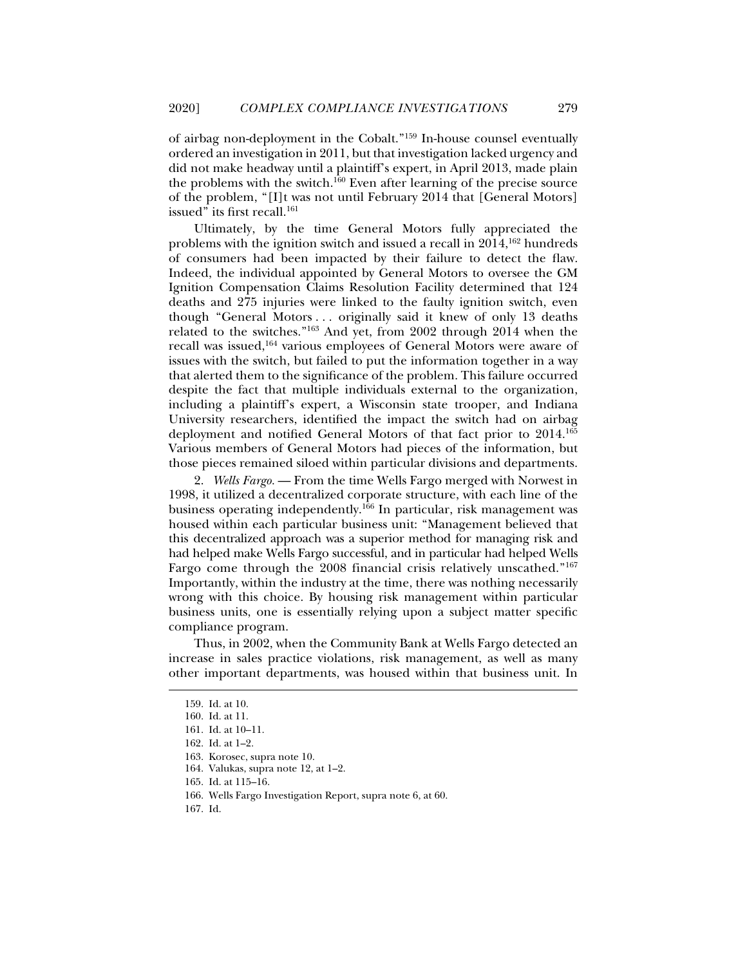of airbag non-deployment in the Cobalt."159 In-house counsel eventually ordered an investigation in 2011, but that investigation lacked urgency and did not make headway until a plaintiff's expert, in April 2013, made plain the problems with the switch.160 Even after learning of the precise source of the problem, "[I]t was not until February 2014 that [General Motors] issued" its first recall.<sup>161</sup>

Ultimately, by the time General Motors fully appreciated the problems with the ignition switch and issued a recall in  $2014$ ,  $^{162}$  hundreds of consumers had been impacted by their failure to detect the flaw. Indeed, the individual appointed by General Motors to oversee the GM Ignition Compensation Claims Resolution Facility determined that 124 deaths and 275 injuries were linked to the faulty ignition switch, even though "General Motors . . . originally said it knew of only 13 deaths related to the switches."163 And yet, from 2002 through 2014 when the recall was issued,164 various employees of General Motors were aware of issues with the switch, but failed to put the information together in a way that alerted them to the significance of the problem. This failure occurred despite the fact that multiple individuals external to the organization, including a plaintiff's expert, a Wisconsin state trooper, and Indiana University researchers, identified the impact the switch had on airbag deployment and notified General Motors of that fact prior to 2014.165 Various members of General Motors had pieces of the information, but those pieces remained siloed within particular divisions and departments.

2. *Wells Fargo.* — From the time Wells Fargo merged with Norwest in 1998, it utilized a decentralized corporate structure, with each line of the business operating independently.<sup>166</sup> In particular, risk management was housed within each particular business unit: "Management believed that this decentralized approach was a superior method for managing risk and had helped make Wells Fargo successful, and in particular had helped Wells Fargo come through the 2008 financial crisis relatively unscathed."167 Importantly, within the industry at the time, there was nothing necessarily wrong with this choice. By housing risk management within particular business units, one is essentially relying upon a subject matter specific compliance program.

Thus, in 2002, when the Community Bank at Wells Fargo detected an increase in sales practice violations, risk management, as well as many other important departments, was housed within that business unit. In

 <sup>159.</sup> Id. at 10.

 <sup>160.</sup> Id. at 11.

 <sup>161.</sup> Id. at 10–11.

 <sup>162.</sup> Id. at 1–2.

 <sup>163.</sup> Korosec, supra note 10.

 <sup>164.</sup> Valukas, supra note 12, at 1–2.

 <sup>165.</sup> Id. at 115–16.

 <sup>166.</sup> Wells Fargo Investigation Report, supra note 6, at 60.

 <sup>167.</sup> Id.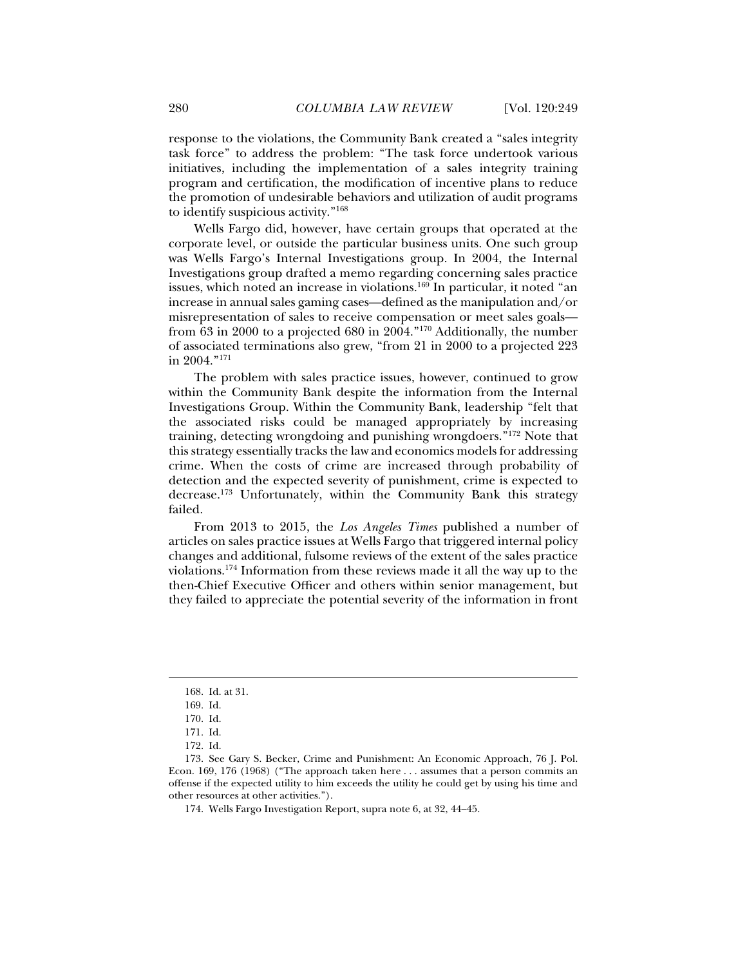response to the violations, the Community Bank created a "sales integrity task force" to address the problem: "The task force undertook various initiatives, including the implementation of a sales integrity training program and certification, the modification of incentive plans to reduce the promotion of undesirable behaviors and utilization of audit programs to identify suspicious activity."168

Wells Fargo did, however, have certain groups that operated at the corporate level, or outside the particular business units. One such group was Wells Fargo's Internal Investigations group. In 2004, the Internal Investigations group drafted a memo regarding concerning sales practice issues, which noted an increase in violations.<sup>169</sup> In particular, it noted "an increase in annual sales gaming cases—defined as the manipulation and/or misrepresentation of sales to receive compensation or meet sales goals from 63 in 2000 to a projected 680 in 2004."170 Additionally, the number of associated terminations also grew, "from 21 in 2000 to a projected 223 in 2004."171

The problem with sales practice issues, however, continued to grow within the Community Bank despite the information from the Internal Investigations Group. Within the Community Bank, leadership "felt that the associated risks could be managed appropriately by increasing training, detecting wrongdoing and punishing wrongdoers."172 Note that this strategy essentially tracks the law and economics models for addressing crime. When the costs of crime are increased through probability of detection and the expected severity of punishment, crime is expected to decrease.173 Unfortunately, within the Community Bank this strategy failed.

From 2013 to 2015, the *Los Angeles Times* published a number of articles on sales practice issues at Wells Fargo that triggered internal policy changes and additional, fulsome reviews of the extent of the sales practice violations.174 Information from these reviews made it all the way up to the then-Chief Executive Officer and others within senior management, but they failed to appreciate the potential severity of the information in front

 <sup>168.</sup> Id. at 31.

 <sup>169.</sup> Id.

 <sup>170.</sup> Id.

 <sup>171.</sup> Id.

 <sup>172.</sup> Id.

 <sup>173.</sup> See Gary S. Becker, Crime and Punishment: An Economic Approach, 76 J. Pol. Econ. 169, 176 (1968) ("The approach taken here . . . assumes that a person commits an offense if the expected utility to him exceeds the utility he could get by using his time and other resources at other activities.").

 <sup>174.</sup> Wells Fargo Investigation Report, supra note 6, at 32, 44–45.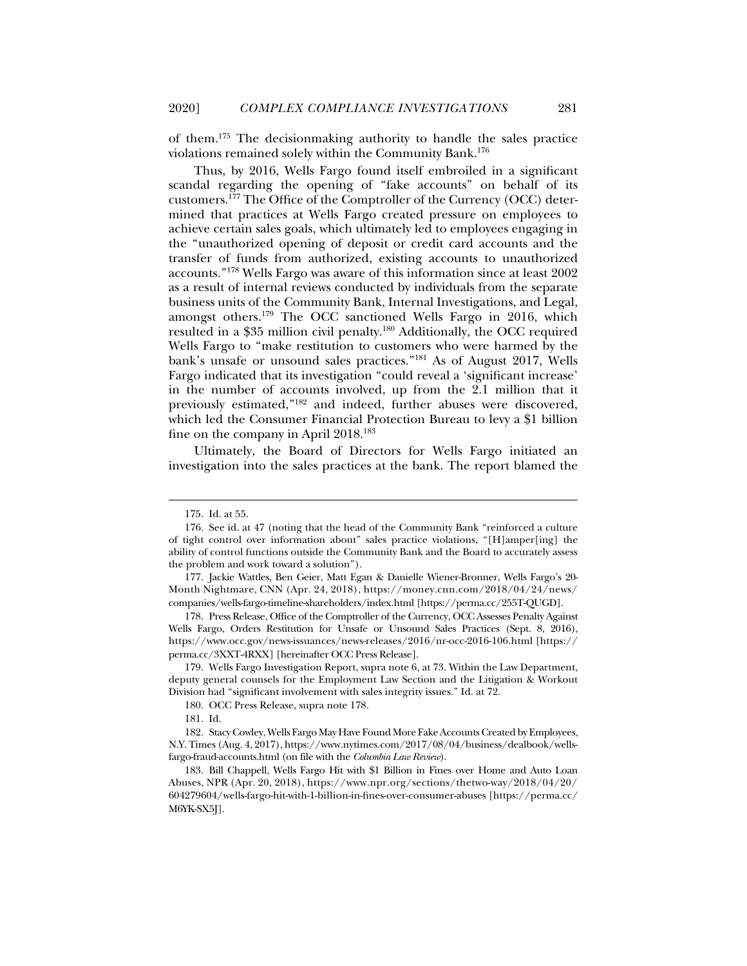of them.175 The decisionmaking authority to handle the sales practice violations remained solely within the Community Bank.176

Thus, by 2016, Wells Fargo found itself embroiled in a significant scandal regarding the opening of "fake accounts" on behalf of its customers.177 The Office of the Comptroller of the Currency (OCC) determined that practices at Wells Fargo created pressure on employees to achieve certain sales goals, which ultimately led to employees engaging in the "unauthorized opening of deposit or credit card accounts and the transfer of funds from authorized, existing accounts to unauthorized accounts."178 Wells Fargo was aware of this information since at least 2002 as a result of internal reviews conducted by individuals from the separate business units of the Community Bank, Internal Investigations, and Legal, amongst others.179 The OCC sanctioned Wells Fargo in 2016, which resulted in a \$35 million civil penalty.180 Additionally, the OCC required Wells Fargo to "make restitution to customers who were harmed by the bank's unsafe or unsound sales practices."181 As of August 2017, Wells Fargo indicated that its investigation "could reveal a 'significant increase' in the number of accounts involved, up from the 2.1 million that it previously estimated,"182 and indeed, further abuses were discovered, which led the Consumer Financial Protection Bureau to levy a \$1 billion fine on the company in April 2018.<sup>183</sup>

Ultimately, the Board of Directors for Wells Fargo initiated an investigation into the sales practices at the bank. The report blamed the

 <sup>175.</sup> Id. at 55.

 <sup>176.</sup> See id. at 47 (noting that the head of the Community Bank "reinforced a culture of tight control over information about" sales practice violations, "[H]amper[ing] the ability of control functions outside the Community Bank and the Board to accurately assess the problem and work toward a solution").

 <sup>177.</sup> Jackie Wattles, Ben Geier, Matt Egan & Danielle Wiener-Bronner, Wells Fargo's 20- Month Nightmare, CNN (Apr. 24, 2018), https://money.cnn.com/2018/04/24/news/ companies/wells-fargo-timeline-shareholders/index.html [https://perma.cc/255T-QUGD].

 <sup>178.</sup> Press Release, Office of the Comptroller of the Currency, OCC Assesses Penalty Against Wells Fargo, Orders Restitution for Unsafe or Unsound Sales Practices (Sept. 8, 2016), https://www.occ.gov/news-issuances/news-releases/2016/nr-occ-2016-106.html [https:// perma.cc/3XXT-4RXX] [hereinafter OCC Press Release].

 <sup>179.</sup> Wells Fargo Investigation Report, supra note 6, at 73. Within the Law Department, deputy general counsels for the Employment Law Section and the Litigation & Workout Division had "significant involvement with sales integrity issues." Id. at 72.

 <sup>180.</sup> OCC Press Release, supra note 178.

 <sup>181.</sup> Id.

 <sup>182.</sup> Stacy Cowley, Wells Fargo May Have Found More Fake Accounts Created by Employees, N.Y. Times (Aug. 4, 2017), https://www.nytimes.com/2017/08/04/business/dealbook/wellsfargo-fraud-accounts.html (on file with the *Columbia Law Review*).

 <sup>183.</sup> Bill Chappell, Wells Fargo Hit with \$1 Billion in Fines over Home and Auto Loan Abuses, NPR (Apr. 20, 2018), https://www.npr.org/sections/thetwo-way/2018/04/20/ 604279604/wells-fargo-hit-with-1-billion-in-fines-over-consumer-abuses [https://perma.cc/ M6YK-SX5J].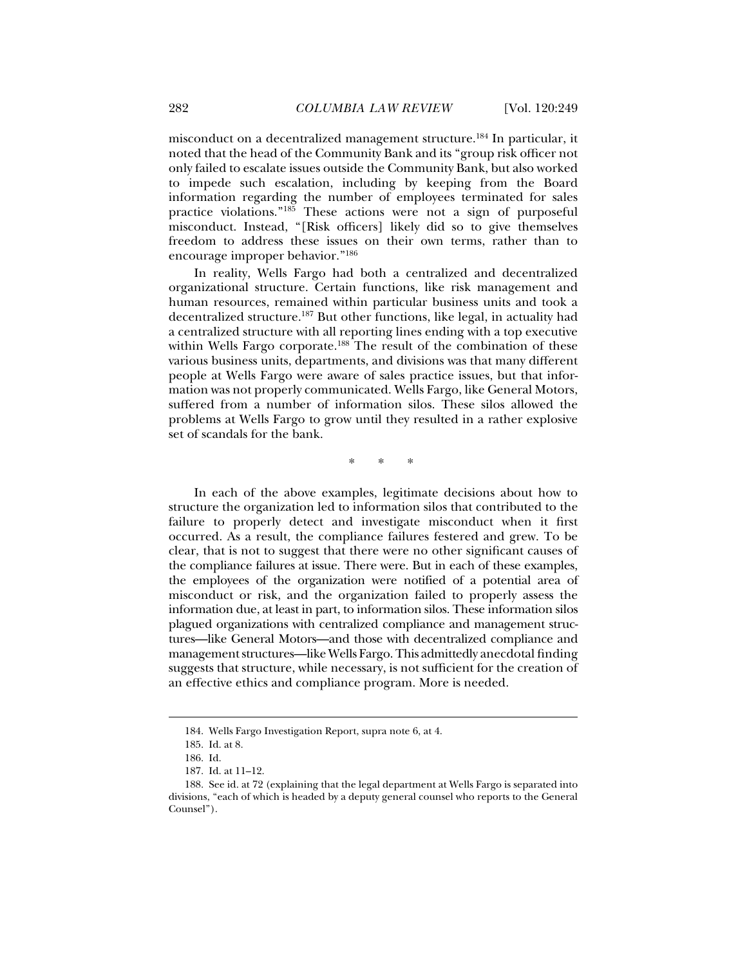misconduct on a decentralized management structure.184 In particular, it noted that the head of the Community Bank and its "group risk officer not only failed to escalate issues outside the Community Bank, but also worked to impede such escalation, including by keeping from the Board information regarding the number of employees terminated for sales practice violations."185 These actions were not a sign of purposeful misconduct. Instead, "[Risk officers] likely did so to give themselves freedom to address these issues on their own terms, rather than to encourage improper behavior."186

In reality, Wells Fargo had both a centralized and decentralized organizational structure. Certain functions, like risk management and human resources, remained within particular business units and took a decentralized structure.187 But other functions, like legal, in actuality had a centralized structure with all reporting lines ending with a top executive within Wells Fargo corporate.<sup>188</sup> The result of the combination of these various business units, departments, and divisions was that many different people at Wells Fargo were aware of sales practice issues, but that information was not properly communicated. Wells Fargo, like General Motors, suffered from a number of information silos. These silos allowed the problems at Wells Fargo to grow until they resulted in a rather explosive set of scandals for the bank.

\* \* \*

In each of the above examples, legitimate decisions about how to structure the organization led to information silos that contributed to the failure to properly detect and investigate misconduct when it first occurred. As a result, the compliance failures festered and grew. To be clear, that is not to suggest that there were no other significant causes of the compliance failures at issue. There were. But in each of these examples, the employees of the organization were notified of a potential area of misconduct or risk, and the organization failed to properly assess the information due, at least in part, to information silos. These information silos plagued organizations with centralized compliance and management structures—like General Motors—and those with decentralized compliance and management structures—like Wells Fargo. This admittedly anecdotal finding suggests that structure, while necessary, is not sufficient for the creation of an effective ethics and compliance program. More is needed.

 <sup>184.</sup> Wells Fargo Investigation Report, supra note 6, at 4.

 <sup>185.</sup> Id. at 8.

 <sup>186.</sup> Id.

 <sup>187.</sup> Id. at 11–12.

 <sup>188.</sup> See id. at 72 (explaining that the legal department at Wells Fargo is separated into divisions, "each of which is headed by a deputy general counsel who reports to the General Counsel").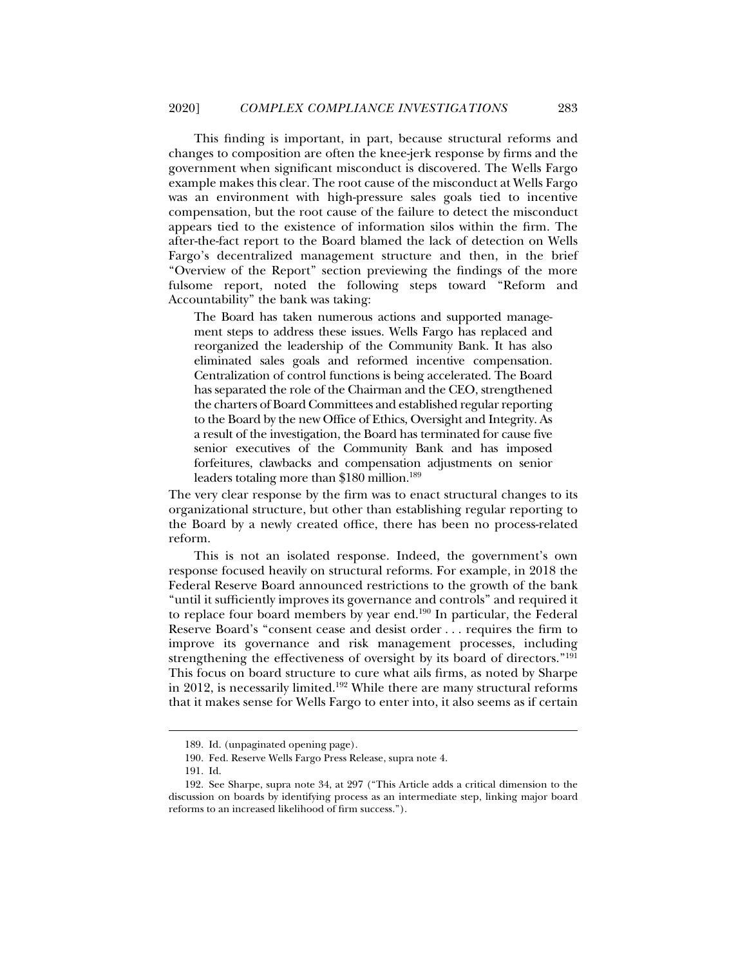This finding is important, in part, because structural reforms and changes to composition are often the knee-jerk response by firms and the government when significant misconduct is discovered. The Wells Fargo example makes this clear. The root cause of the misconduct at Wells Fargo was an environment with high-pressure sales goals tied to incentive compensation, but the root cause of the failure to detect the misconduct appears tied to the existence of information silos within the firm. The after-the-fact report to the Board blamed the lack of detection on Wells Fargo's decentralized management structure and then, in the brief "Overview of the Report" section previewing the findings of the more fulsome report, noted the following steps toward "Reform and Accountability" the bank was taking:

The Board has taken numerous actions and supported management steps to address these issues. Wells Fargo has replaced and reorganized the leadership of the Community Bank. It has also eliminated sales goals and reformed incentive compensation. Centralization of control functions is being accelerated. The Board has separated the role of the Chairman and the CEO, strengthened the charters of Board Committees and established regular reporting to the Board by the new Office of Ethics, Oversight and Integrity. As a result of the investigation, the Board has terminated for cause five senior executives of the Community Bank and has imposed forfeitures, clawbacks and compensation adjustments on senior leaders totaling more than \$180 million.<sup>189</sup>

The very clear response by the firm was to enact structural changes to its organizational structure, but other than establishing regular reporting to the Board by a newly created office, there has been no process-related reform.

This is not an isolated response. Indeed, the government's own response focused heavily on structural reforms. For example, in 2018 the Federal Reserve Board announced restrictions to the growth of the bank "until it sufficiently improves its governance and controls" and required it to replace four board members by year end.<sup>190</sup> In particular, the Federal Reserve Board's "consent cease and desist order . . . requires the firm to improve its governance and risk management processes, including strengthening the effectiveness of oversight by its board of directors."191 This focus on board structure to cure what ails firms, as noted by Sharpe in 2012, is necessarily limited.192 While there are many structural reforms that it makes sense for Wells Fargo to enter into, it also seems as if certain

 <sup>189.</sup> Id. (unpaginated opening page).

 <sup>190.</sup> Fed. Reserve Wells Fargo Press Release, supra note 4.

 <sup>191.</sup> Id.

 <sup>192.</sup> See Sharpe, supra note 34, at 297 ("This Article adds a critical dimension to the discussion on boards by identifying process as an intermediate step, linking major board reforms to an increased likelihood of firm success.").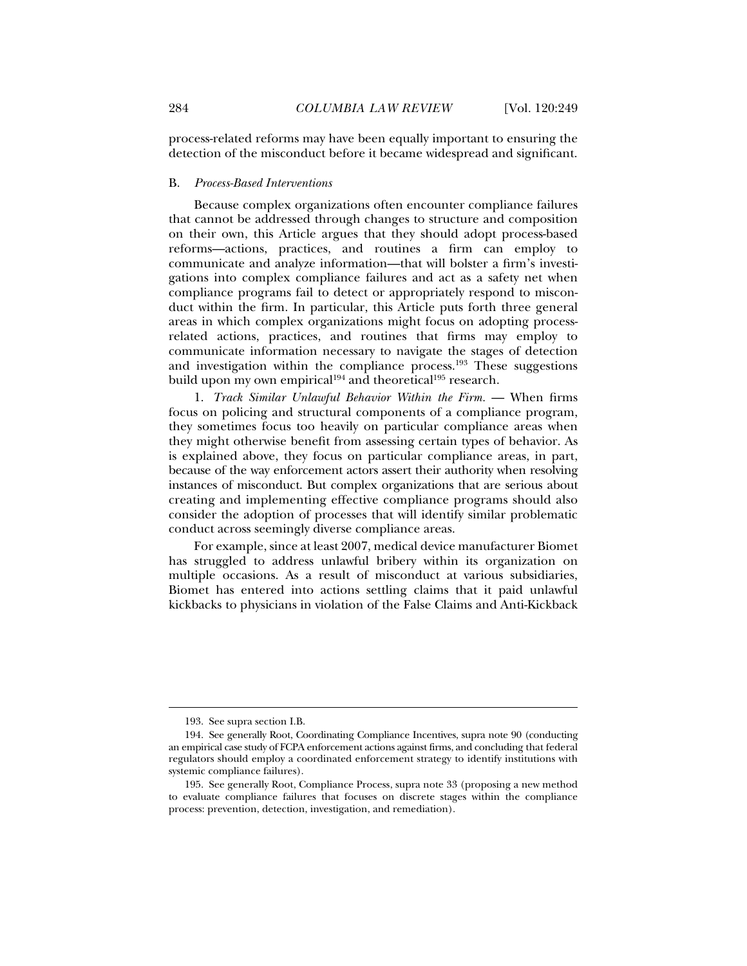process-related reforms may have been equally important to ensuring the detection of the misconduct before it became widespread and significant.

#### B. *Process-Based Interventions*

Because complex organizations often encounter compliance failures that cannot be addressed through changes to structure and composition on their own, this Article argues that they should adopt process-based reforms—actions, practices, and routines a firm can employ to communicate and analyze information—that will bolster a firm's investigations into complex compliance failures and act as a safety net when compliance programs fail to detect or appropriately respond to misconduct within the firm. In particular, this Article puts forth three general areas in which complex organizations might focus on adopting processrelated actions, practices, and routines that firms may employ to communicate information necessary to navigate the stages of detection and investigation within the compliance process.193 These suggestions build upon my own empirical<sup>194</sup> and theoretical<sup>195</sup> research.

1. Track Similar Unlawful Behavior Within the Firm. — When firms focus on policing and structural components of a compliance program, they sometimes focus too heavily on particular compliance areas when they might otherwise benefit from assessing certain types of behavior. As is explained above, they focus on particular compliance areas, in part, because of the way enforcement actors assert their authority when resolving instances of misconduct. But complex organizations that are serious about creating and implementing effective compliance programs should also consider the adoption of processes that will identify similar problematic conduct across seemingly diverse compliance areas.

For example, since at least 2007, medical device manufacturer Biomet has struggled to address unlawful bribery within its organization on multiple occasions. As a result of misconduct at various subsidiaries, Biomet has entered into actions settling claims that it paid unlawful kickbacks to physicians in violation of the False Claims and Anti-Kickback

 <sup>193.</sup> See supra section I.B.

 <sup>194.</sup> See generally Root, Coordinating Compliance Incentives, supra note 90 (conducting an empirical case study of FCPA enforcement actions against firms, and concluding that federal regulators should employ a coordinated enforcement strategy to identify institutions with systemic compliance failures).

 <sup>195.</sup> See generally Root, Compliance Process, supra note 33 (proposing a new method to evaluate compliance failures that focuses on discrete stages within the compliance process: prevention, detection, investigation, and remediation).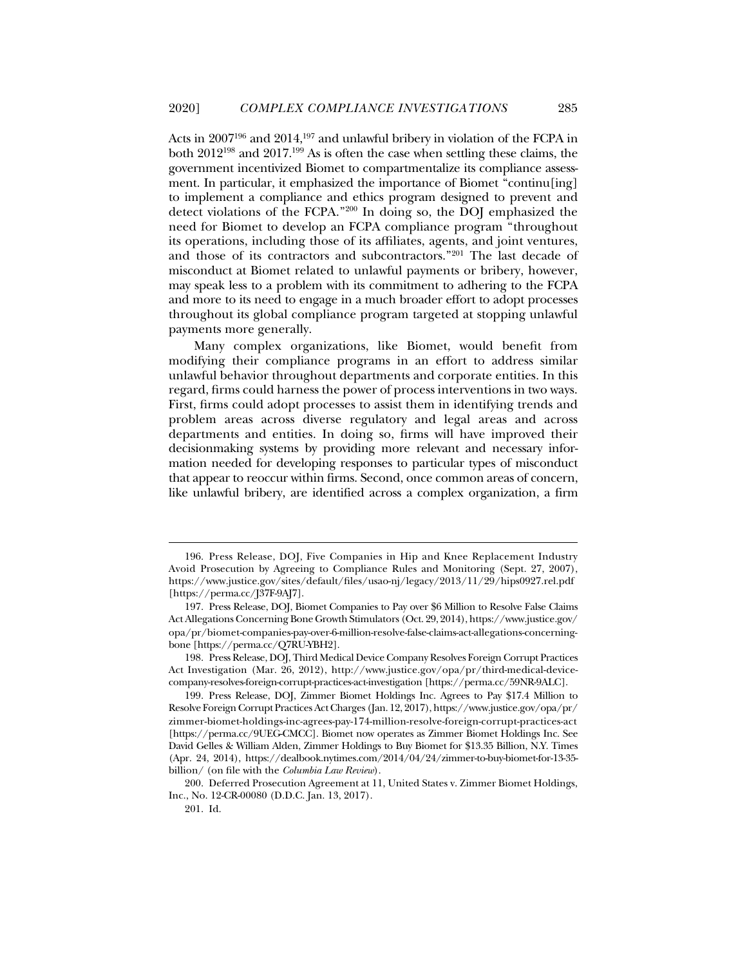Acts in 2007196 and 2014,197 and unlawful bribery in violation of the FCPA in both 2012198 and 2017.199 As is often the case when settling these claims, the government incentivized Biomet to compartmentalize its compliance assessment. In particular, it emphasized the importance of Biomet "continu[ing] to implement a compliance and ethics program designed to prevent and detect violations of the FCPA."200 In doing so, the DOJ emphasized the need for Biomet to develop an FCPA compliance program "throughout its operations, including those of its affiliates, agents, and joint ventures, and those of its contractors and subcontractors."201 The last decade of misconduct at Biomet related to unlawful payments or bribery, however, may speak less to a problem with its commitment to adhering to the FCPA and more to its need to engage in a much broader effort to adopt processes throughout its global compliance program targeted at stopping unlawful payments more generally.

Many complex organizations, like Biomet, would benefit from modifying their compliance programs in an effort to address similar unlawful behavior throughout departments and corporate entities. In this regard, firms could harness the power of process interventions in two ways. First, firms could adopt processes to assist them in identifying trends and problem areas across diverse regulatory and legal areas and across departments and entities. In doing so, firms will have improved their decisionmaking systems by providing more relevant and necessary information needed for developing responses to particular types of misconduct that appear to reoccur within firms. Second, once common areas of concern, like unlawful bribery, are identified across a complex organization, a firm

 <sup>196.</sup> Press Release, DOJ, Five Companies in Hip and Knee Replacement Industry Avoid Prosecution by Agreeing to Compliance Rules and Monitoring (Sept. 27, 2007), https://www.justice.gov/sites/default/files/usao-nj/legacy/2013/11/29/hips0927.rel.pdf [https://perma.cc/J37F-9AJ7].

 <sup>197.</sup> Press Release, DOJ, Biomet Companies to Pay over \$6 Million to Resolve False Claims Act Allegations Concerning Bone Growth Stimulators (Oct. 29, 2014), https://www.justice.gov/ opa/pr/biomet-companies-pay-over-6-million-resolve-false-claims-act-allegations-concerningbone [https://perma.cc/Q7RU-YBH2].

 <sup>198.</sup> Press Release, DOJ, Third Medical Device Company Resolves Foreign Corrupt Practices Act Investigation (Mar. 26, 2012), http://www.justice.gov/opa/pr/third-medical-devicecompany-resolves-foreign-corrupt-practices-act-investigation [https://perma.cc/59NR-9ALC].

 <sup>199.</sup> Press Release, DOJ, Zimmer Biomet Holdings Inc. Agrees to Pay \$17.4 Million to Resolve Foreign Corrupt Practices Act Charges (Jan. 12, 2017), https://www.justice.gov/opa/pr/ zimmer-biomet-holdings-inc-agrees-pay-174-million-resolve-foreign-corrupt-practices-act [https://perma.cc/9UEG-CMCC]. Biomet now operates as Zimmer Biomet Holdings Inc. See David Gelles & William Alden, Zimmer Holdings to Buy Biomet for \$13.35 Billion, N.Y. Times (Apr. 24, 2014), https://dealbook.nytimes.com/2014/04/24/zimmer-to-buy-biomet-for-13-35 billion/ (on file with the *Columbia Law Review*).

 <sup>200.</sup> Deferred Prosecution Agreement at 11, United States v. Zimmer Biomet Holdings, Inc., No. 12-CR-00080 (D.D.C. Jan. 13, 2017).

 <sup>201.</sup> Id.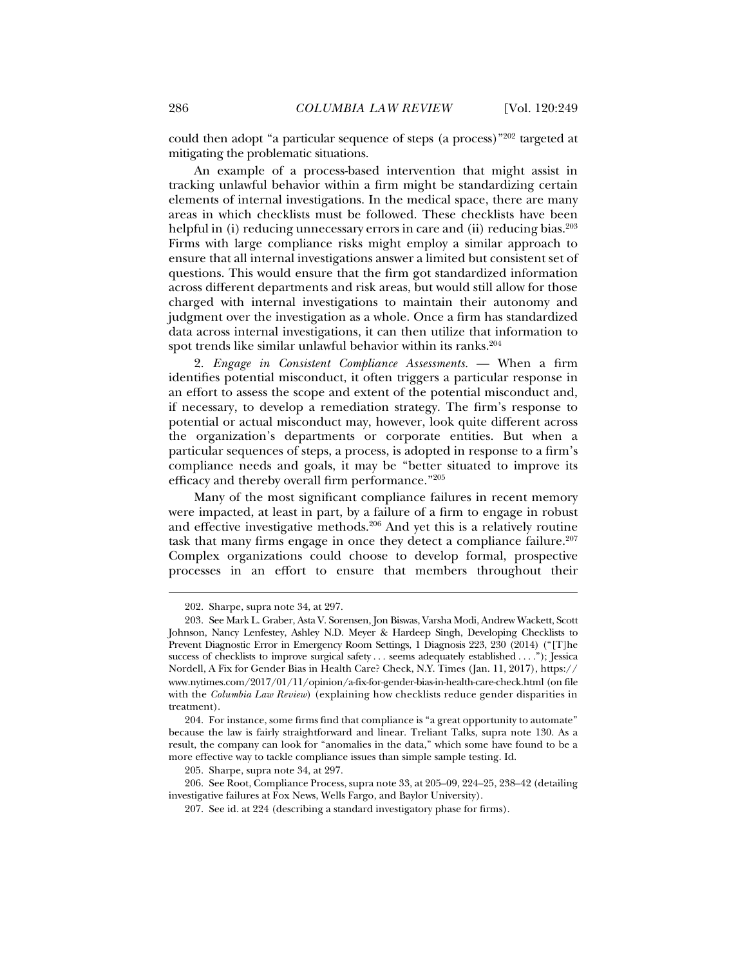could then adopt "a particular sequence of steps (a process)"202 targeted at mitigating the problematic situations.

An example of a process-based intervention that might assist in tracking unlawful behavior within a firm might be standardizing certain elements of internal investigations. In the medical space, there are many areas in which checklists must be followed. These checklists have been helpful in (i) reducing unnecessary errors in care and (ii) reducing bias.<sup>203</sup> Firms with large compliance risks might employ a similar approach to ensure that all internal investigations answer a limited but consistent set of questions. This would ensure that the firm got standardized information across different departments and risk areas, but would still allow for those charged with internal investigations to maintain their autonomy and judgment over the investigation as a whole. Once a firm has standardized data across internal investigations, it can then utilize that information to spot trends like similar unlawful behavior within its ranks.<sup>204</sup>

2. *Engage in Consistent Compliance Assessments.* — When a firm identifies potential misconduct, it often triggers a particular response in an effort to assess the scope and extent of the potential misconduct and, if necessary, to develop a remediation strategy. The firm's response to potential or actual misconduct may, however, look quite different across the organization's departments or corporate entities. But when a particular sequences of steps, a process, is adopted in response to a firm's compliance needs and goals, it may be "better situated to improve its efficacy and thereby overall firm performance."205

Many of the most significant compliance failures in recent memory were impacted, at least in part, by a failure of a firm to engage in robust and effective investigative methods.206 And yet this is a relatively routine task that many firms engage in once they detect a compliance failure.<sup>207</sup> Complex organizations could choose to develop formal, prospective processes in an effort to ensure that members throughout their

j

 204. For instance, some firms find that compliance is "a great opportunity to automate" because the law is fairly straightforward and linear. Treliant Talks, supra note 130. As a result, the company can look for "anomalies in the data," which some have found to be a more effective way to tackle compliance issues than simple sample testing. Id.

205. Sharpe, supra note 34, at 297.

 206. See Root, Compliance Process, supra note 33, at 205–09, 224–25, 238–42 (detailing investigative failures at Fox News, Wells Fargo, and Baylor University).

207. See id. at 224 (describing a standard investigatory phase for firms).

 <sup>202.</sup> Sharpe, supra note 34, at 297.

 <sup>203.</sup> See Mark L. Graber, Asta V. Sorensen, Jon Biswas, Varsha Modi, Andrew Wackett, Scott Johnson, Nancy Lenfestey, Ashley N.D. Meyer & Hardeep Singh, Developing Checklists to Prevent Diagnostic Error in Emergency Room Settings, 1 Diagnosis 223, 230 (2014) ("[T]he success of checklists to improve surgical safety . . . seems adequately established . . . ."); Jessica Nordell, A Fix for Gender Bias in Health Care? Check, N.Y. Times (Jan. 11, 2017), https:// www.nytimes.com/2017/01/11/opinion/a-fix-for-gender-bias-in-health-care-check.html (on file with the *Columbia Law Review*) (explaining how checklists reduce gender disparities in treatment).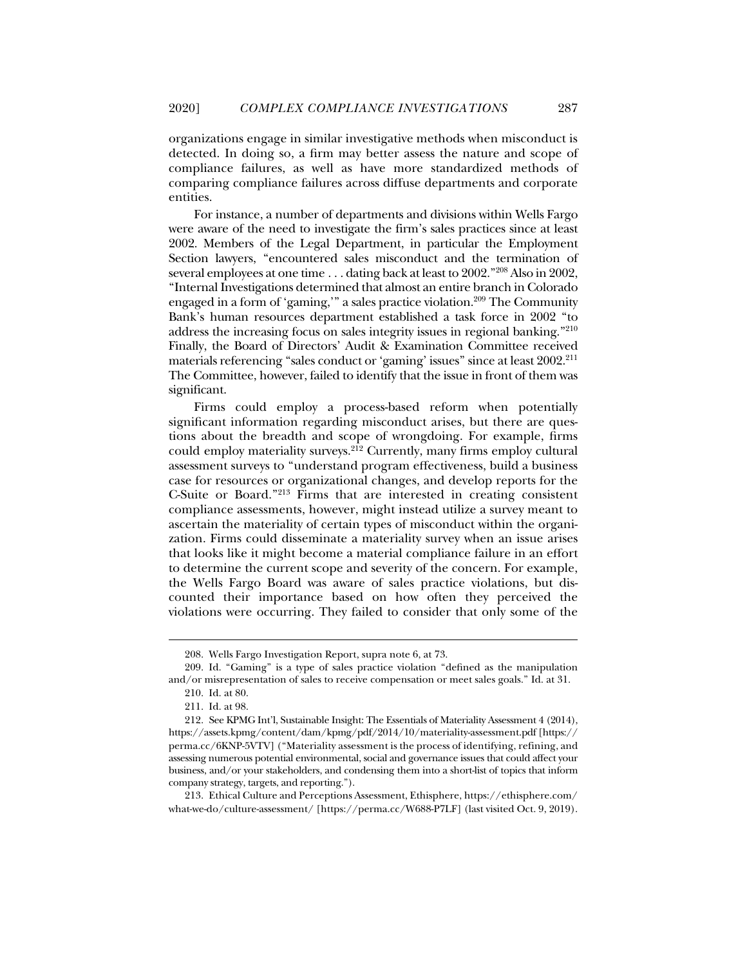organizations engage in similar investigative methods when misconduct is detected. In doing so, a firm may better assess the nature and scope of compliance failures, as well as have more standardized methods of comparing compliance failures across diffuse departments and corporate entities.

For instance, a number of departments and divisions within Wells Fargo were aware of the need to investigate the firm's sales practices since at least 2002. Members of the Legal Department, in particular the Employment Section lawyers, "encountered sales misconduct and the termination of several employees at one time . . . dating back at least to 2002."208 Also in 2002, "Internal Investigations determined that almost an entire branch in Colorado engaged in a form of 'gaming,'" a sales practice violation.<sup>209</sup> The Community Bank's human resources department established a task force in 2002 "to address the increasing focus on sales integrity issues in regional banking."210 Finally, the Board of Directors' Audit & Examination Committee received materials referencing "sales conduct or 'gaming' issues" since at least 2002.<sup>211</sup> The Committee, however, failed to identify that the issue in front of them was significant.

Firms could employ a process-based reform when potentially significant information regarding misconduct arises, but there are questions about the breadth and scope of wrongdoing. For example, firms could employ materiality surveys.<sup>212</sup> Currently, many firms employ cultural assessment surveys to "understand program effectiveness, build a business case for resources or organizational changes, and develop reports for the C-Suite or Board."213 Firms that are interested in creating consistent compliance assessments, however, might instead utilize a survey meant to ascertain the materiality of certain types of misconduct within the organization. Firms could disseminate a materiality survey when an issue arises that looks like it might become a material compliance failure in an effort to determine the current scope and severity of the concern. For example, the Wells Fargo Board was aware of sales practice violations, but discounted their importance based on how often they perceived the violations were occurring. They failed to consider that only some of the

 <sup>208.</sup> Wells Fargo Investigation Report, supra note 6, at 73.

 <sup>209.</sup> Id. "Gaming" is a type of sales practice violation "defined as the manipulation and/or misrepresentation of sales to receive compensation or meet sales goals." Id. at 31. 210. Id. at 80.

 <sup>211.</sup> Id. at 98.

 <sup>212.</sup> See KPMG Int'l, Sustainable Insight: The Essentials of Materiality Assessment 4 (2014), https://assets.kpmg/content/dam/kpmg/pdf/2014/10/materiality-assessment.pdf [https:// perma.cc/6KNP-5VTV] ("Materiality assessment is the process of identifying, refining, and assessing numerous potential environmental, social and governance issues that could affect your business, and/or your stakeholders, and condensing them into a short-list of topics that inform company strategy, targets, and reporting.").

 <sup>213.</sup> Ethical Culture and Perceptions Assessment, Ethisphere, https://ethisphere.com/ what-we-do/culture-assessment/ [https://perma.cc/W688-P7LF] (last visited Oct. 9, 2019).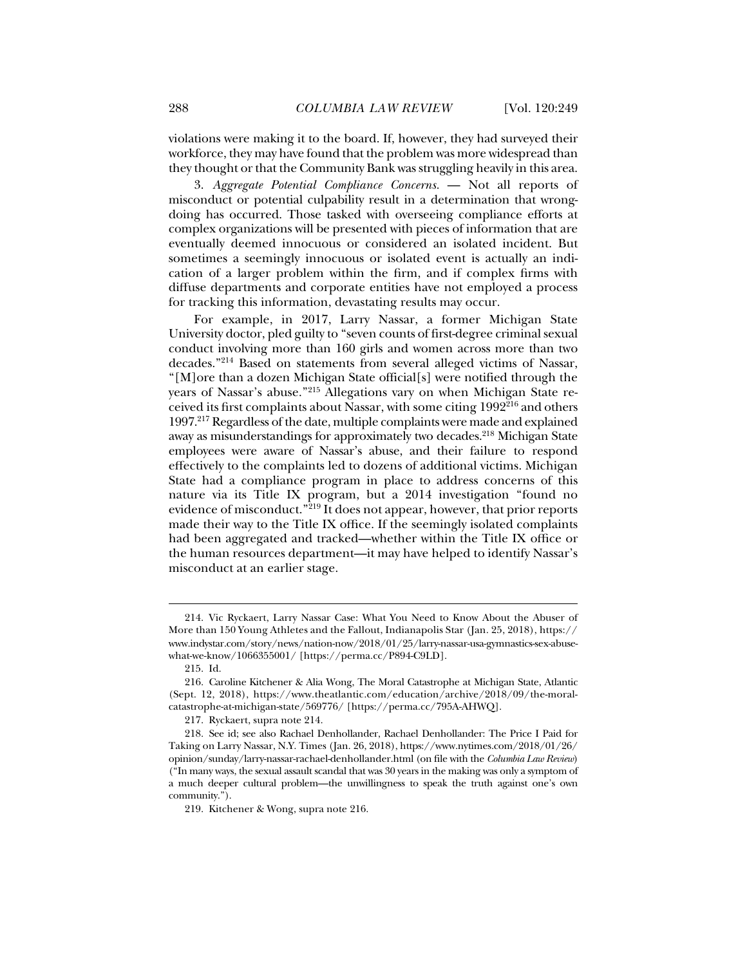violations were making it to the board. If, however, they had surveyed their workforce, they may have found that the problem was more widespread than they thought or that the Community Bank was struggling heavily in this area.

3. *Aggregate Potential Compliance Concerns.* — Not all reports of misconduct or potential culpability result in a determination that wrongdoing has occurred. Those tasked with overseeing compliance efforts at complex organizations will be presented with pieces of information that are eventually deemed innocuous or considered an isolated incident. But sometimes a seemingly innocuous or isolated event is actually an indication of a larger problem within the firm, and if complex firms with diffuse departments and corporate entities have not employed a process for tracking this information, devastating results may occur.

For example, in 2017, Larry Nassar, a former Michigan State University doctor, pled guilty to "seven counts of first-degree criminal sexual conduct involving more than 160 girls and women across more than two decades."214 Based on statements from several alleged victims of Nassar, "[M]ore than a dozen Michigan State official[s] were notified through the years of Nassar's abuse."215 Allegations vary on when Michigan State received its first complaints about Nassar, with some citing 1992216 and others 1997.217 Regardless of the date, multiple complaints were made and explained away as misunderstandings for approximately two decades.<sup>218</sup> Michigan State employees were aware of Nassar's abuse, and their failure to respond effectively to the complaints led to dozens of additional victims. Michigan State had a compliance program in place to address concerns of this nature via its Title IX program, but a 2014 investigation "found no evidence of misconduct."219 It does not appear, however, that prior reports made their way to the Title IX office. If the seemingly isolated complaints had been aggregated and tracked—whether within the Title IX office or the human resources department—it may have helped to identify Nassar's misconduct at an earlier stage.

 <sup>214.</sup> Vic Ryckaert, Larry Nassar Case: What You Need to Know About the Abuser of More than 150 Young Athletes and the Fallout, Indianapolis Star (Jan. 25, 2018), https:// www.indystar.com/story/news/nation-now/2018/01/25/larry-nassar-usa-gymnastics-sex-abusewhat-we-know/1066355001/ [https://perma.cc/P894-C9LD].

 <sup>215.</sup> Id.

 <sup>216.</sup> Caroline Kitchener & Alia Wong, The Moral Catastrophe at Michigan State, Atlantic (Sept. 12, 2018), https://www.theatlantic.com/education/archive/2018/09/the-moralcatastrophe-at-michigan-state/569776/ [https://perma.cc/795A-AHWQ].

 <sup>217.</sup> Ryckaert, supra note 214.

 <sup>218.</sup> See id; see also Rachael Denhollander, Rachael Denhollander: The Price I Paid for Taking on Larry Nassar, N.Y. Times (Jan. 26, 2018), https://www.nytimes.com/2018/01/26/ opinion/sunday/larry-nassar-rachael-denhollander.html (on file with the *Columbia Law Review*) ("In many ways, the sexual assault scandal that was 30 years in the making was only a symptom of a much deeper cultural problem—the unwillingness to speak the truth against one's own community.").

 <sup>219.</sup> Kitchener & Wong, supra note 216.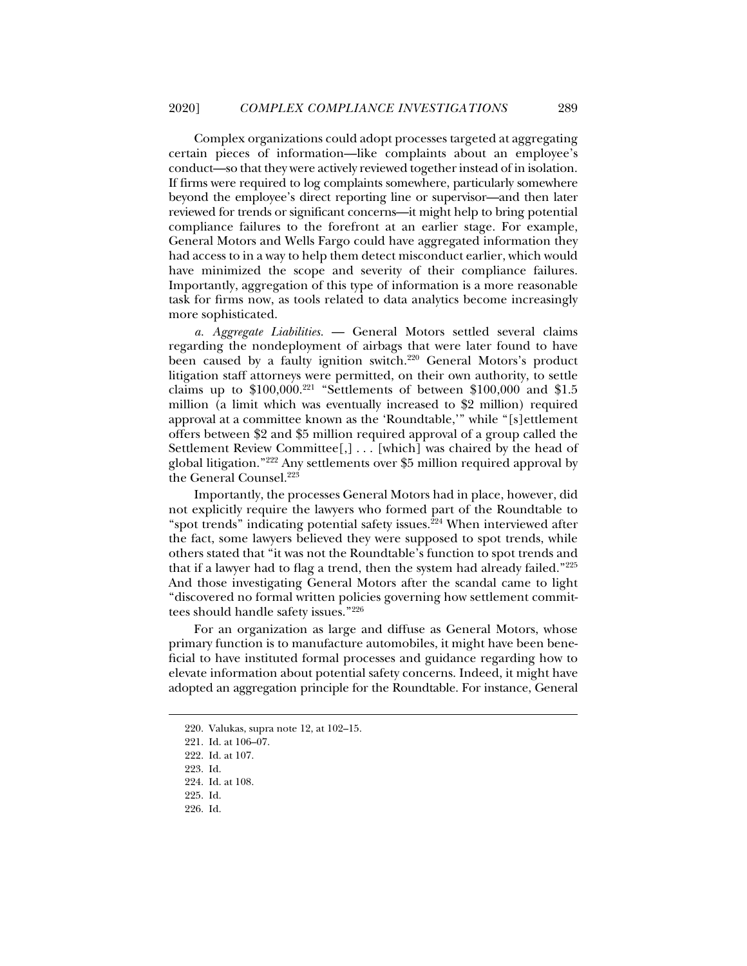Complex organizations could adopt processes targeted at aggregating certain pieces of information—like complaints about an employee's conduct—so that they were actively reviewed together instead of in isolation. If firms were required to log complaints somewhere, particularly somewhere beyond the employee's direct reporting line or supervisor—and then later reviewed for trends or significant concerns—it might help to bring potential compliance failures to the forefront at an earlier stage. For example, General Motors and Wells Fargo could have aggregated information they had access to in a way to help them detect misconduct earlier, which would have minimized the scope and severity of their compliance failures. Importantly, aggregation of this type of information is a more reasonable task for firms now, as tools related to data analytics become increasingly more sophisticated.

*a. Aggregate Liabilities.* — General Motors settled several claims regarding the nondeployment of airbags that were later found to have been caused by a faulty ignition switch.<sup>220</sup> General Motors's product litigation staff attorneys were permitted, on their own authority, to settle claims up to  $$100,000.<sup>221</sup>$  "Settlements of between  $$100,000$  and  $$1.5$ million (a limit which was eventually increased to \$2 million) required approval at a committee known as the 'Roundtable,'" while "[s]ettlement offers between \$2 and \$5 million required approval of a group called the Settlement Review Committee[,] . . . [which] was chaired by the head of global litigation."222 Any settlements over \$5 million required approval by the General Counsel.<sup>223</sup>

Importantly, the processes General Motors had in place, however, did not explicitly require the lawyers who formed part of the Roundtable to "spot trends" indicating potential safety issues.<sup>224</sup> When interviewed after the fact, some lawyers believed they were supposed to spot trends, while others stated that "it was not the Roundtable's function to spot trends and that if a lawyer had to flag a trend, then the system had already failed."225 And those investigating General Motors after the scandal came to light "discovered no formal written policies governing how settlement committees should handle safety issues."226

For an organization as large and diffuse as General Motors, whose primary function is to manufacture automobiles, it might have been beneficial to have instituted formal processes and guidance regarding how to elevate information about potential safety concerns. Indeed, it might have adopted an aggregation principle for the Roundtable. For instance, General

 <sup>220.</sup> Valukas, supra note 12, at 102–15.

 <sup>221.</sup> Id. at 106–07.

 <sup>222.</sup> Id. at 107.

 <sup>223.</sup> Id.

 <sup>224.</sup> Id. at 108.

 <sup>225.</sup> Id.

 <sup>226.</sup> Id.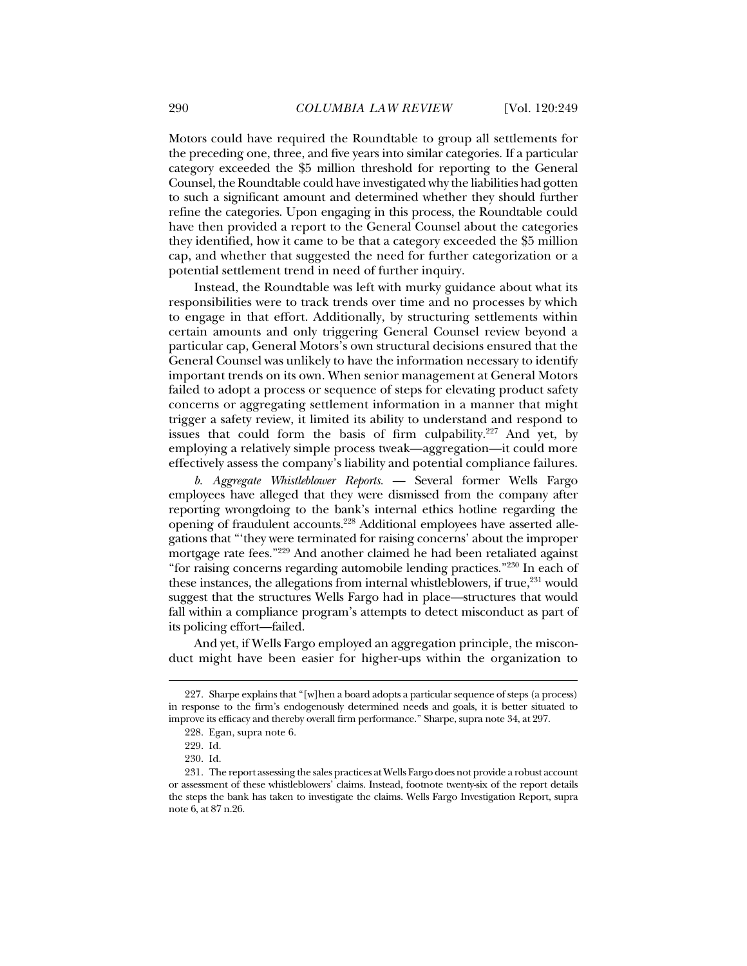Motors could have required the Roundtable to group all settlements for the preceding one, three, and five years into similar categories. If a particular category exceeded the \$5 million threshold for reporting to the General Counsel, the Roundtable could have investigated why the liabilities had gotten to such a significant amount and determined whether they should further refine the categories. Upon engaging in this process, the Roundtable could have then provided a report to the General Counsel about the categories they identified, how it came to be that a category exceeded the \$5 million cap, and whether that suggested the need for further categorization or a potential settlement trend in need of further inquiry.

Instead, the Roundtable was left with murky guidance about what its responsibilities were to track trends over time and no processes by which to engage in that effort. Additionally, by structuring settlements within certain amounts and only triggering General Counsel review beyond a particular cap, General Motors's own structural decisions ensured that the General Counsel was unlikely to have the information necessary to identify important trends on its own. When senior management at General Motors failed to adopt a process or sequence of steps for elevating product safety concerns or aggregating settlement information in a manner that might trigger a safety review, it limited its ability to understand and respond to issues that could form the basis of firm culpability.<sup>227</sup> And yet, by employing a relatively simple process tweak—aggregation—it could more effectively assess the company's liability and potential compliance failures.

*b. Aggregate Whistleblower Reports.* — Several former Wells Fargo employees have alleged that they were dismissed from the company after reporting wrongdoing to the bank's internal ethics hotline regarding the opening of fraudulent accounts.228 Additional employees have asserted allegations that "'they were terminated for raising concerns' about the improper mortgage rate fees."229 And another claimed he had been retaliated against "for raising concerns regarding automobile lending practices."230 In each of these instances, the allegations from internal whistleblowers, if true,<sup>231</sup> would suggest that the structures Wells Fargo had in place—structures that would fall within a compliance program's attempts to detect misconduct as part of its policing effort—failed.

And yet, if Wells Fargo employed an aggregation principle, the misconduct might have been easier for higher-ups within the organization to

 <sup>227.</sup> Sharpe explains that "[w]hen a board adopts a particular sequence of steps (a process) in response to the firm's endogenously determined needs and goals, it is better situated to improve its efficacy and thereby overall firm performance." Sharpe, supra note 34, at 297.

 <sup>228.</sup> Egan, supra note 6.

 <sup>229.</sup> Id.

 <sup>230.</sup> Id.

 <sup>231.</sup> The report assessing the sales practices at Wells Fargo does not provide a robust account or assessment of these whistleblowers' claims. Instead, footnote twenty-six of the report details the steps the bank has taken to investigate the claims. Wells Fargo Investigation Report, supra note 6, at 87 n.26.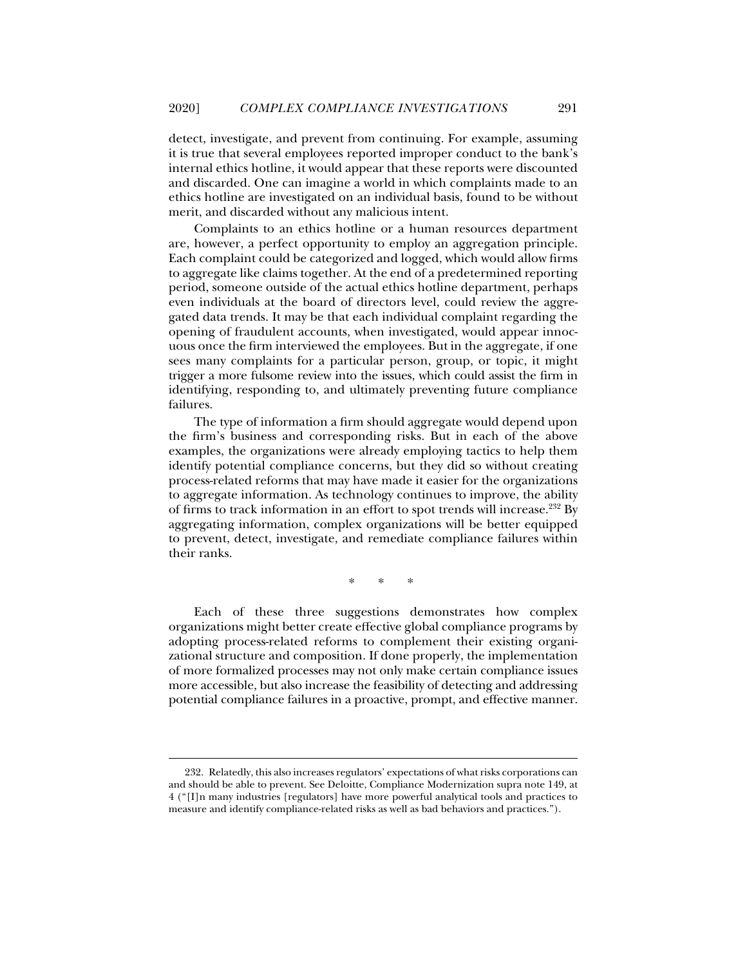detect, investigate, and prevent from continuing. For example, assuming it is true that several employees reported improper conduct to the bank's internal ethics hotline, it would appear that these reports were discounted and discarded. One can imagine a world in which complaints made to an ethics hotline are investigated on an individual basis, found to be without merit, and discarded without any malicious intent.

Complaints to an ethics hotline or a human resources department are, however, a perfect opportunity to employ an aggregation principle. Each complaint could be categorized and logged, which would allow firms to aggregate like claims together. At the end of a predetermined reporting period, someone outside of the actual ethics hotline department, perhaps even individuals at the board of directors level, could review the aggregated data trends. It may be that each individual complaint regarding the opening of fraudulent accounts, when investigated, would appear innocuous once the firm interviewed the employees. But in the aggregate, if one sees many complaints for a particular person, group, or topic, it might trigger a more fulsome review into the issues, which could assist the firm in identifying, responding to, and ultimately preventing future compliance failures.

The type of information a firm should aggregate would depend upon the firm's business and corresponding risks. But in each of the above examples, the organizations were already employing tactics to help them identify potential compliance concerns, but they did so without creating process-related reforms that may have made it easier for the organizations to aggregate information. As technology continues to improve, the ability of firms to track information in an effort to spot trends will increase.232 By aggregating information, complex organizations will be better equipped to prevent, detect, investigate, and remediate compliance failures within their ranks.

\* \* \*

Each of these three suggestions demonstrates how complex organizations might better create effective global compliance programs by adopting process-related reforms to complement their existing organizational structure and composition. If done properly, the implementation of more formalized processes may not only make certain compliance issues more accessible, but also increase the feasibility of detecting and addressing potential compliance failures in a proactive, prompt, and effective manner.

 <sup>232.</sup> Relatedly, this also increases regulators' expectations of what risks corporations can and should be able to prevent. See Deloitte, Compliance Modernization supra note 149, at 4 ("[I]n many industries [regulators] have more powerful analytical tools and practices to measure and identify compliance-related risks as well as bad behaviors and practices.").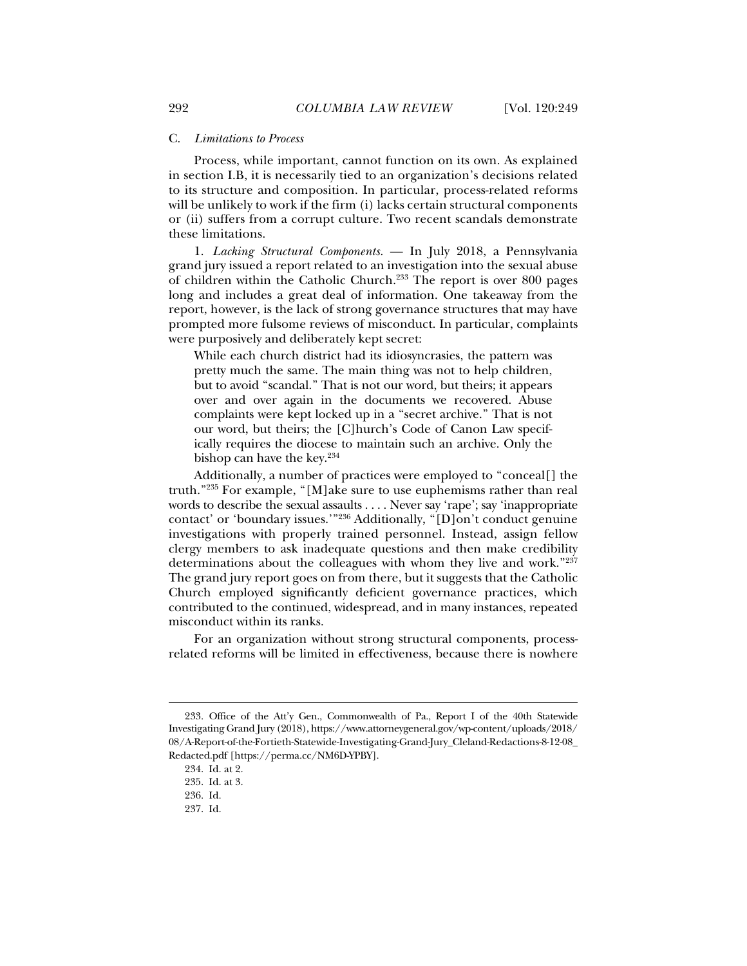#### C. *Limitations to Process*

Process, while important, cannot function on its own. As explained in section I.B, it is necessarily tied to an organization's decisions related to its structure and composition. In particular, process-related reforms will be unlikely to work if the firm (i) lacks certain structural components or (ii) suffers from a corrupt culture. Two recent scandals demonstrate these limitations.

1. *Lacking Structural Components.* — In July 2018, a Pennsylvania grand jury issued a report related to an investigation into the sexual abuse of children within the Catholic Church.233 The report is over 800 pages long and includes a great deal of information. One takeaway from the report, however, is the lack of strong governance structures that may have prompted more fulsome reviews of misconduct. In particular, complaints were purposively and deliberately kept secret:

While each church district had its idiosyncrasies, the pattern was pretty much the same. The main thing was not to help children, but to avoid "scandal." That is not our word, but theirs; it appears over and over again in the documents we recovered. Abuse complaints were kept locked up in a "secret archive." That is not our word, but theirs; the [C]hurch's Code of Canon Law specifically requires the diocese to maintain such an archive. Only the bishop can have the key.234

Additionally, a number of practices were employed to "conceal[] the truth."235 For example, "[M]ake sure to use euphemisms rather than real words to describe the sexual assaults . . . . Never say 'rape'; say 'inappropriate contact' or 'boundary issues.'"236 Additionally, "[D]on't conduct genuine investigations with properly trained personnel. Instead, assign fellow clergy members to ask inadequate questions and then make credibility determinations about the colleagues with whom they live and work."237 The grand jury report goes on from there, but it suggests that the Catholic Church employed significantly deficient governance practices, which contributed to the continued, widespread, and in many instances, repeated misconduct within its ranks.

For an organization without strong structural components, processrelated reforms will be limited in effectiveness, because there is nowhere

 <sup>233.</sup> Office of the Att'y Gen., Commonwealth of Pa., Report I of the 40th Statewide Investigating Grand Jury (2018), https://www.attorneygeneral.gov/wp-content/uploads/2018/ 08/A-Report-of-the-Fortieth-Statewide-Investigating-Grand-Jury\_Cleland-Redactions-8-12-08\_ Redacted.pdf [https://perma.cc/NM6D-YPBY].

 <sup>234.</sup> Id. at 2.

 <sup>235.</sup> Id. at 3.

 <sup>236.</sup> Id.

 <sup>237.</sup> Id.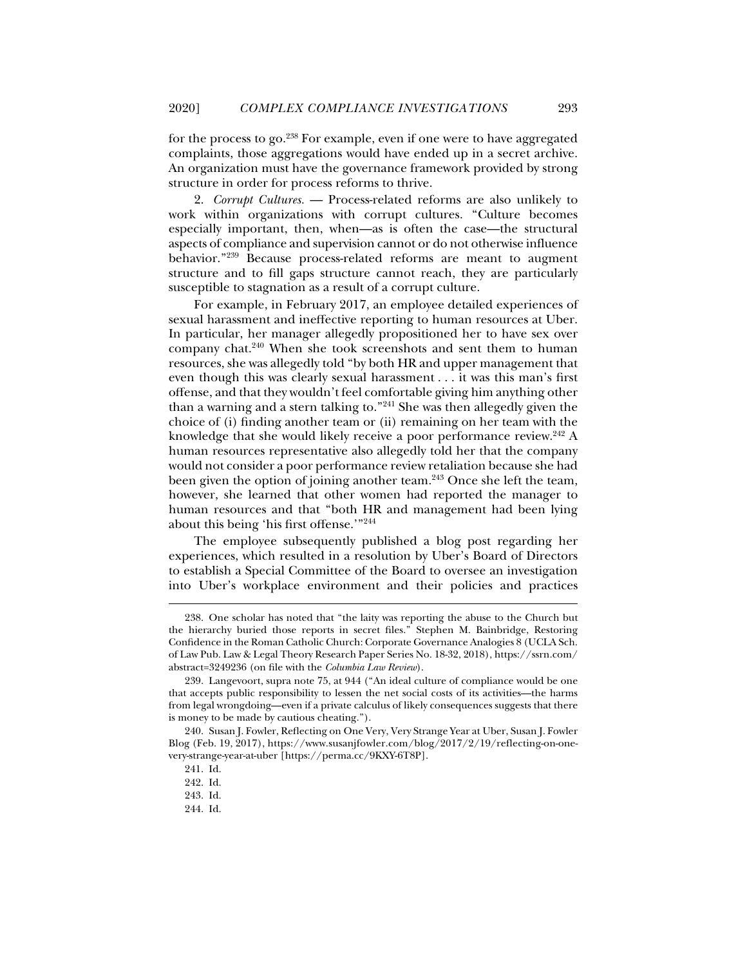for the process to go.238 For example, even if one were to have aggregated complaints, those aggregations would have ended up in a secret archive. An organization must have the governance framework provided by strong structure in order for process reforms to thrive.

2. *Corrupt Cultures.* — Process-related reforms are also unlikely to work within organizations with corrupt cultures. "Culture becomes especially important, then, when—as is often the case—the structural aspects of compliance and supervision cannot or do not otherwise influence behavior."239 Because process-related reforms are meant to augment structure and to fill gaps structure cannot reach, they are particularly susceptible to stagnation as a result of a corrupt culture.

For example, in February 2017, an employee detailed experiences of sexual harassment and ineffective reporting to human resources at Uber. In particular, her manager allegedly propositioned her to have sex over company chat.240 When she took screenshots and sent them to human resources, she was allegedly told "by both HR and upper management that even though this was clearly sexual harassment . . . it was this man's first offense, and that they wouldn't feel comfortable giving him anything other than a warning and a stern talking to."241 She was then allegedly given the choice of (i) finding another team or (ii) remaining on her team with the knowledge that she would likely receive a poor performance review.<sup>242</sup> A human resources representative also allegedly told her that the company would not consider a poor performance review retaliation because she had been given the option of joining another team.<sup>243</sup> Once she left the team, however, she learned that other women had reported the manager to human resources and that "both HR and management had been lying about this being 'his first offense.'"244

The employee subsequently published a blog post regarding her experiences, which resulted in a resolution by Uber's Board of Directors to establish a Special Committee of the Board to oversee an investigation into Uber's workplace environment and their policies and practices

 <sup>238.</sup> One scholar has noted that "the laity was reporting the abuse to the Church but the hierarchy buried those reports in secret files." Stephen M. Bainbridge, Restoring Confidence in the Roman Catholic Church: Corporate Governance Analogies 8 (UCLA Sch. of Law Pub. Law & Legal Theory Research Paper Series No. 18-32, 2018), https://ssrn.com/ abstract=3249236 (on file with the *Columbia Law Review*).

 <sup>239.</sup> Langevoort, supra note 75, at 944 ("An ideal culture of compliance would be one that accepts public responsibility to lessen the net social costs of its activities—the harms from legal wrongdoing—even if a private calculus of likely consequences suggests that there is money to be made by cautious cheating.").

 <sup>240.</sup> Susan J. Fowler, Reflecting on One Very, Very Strange Year at Uber, Susan J. Fowler Blog (Feb. 19, 2017), https://www.susanjfowler.com/blog/2017/2/19/reflecting-on-onevery-strange-year-at-uber [https://perma.cc/9KXY-6T8P].

 <sup>241.</sup> Id.

 <sup>242.</sup> Id.

 <sup>243.</sup> Id.

 <sup>244.</sup> Id.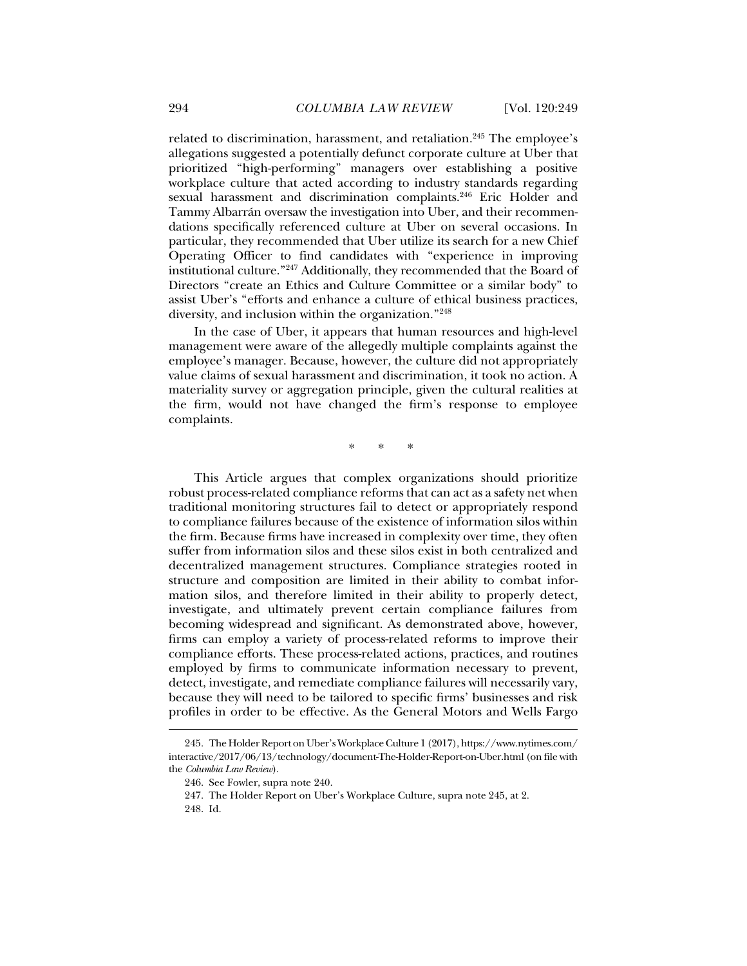related to discrimination, harassment, and retaliation.<sup>245</sup> The employee's allegations suggested a potentially defunct corporate culture at Uber that prioritized "high-performing" managers over establishing a positive workplace culture that acted according to industry standards regarding sexual harassment and discrimination complaints.<sup>246</sup> Eric Holder and Tammy Albarrán oversaw the investigation into Uber, and their recommendations specifically referenced culture at Uber on several occasions. In particular, they recommended that Uber utilize its search for a new Chief Operating Officer to find candidates with "experience in improving institutional culture."247 Additionally, they recommended that the Board of Directors "create an Ethics and Culture Committee or a similar body" to assist Uber's "efforts and enhance a culture of ethical business practices, diversity, and inclusion within the organization."248

In the case of Uber, it appears that human resources and high-level management were aware of the allegedly multiple complaints against the employee's manager. Because, however, the culture did not appropriately value claims of sexual harassment and discrimination, it took no action. A materiality survey or aggregation principle, given the cultural realities at the firm, would not have changed the firm's response to employee complaints.

\* \* \*

This Article argues that complex organizations should prioritize robust process-related compliance reforms that can act as a safety net when traditional monitoring structures fail to detect or appropriately respond to compliance failures because of the existence of information silos within the firm. Because firms have increased in complexity over time, they often suffer from information silos and these silos exist in both centralized and decentralized management structures. Compliance strategies rooted in structure and composition are limited in their ability to combat information silos, and therefore limited in their ability to properly detect, investigate, and ultimately prevent certain compliance failures from becoming widespread and significant. As demonstrated above, however, firms can employ a variety of process-related reforms to improve their compliance efforts. These process-related actions, practices, and routines employed by firms to communicate information necessary to prevent, detect, investigate, and remediate compliance failures will necessarily vary, because they will need to be tailored to specific firms' businesses and risk profiles in order to be effective. As the General Motors and Wells Fargo

 <sup>245.</sup> The Holder Report on Uber's Workplace Culture 1 (2017), https://www.nytimes.com/ interactive/2017/06/13/technology/document-The-Holder-Report-on-Uber.html (on file with the *Columbia Law Review*).

 <sup>246.</sup> See Fowler, supra note 240.

 <sup>247.</sup> The Holder Report on Uber's Workplace Culture, supra note 245, at 2.

 <sup>248.</sup> Id.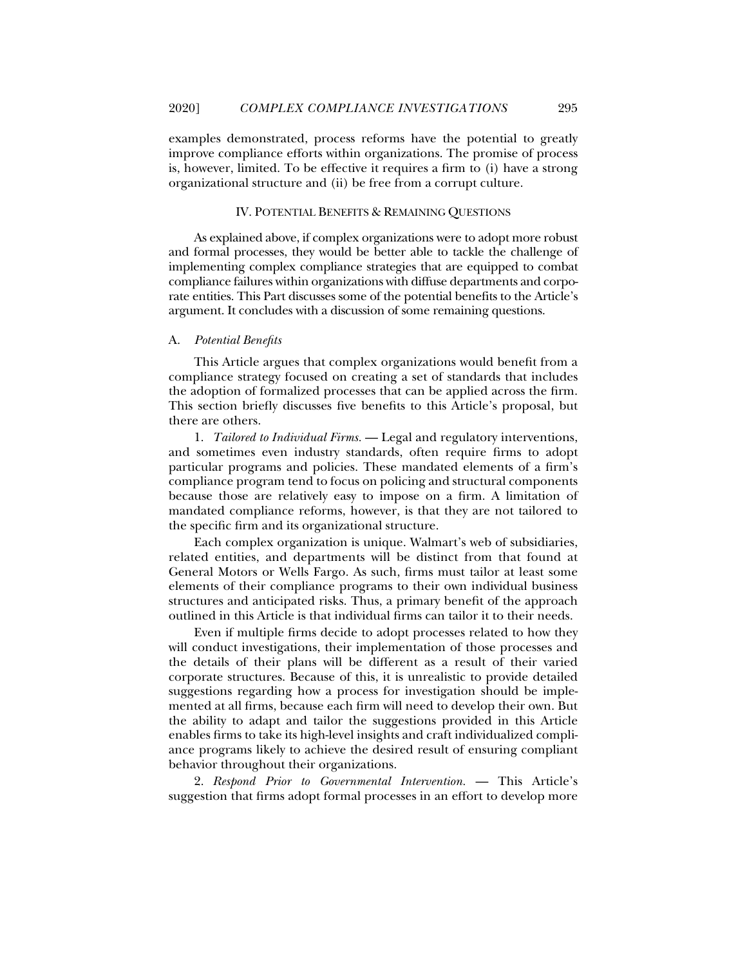examples demonstrated, process reforms have the potential to greatly improve compliance efforts within organizations. The promise of process is, however, limited. To be effective it requires a firm to (i) have a strong organizational structure and (ii) be free from a corrupt culture.

#### IV. POTENTIAL BENEFITS & REMAINING QUESTIONS

As explained above, if complex organizations were to adopt more robust and formal processes, they would be better able to tackle the challenge of implementing complex compliance strategies that are equipped to combat compliance failures within organizations with diffuse departments and corporate entities. This Part discusses some of the potential benefits to the Article's argument. It concludes with a discussion of some remaining questions.

#### A. *Potential Benefits*

This Article argues that complex organizations would benefit from a compliance strategy focused on creating a set of standards that includes the adoption of formalized processes that can be applied across the firm. This section briefly discusses five benefits to this Article's proposal, but there are others.

1. *Tailored to Individual Firms.* — Legal and regulatory interventions, and sometimes even industry standards, often require firms to adopt particular programs and policies. These mandated elements of a firm's compliance program tend to focus on policing and structural components because those are relatively easy to impose on a firm. A limitation of mandated compliance reforms, however, is that they are not tailored to the specific firm and its organizational structure.

Each complex organization is unique. Walmart's web of subsidiaries, related entities, and departments will be distinct from that found at General Motors or Wells Fargo. As such, firms must tailor at least some elements of their compliance programs to their own individual business structures and anticipated risks. Thus, a primary benefit of the approach outlined in this Article is that individual firms can tailor it to their needs.

Even if multiple firms decide to adopt processes related to how they will conduct investigations, their implementation of those processes and the details of their plans will be different as a result of their varied corporate structures. Because of this, it is unrealistic to provide detailed suggestions regarding how a process for investigation should be implemented at all firms, because each firm will need to develop their own. But the ability to adapt and tailor the suggestions provided in this Article enables firms to take its high-level insights and craft individualized compliance programs likely to achieve the desired result of ensuring compliant behavior throughout their organizations.

2. *Respond Prior to Governmental Intervention.* — This Article's suggestion that firms adopt formal processes in an effort to develop more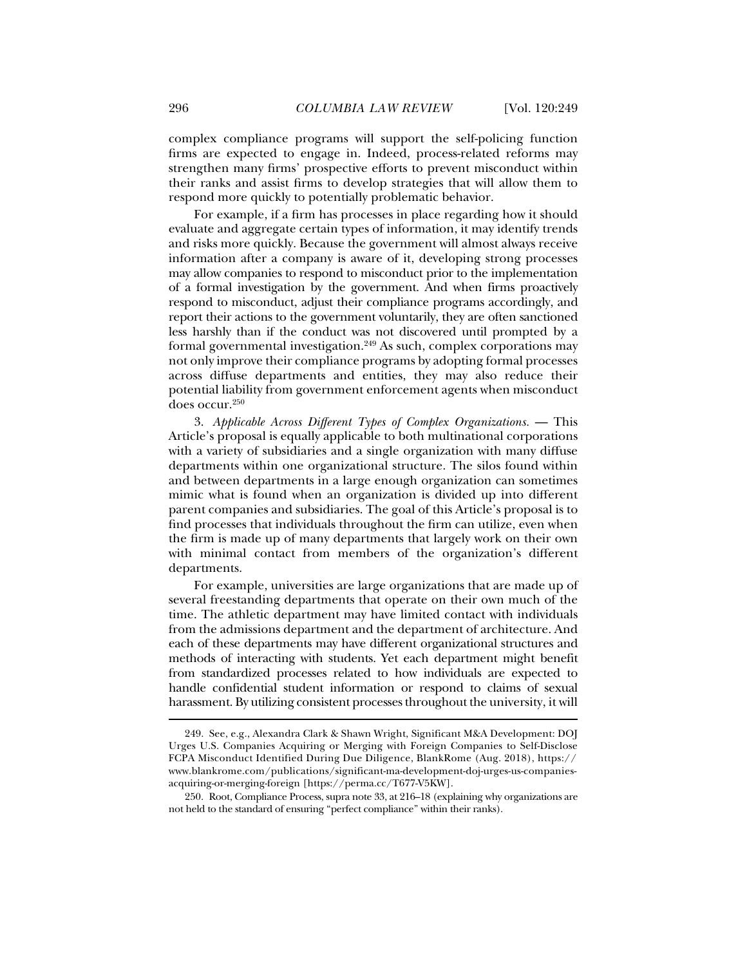complex compliance programs will support the self-policing function firms are expected to engage in. Indeed, process-related reforms may strengthen many firms' prospective efforts to prevent misconduct within their ranks and assist firms to develop strategies that will allow them to respond more quickly to potentially problematic behavior.

For example, if a firm has processes in place regarding how it should evaluate and aggregate certain types of information, it may identify trends and risks more quickly. Because the government will almost always receive information after a company is aware of it, developing strong processes may allow companies to respond to misconduct prior to the implementation of a formal investigation by the government. And when firms proactively respond to misconduct, adjust their compliance programs accordingly, and report their actions to the government voluntarily, they are often sanctioned less harshly than if the conduct was not discovered until prompted by a formal governmental investigation.<sup>249</sup> As such, complex corporations may not only improve their compliance programs by adopting formal processes across diffuse departments and entities, they may also reduce their potential liability from government enforcement agents when misconduct does occur.<sup>250</sup>

3. *Applicable Across Different Types of Complex Organizations.* — This Article's proposal is equally applicable to both multinational corporations with a variety of subsidiaries and a single organization with many diffuse departments within one organizational structure. The silos found within and between departments in a large enough organization can sometimes mimic what is found when an organization is divided up into different parent companies and subsidiaries. The goal of this Article's proposal is to find processes that individuals throughout the firm can utilize, even when the firm is made up of many departments that largely work on their own with minimal contact from members of the organization's different departments.

For example, universities are large organizations that are made up of several freestanding departments that operate on their own much of the time. The athletic department may have limited contact with individuals from the admissions department and the department of architecture. And each of these departments may have different organizational structures and methods of interacting with students. Yet each department might benefit from standardized processes related to how individuals are expected to handle confidential student information or respond to claims of sexual harassment. By utilizing consistent processes throughout the university, it will

 <sup>249.</sup> See, e.g., Alexandra Clark & Shawn Wright, Significant M&A Development: DOJ Urges U.S. Companies Acquiring or Merging with Foreign Companies to Self-Disclose FCPA Misconduct Identified During Due Diligence, BlankRome (Aug. 2018), https:// www.blankrome.com/publications/significant-ma-development-doj-urges-us-companiesacquiring-or-merging-foreign [https://perma.cc/T677-V5KW].

 <sup>250.</sup> Root, Compliance Process, supra note 33, at 216–18 (explaining why organizations are not held to the standard of ensuring "perfect compliance" within their ranks).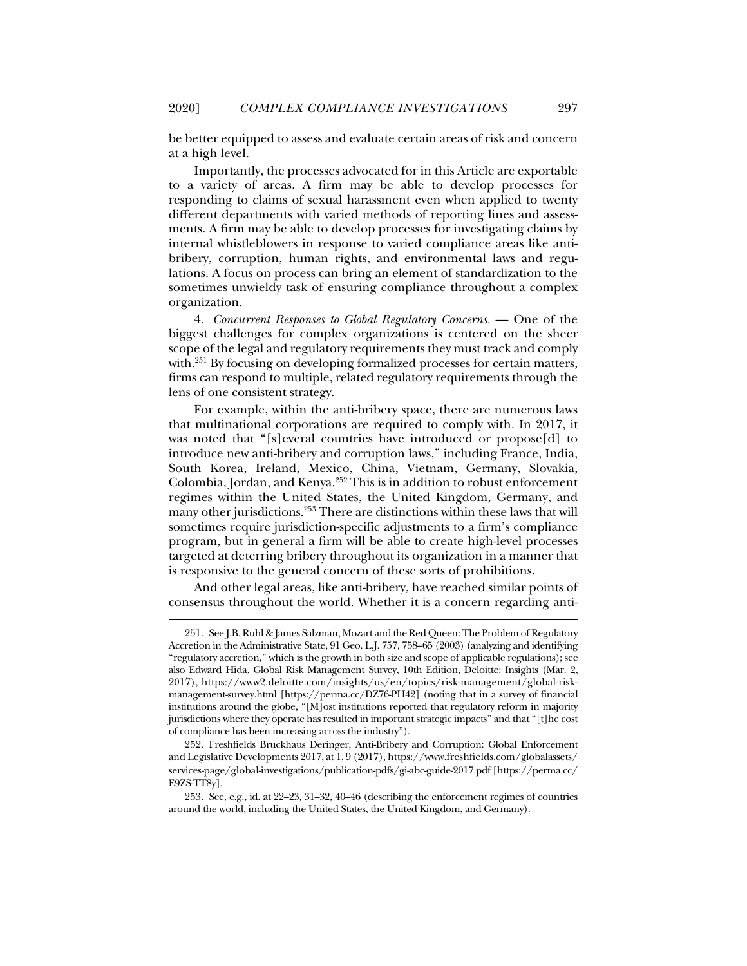be better equipped to assess and evaluate certain areas of risk and concern at a high level.

Importantly, the processes advocated for in this Article are exportable to a variety of areas. A firm may be able to develop processes for responding to claims of sexual harassment even when applied to twenty different departments with varied methods of reporting lines and assessments. A firm may be able to develop processes for investigating claims by internal whistleblowers in response to varied compliance areas like antibribery, corruption, human rights, and environmental laws and regulations. A focus on process can bring an element of standardization to the sometimes unwieldy task of ensuring compliance throughout a complex organization.

4. *Concurrent Responses to Global Regulatory Concerns.* — One of the biggest challenges for complex organizations is centered on the sheer scope of the legal and regulatory requirements they must track and comply with.<sup>251</sup> By focusing on developing formalized processes for certain matters, firms can respond to multiple, related regulatory requirements through the lens of one consistent strategy.

For example, within the anti-bribery space, there are numerous laws that multinational corporations are required to comply with. In 2017, it was noted that "[s]everal countries have introduced or propose[d] to introduce new anti-bribery and corruption laws," including France, India, South Korea, Ireland, Mexico, China, Vietnam, Germany, Slovakia, Colombia, Jordan, and Kenya.252 This is in addition to robust enforcement regimes within the United States, the United Kingdom, Germany, and many other jurisdictions.<sup>253</sup> There are distinctions within these laws that will sometimes require jurisdiction-specific adjustments to a firm's compliance program, but in general a firm will be able to create high-level processes targeted at deterring bribery throughout its organization in a manner that is responsive to the general concern of these sorts of prohibitions.

And other legal areas, like anti-bribery, have reached similar points of consensus throughout the world. Whether it is a concern regarding anti-

 <sup>251.</sup> See J.B. Ruhl & James Salzman, Mozart and the Red Queen: The Problem of Regulatory Accretion in the Administrative State, 91 Geo. L.J. 757, 758–65 (2003) (analyzing and identifying "regulatory accretion," which is the growth in both size and scope of applicable regulations); see also Edward Hida, Global Risk Management Survey, 10th Edition, Deloitte: Insights (Mar. 2, 2017), https://www2.deloitte.com/insights/us/en/topics/risk-management/global-riskmanagement-survey.html [https://perma.cc/DZ76-PH42] (noting that in a survey of financial institutions around the globe, "[M]ost institutions reported that regulatory reform in majority jurisdictions where they operate has resulted in important strategic impacts" and that "[t]he cost of compliance has been increasing across the industry").

 <sup>252.</sup> Freshfields Bruckhaus Deringer, Anti-Bribery and Corruption: Global Enforcement and Legislative Developments 2017, at 1, 9 (2017), https://www.freshfields.com/globalassets/ services-page/global-investigations/publication-pdfs/gi-abc-guide-2017.pdf [https://perma.cc/ E9ZS-TT8y].

 <sup>253.</sup> See, e.g., id. at 22–23, 31–32, 40–46 (describing the enforcement regimes of countries around the world, including the United States, the United Kingdom, and Germany).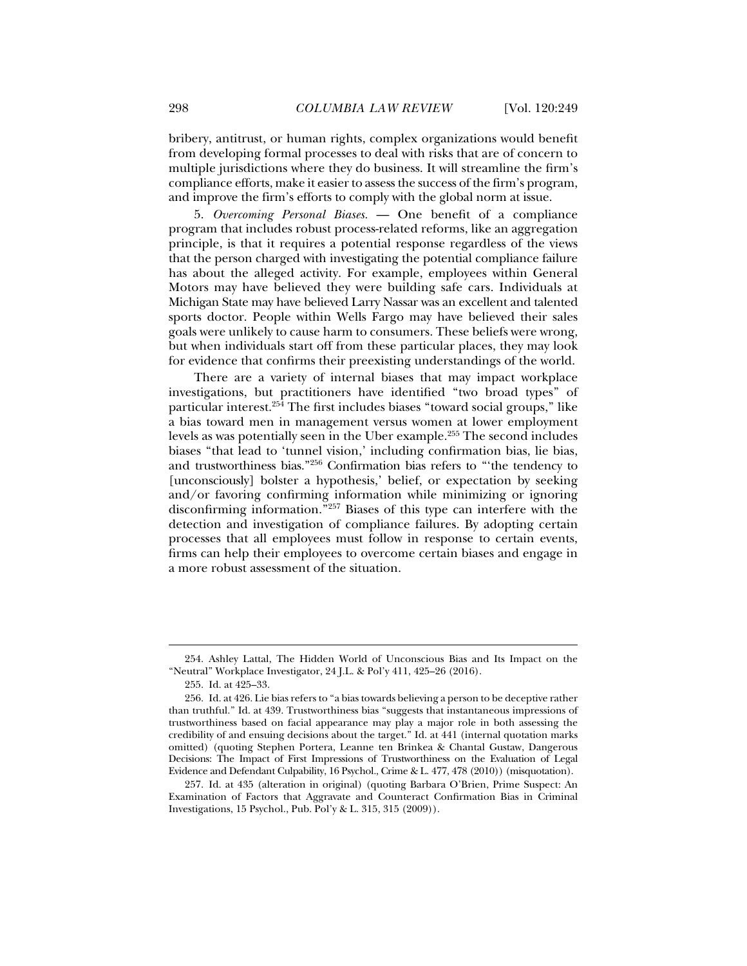bribery, antitrust, or human rights, complex organizations would benefit from developing formal processes to deal with risks that are of concern to multiple jurisdictions where they do business. It will streamline the firm's compliance efforts, make it easier to assess the success of the firm's program, and improve the firm's efforts to comply with the global norm at issue.

5. *Overcoming Personal Biases.* — One benefit of a compliance program that includes robust process-related reforms, like an aggregation principle, is that it requires a potential response regardless of the views that the person charged with investigating the potential compliance failure has about the alleged activity. For example, employees within General Motors may have believed they were building safe cars. Individuals at Michigan State may have believed Larry Nassar was an excellent and talented sports doctor. People within Wells Fargo may have believed their sales goals were unlikely to cause harm to consumers. These beliefs were wrong, but when individuals start off from these particular places, they may look for evidence that confirms their preexisting understandings of the world.

There are a variety of internal biases that may impact workplace investigations, but practitioners have identified "two broad types" of particular interest.254 The first includes biases "toward social groups," like a bias toward men in management versus women at lower employment levels as was potentially seen in the Uber example.255 The second includes biases "that lead to 'tunnel vision,' including confirmation bias, lie bias, and trustworthiness bias."256 Confirmation bias refers to "'the tendency to [unconsciously] bolster a hypothesis,' belief, or expectation by seeking and/or favoring confirming information while minimizing or ignoring disconfirming information."257 Biases of this type can interfere with the detection and investigation of compliance failures. By adopting certain processes that all employees must follow in response to certain events, firms can help their employees to overcome certain biases and engage in a more robust assessment of the situation.

 <sup>254.</sup> Ashley Lattal, The Hidden World of Unconscious Bias and Its Impact on the "Neutral" Workplace Investigator, 24 J.L. & Pol'y 411, 425–26 (2016).

 <sup>255.</sup> Id. at 425–33.

 <sup>256.</sup> Id. at 426. Lie bias refers to "a bias towards believing a person to be deceptive rather than truthful." Id. at 439. Trustworthiness bias "suggests that instantaneous impressions of trustworthiness based on facial appearance may play a major role in both assessing the credibility of and ensuing decisions about the target." Id. at 441 (internal quotation marks omitted) (quoting Stephen Portera, Leanne ten Brinkea & Chantal Gustaw, Dangerous Decisions: The Impact of First Impressions of Trustworthiness on the Evaluation of Legal Evidence and Defendant Culpability, 16 Psychol., Crime & L. 477, 478 (2010)) (misquotation).

 <sup>257.</sup> Id. at 435 (alteration in original) (quoting Barbara O'Brien, Prime Suspect: An Examination of Factors that Aggravate and Counteract Confirmation Bias in Criminal Investigations, 15 Psychol., Pub. Pol'y & L. 315, 315 (2009)).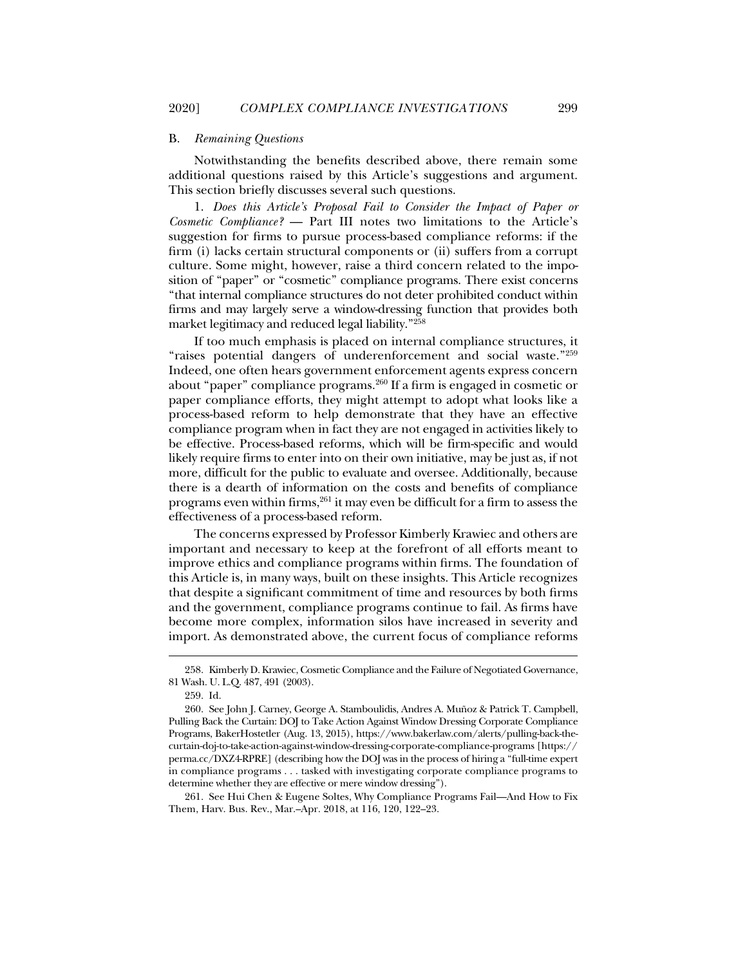#### B. *Remaining Questions*

Notwithstanding the benefits described above, there remain some additional questions raised by this Article's suggestions and argument. This section briefly discusses several such questions.

1. *Does this Article's Proposal Fail to Consider the Impact of Paper or Cosmetic Compliance?* — Part III notes two limitations to the Article's suggestion for firms to pursue process-based compliance reforms: if the firm (i) lacks certain structural components or (ii) suffers from a corrupt culture. Some might, however, raise a third concern related to the imposition of "paper" or "cosmetic" compliance programs. There exist concerns "that internal compliance structures do not deter prohibited conduct within firms and may largely serve a window-dressing function that provides both market legitimacy and reduced legal liability."258

If too much emphasis is placed on internal compliance structures, it "raises potential dangers of underenforcement and social waste."259 Indeed, one often hears government enforcement agents express concern about "paper" compliance programs.260 If a firm is engaged in cosmetic or paper compliance efforts, they might attempt to adopt what looks like a process-based reform to help demonstrate that they have an effective compliance program when in fact they are not engaged in activities likely to be effective. Process-based reforms, which will be firm-specific and would likely require firms to enter into on their own initiative, may be just as, if not more, difficult for the public to evaluate and oversee. Additionally, because there is a dearth of information on the costs and benefits of compliance programs even within firms,<sup>261</sup> it may even be difficult for a firm to assess the effectiveness of a process-based reform.

The concerns expressed by Professor Kimberly Krawiec and others are important and necessary to keep at the forefront of all efforts meant to improve ethics and compliance programs within firms. The foundation of this Article is, in many ways, built on these insights. This Article recognizes that despite a significant commitment of time and resources by both firms and the government, compliance programs continue to fail. As firms have become more complex, information silos have increased in severity and import. As demonstrated above, the current focus of compliance reforms

j

 261. See Hui Chen & Eugene Soltes, Why Compliance Programs Fail—And How to Fix Them, Harv. Bus. Rev., Mar.–Apr. 2018, at 116, 120, 122–23.

 <sup>258.</sup> Kimberly D. Krawiec, Cosmetic Compliance and the Failure of Negotiated Governance, 81 Wash. U. L.Q. 487, 491 (2003).

 <sup>259.</sup> Id.

 <sup>260.</sup> See John J. Carney, George A. Stamboulidis, Andres A. Muñoz & Patrick T. Campbell, Pulling Back the Curtain: DOJ to Take Action Against Window Dressing Corporate Compliance Programs, BakerHostetler (Aug. 13, 2015), https://www.bakerlaw.com/alerts/pulling-back-thecurtain-doj-to-take-action-against-window-dressing-corporate-compliance-programs [https:// perma.cc/DXZ4-RPRE] (describing how the DOJ was in the process of hiring a "full-time expert in compliance programs . . . tasked with investigating corporate compliance programs to determine whether they are effective or mere window dressing").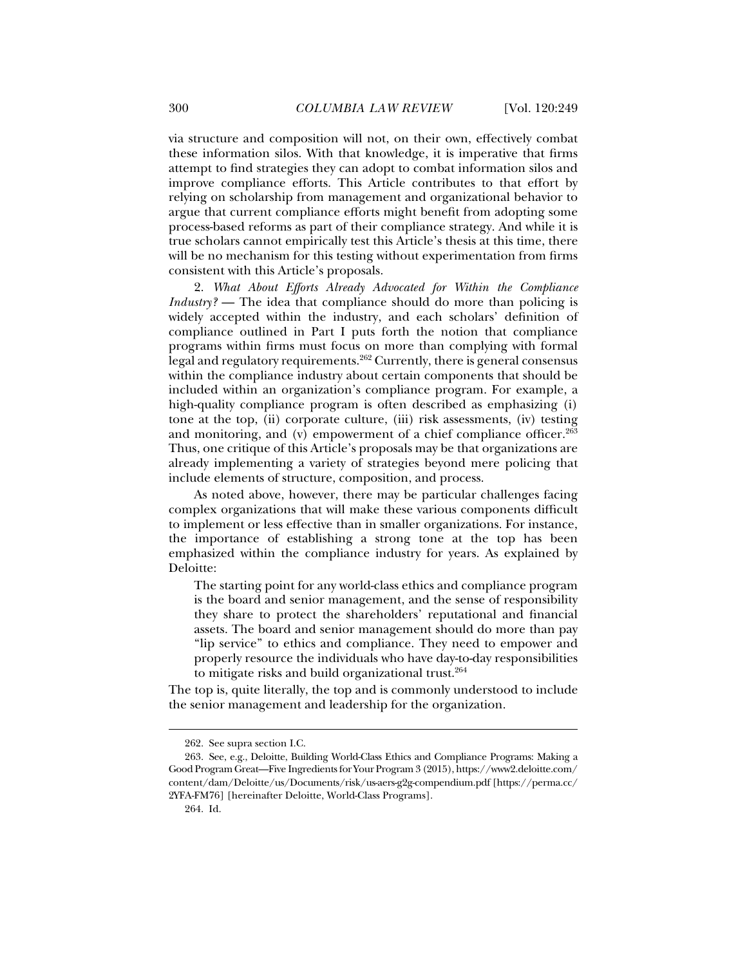via structure and composition will not, on their own, effectively combat these information silos. With that knowledge, it is imperative that firms attempt to find strategies they can adopt to combat information silos and improve compliance efforts. This Article contributes to that effort by relying on scholarship from management and organizational behavior to argue that current compliance efforts might benefit from adopting some process-based reforms as part of their compliance strategy. And while it is true scholars cannot empirically test this Article's thesis at this time, there will be no mechanism for this testing without experimentation from firms consistent with this Article's proposals.

2. *What About Efforts Already Advocated for Within the Compliance Industry?* — The idea that compliance should do more than policing is widely accepted within the industry, and each scholars' definition of compliance outlined in Part I puts forth the notion that compliance programs within firms must focus on more than complying with formal legal and regulatory requirements.<sup>262</sup> Currently, there is general consensus within the compliance industry about certain components that should be included within an organization's compliance program. For example, a high-quality compliance program is often described as emphasizing (i) tone at the top, (ii) corporate culture, (iii) risk assessments, (iv) testing and monitoring, and (v) empowerment of a chief compliance officer.<sup>263</sup> Thus, one critique of this Article's proposals may be that organizations are already implementing a variety of strategies beyond mere policing that include elements of structure, composition, and process.

As noted above, however, there may be particular challenges facing complex organizations that will make these various components difficult to implement or less effective than in smaller organizations. For instance, the importance of establishing a strong tone at the top has been emphasized within the compliance industry for years. As explained by Deloitte:

The starting point for any world-class ethics and compliance program is the board and senior management, and the sense of responsibility they share to protect the shareholders' reputational and financial assets. The board and senior management should do more than pay "lip service" to ethics and compliance. They need to empower and properly resource the individuals who have day-to-day responsibilities to mitigate risks and build organizational trust.<sup>264</sup>

The top is, quite literally, the top and is commonly understood to include the senior management and leadership for the organization.

 <sup>262.</sup> See supra section I.C.

 <sup>263.</sup> See, e.g., Deloitte, Building World-Class Ethics and Compliance Programs: Making a Good Program Great—Five Ingredients for Your Program 3 (2015), https://www2.deloitte.com/ content/dam/Deloitte/us/Documents/risk/us-aers-g2g-compendium.pdf [https://perma.cc/ 2YFA-FM76] [hereinafter Deloitte, World-Class Programs].

 <sup>264.</sup> Id.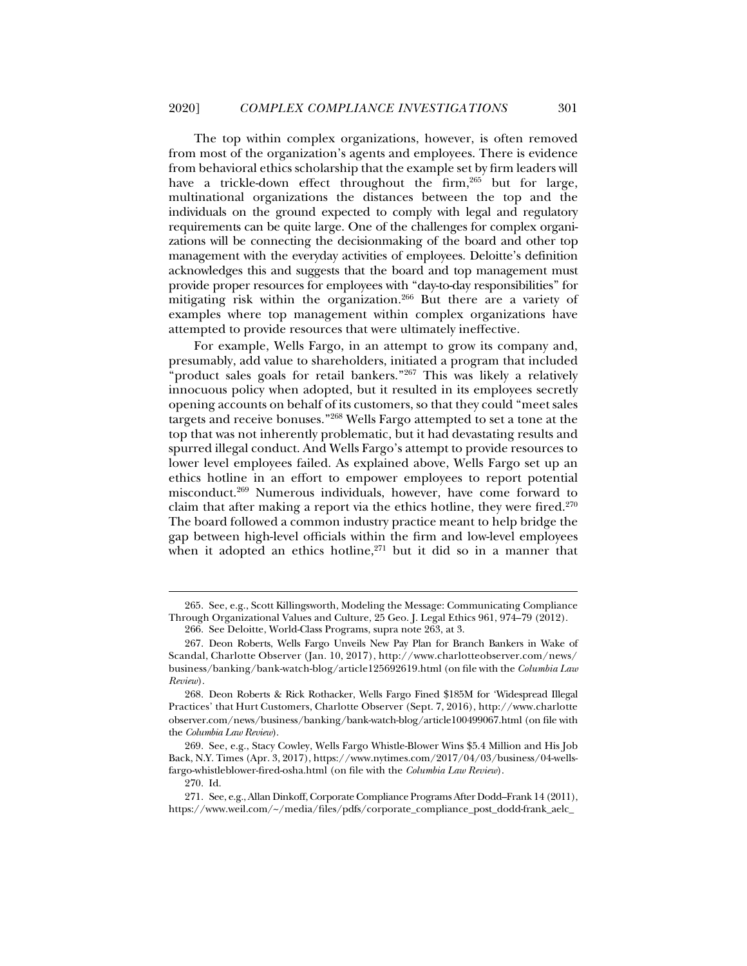The top within complex organizations, however, is often removed from most of the organization's agents and employees. There is evidence from behavioral ethics scholarship that the example set by firm leaders will have a trickle-down effect throughout the firm,<sup>265</sup> but for large, multinational organizations the distances between the top and the individuals on the ground expected to comply with legal and regulatory requirements can be quite large. One of the challenges for complex organizations will be connecting the decisionmaking of the board and other top management with the everyday activities of employees. Deloitte's definition acknowledges this and suggests that the board and top management must provide proper resources for employees with "day-to-day responsibilities" for mitigating risk within the organization.266 But there are a variety of examples where top management within complex organizations have attempted to provide resources that were ultimately ineffective.

For example, Wells Fargo, in an attempt to grow its company and, presumably, add value to shareholders, initiated a program that included "product sales goals for retail bankers." $267$  This was likely a relatively innocuous policy when adopted, but it resulted in its employees secretly opening accounts on behalf of its customers, so that they could "meet sales targets and receive bonuses."268 Wells Fargo attempted to set a tone at the top that was not inherently problematic, but it had devastating results and spurred illegal conduct. And Wells Fargo's attempt to provide resources to lower level employees failed. As explained above, Wells Fargo set up an ethics hotline in an effort to empower employees to report potential misconduct.269 Numerous individuals, however, have come forward to claim that after making a report via the ethics hotline, they were fired. $270$ The board followed a common industry practice meant to help bridge the gap between high-level officials within the firm and low-level employees when it adopted an ethics hotline, $271$  but it did so in a manner that

 <sup>265.</sup> See, e.g., Scott Killingsworth, Modeling the Message: Communicating Compliance Through Organizational Values and Culture, 25 Geo. J. Legal Ethics 961, 974–79 (2012).

 <sup>266.</sup> See Deloitte, World-Class Programs, supra note 263, at 3.

 <sup>267.</sup> Deon Roberts, Wells Fargo Unveils New Pay Plan for Branch Bankers in Wake of Scandal, Charlotte Observer (Jan. 10, 2017), http://www.charlotteobserver.com/news/ business/banking/bank-watch-blog/article125692619.html (on file with the *Columbia Law Review*).

 <sup>268.</sup> Deon Roberts & Rick Rothacker, Wells Fargo Fined \$185M for 'Widespread Illegal Practices' that Hurt Customers, Charlotte Observer (Sept. 7, 2016), http://www.charlotte observer.com/news/business/banking/bank-watch-blog/article100499067.html (on file with the *Columbia Law Review*).

 <sup>269.</sup> See, e.g., Stacy Cowley, Wells Fargo Whistle-Blower Wins \$5.4 Million and His Job Back, N.Y. Times (Apr. 3, 2017), https://www.nytimes.com/2017/04/03/business/04-wellsfargo-whistleblower-fired-osha.html (on file with the *Columbia Law Review*).

 <sup>270.</sup> Id.

 <sup>271.</sup> See, e.g., Allan Dinkoff, Corporate Compliance Programs After Dodd–Frank 14 (2011), https://www.weil.com/~/media/files/pdfs/corporate\_compliance\_post\_dodd-frank\_aelc\_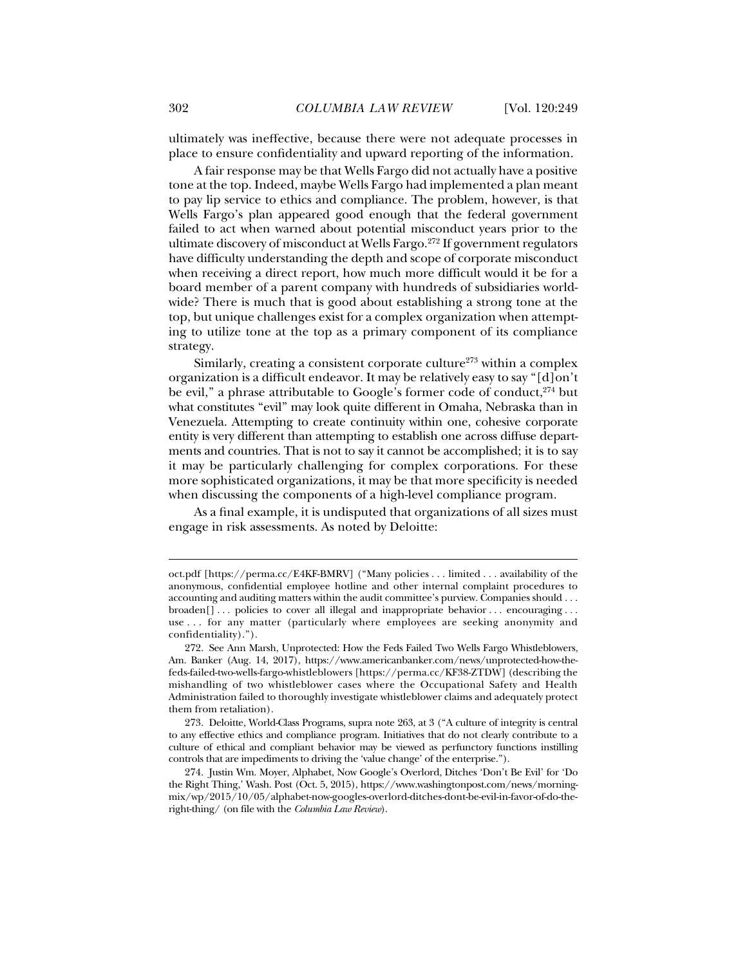ultimately was ineffective, because there were not adequate processes in place to ensure confidentiality and upward reporting of the information.

A fair response may be that Wells Fargo did not actually have a positive tone at the top. Indeed, maybe Wells Fargo had implemented a plan meant to pay lip service to ethics and compliance. The problem, however, is that Wells Fargo's plan appeared good enough that the federal government failed to act when warned about potential misconduct years prior to the ultimate discovery of misconduct at Wells Fargo.<sup>272</sup> If government regulators have difficulty understanding the depth and scope of corporate misconduct when receiving a direct report, how much more difficult would it be for a board member of a parent company with hundreds of subsidiaries worldwide? There is much that is good about establishing a strong tone at the top, but unique challenges exist for a complex organization when attempting to utilize tone at the top as a primary component of its compliance strategy.

Similarly, creating a consistent corporate culture<sup>273</sup> within a complex organization is a difficult endeavor. It may be relatively easy to say "[d]on't be evil," a phrase attributable to Google's former code of conduct.<sup>274</sup> but what constitutes "evil" may look quite different in Omaha, Nebraska than in Venezuela. Attempting to create continuity within one, cohesive corporate entity is very different than attempting to establish one across diffuse departments and countries. That is not to say it cannot be accomplished; it is to say it may be particularly challenging for complex corporations. For these more sophisticated organizations, it may be that more specificity is needed when discussing the components of a high-level compliance program.

As a final example, it is undisputed that organizations of all sizes must engage in risk assessments. As noted by Deloitte:

oct.pdf [https://perma.cc/E4KF-BMRV] ("Many policies . . . limited . . . availability of the anonymous, confidential employee hotline and other internal complaint procedures to accounting and auditing matters within the audit committee's purview. Companies should . . . broaden[] ... policies to cover all illegal and inappropriate behavior ... encouraging ... use . . . for any matter (particularly where employees are seeking anonymity and confidentiality).").

 <sup>272.</sup> See Ann Marsh, Unprotected: How the Feds Failed Two Wells Fargo Whistleblowers, Am. Banker (Aug. 14, 2017), https://www.americanbanker.com/news/unprotected-how-thefeds-failed-two-wells-fargo-whistleblowers [https://perma.cc/KF38-ZTDW] (describing the mishandling of two whistleblower cases where the Occupational Safety and Health Administration failed to thoroughly investigate whistleblower claims and adequately protect them from retaliation).

 <sup>273.</sup> Deloitte, World-Class Programs, supra note 263, at 3 ("A culture of integrity is central to any effective ethics and compliance program. Initiatives that do not clearly contribute to a culture of ethical and compliant behavior may be viewed as perfunctory functions instilling controls that are impediments to driving the 'value change' of the enterprise.").

 <sup>274.</sup> Justin Wm. Moyer, Alphabet, Now Google's Overlord, Ditches 'Don't Be Evil' for 'Do the Right Thing,' Wash. Post (Oct. 5, 2015), https://www.washingtonpost.com/news/morningmix/wp/2015/10/05/alphabet-now-googles-overlord-ditches-dont-be-evil-in-favor-of-do-theright-thing/ (on file with the *Columbia Law Review*).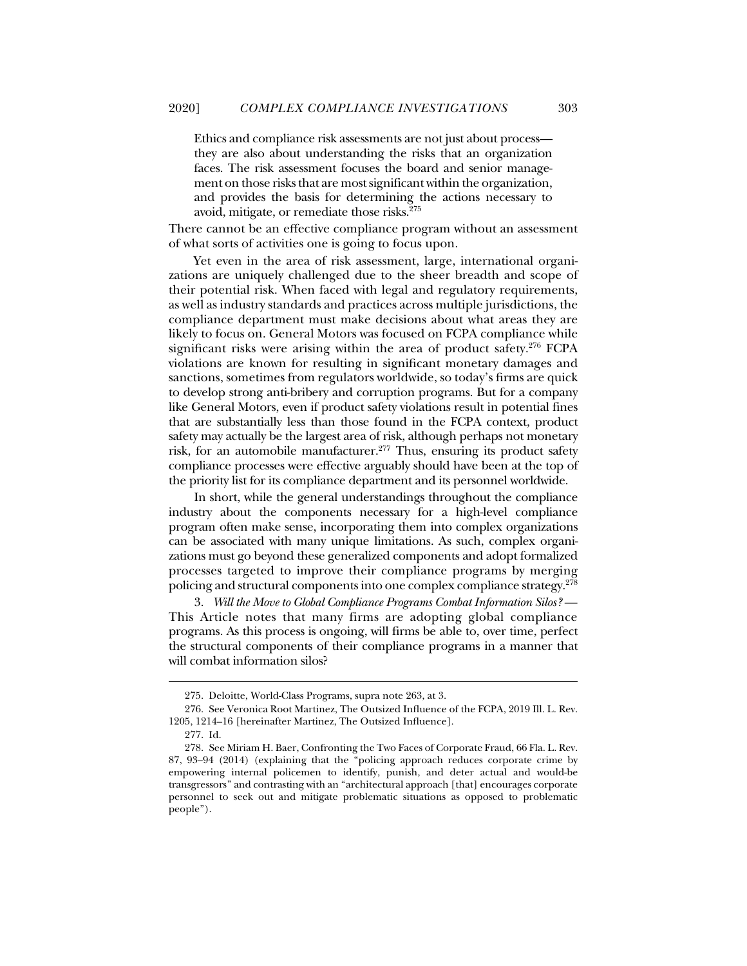Ethics and compliance risk assessments are not just about process they are also about understanding the risks that an organization faces. The risk assessment focuses the board and senior management on those risks that are most significant within the organization, and provides the basis for determining the actions necessary to avoid, mitigate, or remediate those risks.275

There cannot be an effective compliance program without an assessment of what sorts of activities one is going to focus upon.

Yet even in the area of risk assessment, large, international organizations are uniquely challenged due to the sheer breadth and scope of their potential risk. When faced with legal and regulatory requirements, as well as industry standards and practices across multiple jurisdictions, the compliance department must make decisions about what areas they are likely to focus on. General Motors was focused on FCPA compliance while significant risks were arising within the area of product safety.<sup>276</sup> FCPA violations are known for resulting in significant monetary damages and sanctions, sometimes from regulators worldwide, so today's firms are quick to develop strong anti-bribery and corruption programs. But for a company like General Motors, even if product safety violations result in potential fines that are substantially less than those found in the FCPA context, product safety may actually be the largest area of risk, although perhaps not monetary risk, for an automobile manufacturer.<sup>277</sup> Thus, ensuring its product safety compliance processes were effective arguably should have been at the top of the priority list for its compliance department and its personnel worldwide.

In short, while the general understandings throughout the compliance industry about the components necessary for a high-level compliance program often make sense, incorporating them into complex organizations can be associated with many unique limitations. As such, complex organizations must go beyond these generalized components and adopt formalized processes targeted to improve their compliance programs by merging policing and structural components into one complex compliance strategy.<sup>278</sup>

3. *Will the Move to Global Compliance Programs Combat Information Silos?* — This Article notes that many firms are adopting global compliance programs. As this process is ongoing, will firms be able to, over time, perfect the structural components of their compliance programs in a manner that will combat information silos?

 <sup>275.</sup> Deloitte, World-Class Programs, supra note 263, at 3.

 <sup>276.</sup> See Veronica Root Martinez, The Outsized Influence of the FCPA, 2019 Ill. L. Rev. 1205, 1214–16 [hereinafter Martinez, The Outsized Influence].

 <sup>277.</sup> Id.

 <sup>278.</sup> See Miriam H. Baer, Confronting the Two Faces of Corporate Fraud, 66 Fla. L. Rev. 87, 93–94 (2014) (explaining that the "policing approach reduces corporate crime by empowering internal policemen to identify, punish, and deter actual and would-be transgressors" and contrasting with an "architectural approach [that] encourages corporate personnel to seek out and mitigate problematic situations as opposed to problematic people").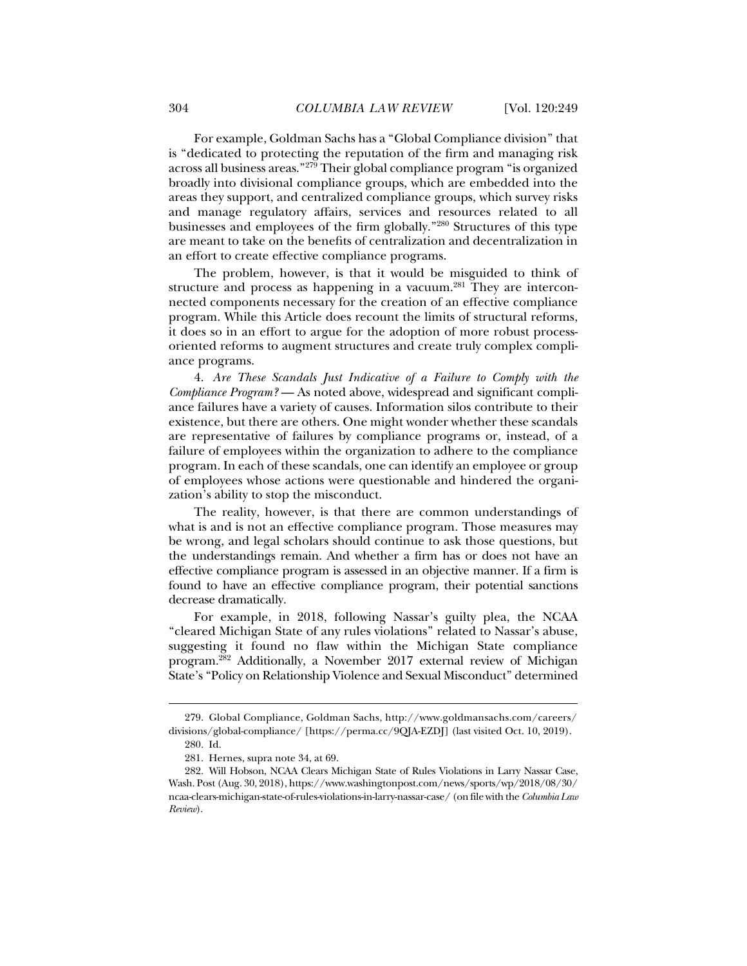For example, Goldman Sachs has a "Global Compliance division" that is "dedicated to protecting the reputation of the firm and managing risk across all business areas."279 Their global compliance program "is organized broadly into divisional compliance groups, which are embedded into the areas they support, and centralized compliance groups, which survey risks and manage regulatory affairs, services and resources related to all businesses and employees of the firm globally."280 Structures of this type are meant to take on the benefits of centralization and decentralization in an effort to create effective compliance programs.

The problem, however, is that it would be misguided to think of structure and process as happening in a vacuum.<sup>281</sup> They are interconnected components necessary for the creation of an effective compliance program. While this Article does recount the limits of structural reforms, it does so in an effort to argue for the adoption of more robust processoriented reforms to augment structures and create truly complex compliance programs.

4. *Are These Scandals Just Indicative of a Failure to Comply with the Compliance Program?* — As noted above, widespread and significant compliance failures have a variety of causes. Information silos contribute to their existence, but there are others. One might wonder whether these scandals are representative of failures by compliance programs or, instead, of a failure of employees within the organization to adhere to the compliance program. In each of these scandals, one can identify an employee or group of employees whose actions were questionable and hindered the organization's ability to stop the misconduct.

The reality, however, is that there are common understandings of what is and is not an effective compliance program. Those measures may be wrong, and legal scholars should continue to ask those questions, but the understandings remain. And whether a firm has or does not have an effective compliance program is assessed in an objective manner. If a firm is found to have an effective compliance program, their potential sanctions decrease dramatically.

For example, in 2018, following Nassar's guilty plea, the NCAA "cleared Michigan State of any rules violations" related to Nassar's abuse, suggesting it found no flaw within the Michigan State compliance program.282 Additionally, a November 2017 external review of Michigan State's "Policy on Relationship Violence and Sexual Misconduct" determined

 <sup>279.</sup> Global Compliance, Goldman Sachs, http://www.goldmansachs.com/careers/ divisions/global-compliance/ [https://perma.cc/9QJA-EZDJ] (last visited Oct. 10, 2019).

 <sup>280.</sup> Id.

 <sup>281.</sup> Hernes, supra note 34, at 69.

 <sup>282.</sup> Will Hobson, NCAA Clears Michigan State of Rules Violations in Larry Nassar Case, Wash. Post (Aug. 30, 2018), https://www.washingtonpost.com/news/sports/wp/2018/08/30/ ncaa-clears-michigan-state-of-rules-violations-in-larry-nassar-case/ (on file with the *Columbia Law Review*).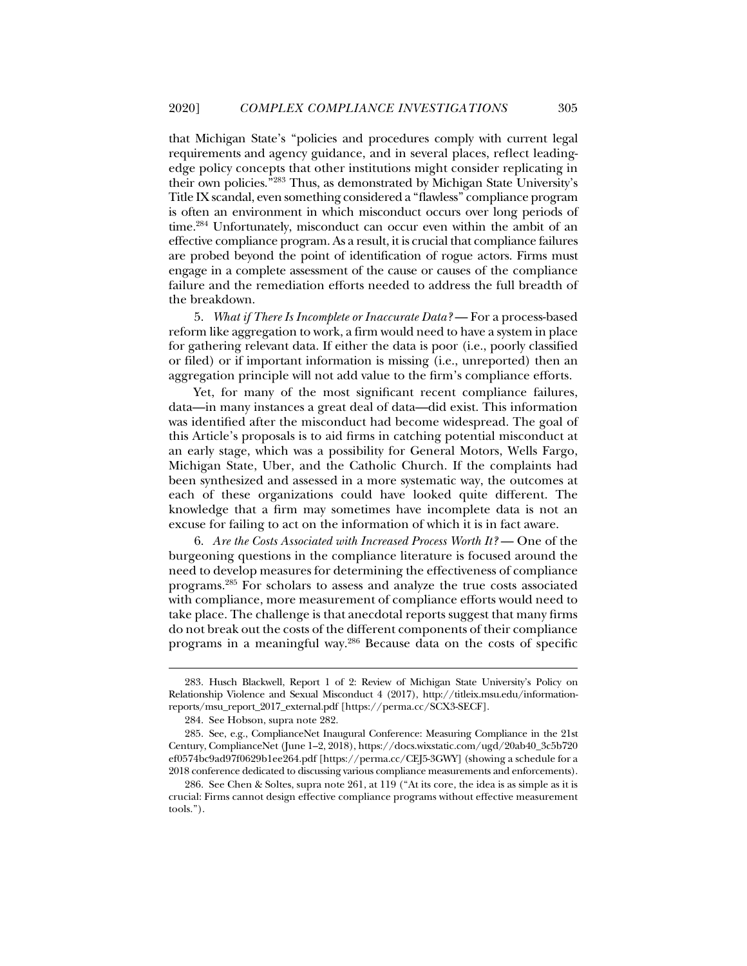that Michigan State's "policies and procedures comply with current legal requirements and agency guidance, and in several places, reflect leadingedge policy concepts that other institutions might consider replicating in their own policies."283 Thus, as demonstrated by Michigan State University's Title IX scandal, even something considered a "flawless" compliance program is often an environment in which misconduct occurs over long periods of time.<sup>284</sup> Unfortunately, misconduct can occur even within the ambit of an effective compliance program. As a result, it is crucial that compliance failures are probed beyond the point of identification of rogue actors. Firms must engage in a complete assessment of the cause or causes of the compliance failure and the remediation efforts needed to address the full breadth of the breakdown.

5. *What if There Is Incomplete or Inaccurate Data?* — For a process-based reform like aggregation to work, a firm would need to have a system in place for gathering relevant data. If either the data is poor (i.e., poorly classified or filed) or if important information is missing (i.e., unreported) then an aggregation principle will not add value to the firm's compliance efforts.

Yet, for many of the most significant recent compliance failures, data—in many instances a great deal of data—did exist. This information was identified after the misconduct had become widespread. The goal of this Article's proposals is to aid firms in catching potential misconduct at an early stage, which was a possibility for General Motors, Wells Fargo, Michigan State, Uber, and the Catholic Church. If the complaints had been synthesized and assessed in a more systematic way, the outcomes at each of these organizations could have looked quite different. The knowledge that a firm may sometimes have incomplete data is not an excuse for failing to act on the information of which it is in fact aware.

6. *Are the Costs Associated with Increased Process Worth It?* — One of the burgeoning questions in the compliance literature is focused around the need to develop measures for determining the effectiveness of compliance programs.285 For scholars to assess and analyze the true costs associated with compliance, more measurement of compliance efforts would need to take place. The challenge is that anecdotal reports suggest that many firms do not break out the costs of the different components of their compliance programs in a meaningful way.286 Because data on the costs of specific

 <sup>283.</sup> Husch Blackwell, Report 1 of 2: Review of Michigan State University's Policy on Relationship Violence and Sexual Misconduct 4 (2017), http://titleix.msu.edu/informationreports/msu\_report\_2017\_external.pdf [https://perma.cc/SCX3-SECF].

 <sup>284.</sup> See Hobson, supra note 282.

 <sup>285.</sup> See, e.g., ComplianceNet Inaugural Conference: Measuring Compliance in the 21st Century, ComplianceNet (June 1–2, 2018), https://docs.wixstatic.com/ugd/20ab40\_3c5b720 ef0574bc9ad97f0629b1ee264.pdf [https://perma.cc/CEJ5-3GWY] (showing a schedule for a 2018 conference dedicated to discussing various compliance measurements and enforcements).

 <sup>286.</sup> See Chen & Soltes, supra note 261, at 119 ("At its core, the idea is as simple as it is crucial: Firms cannot design effective compliance programs without effective measurement tools.").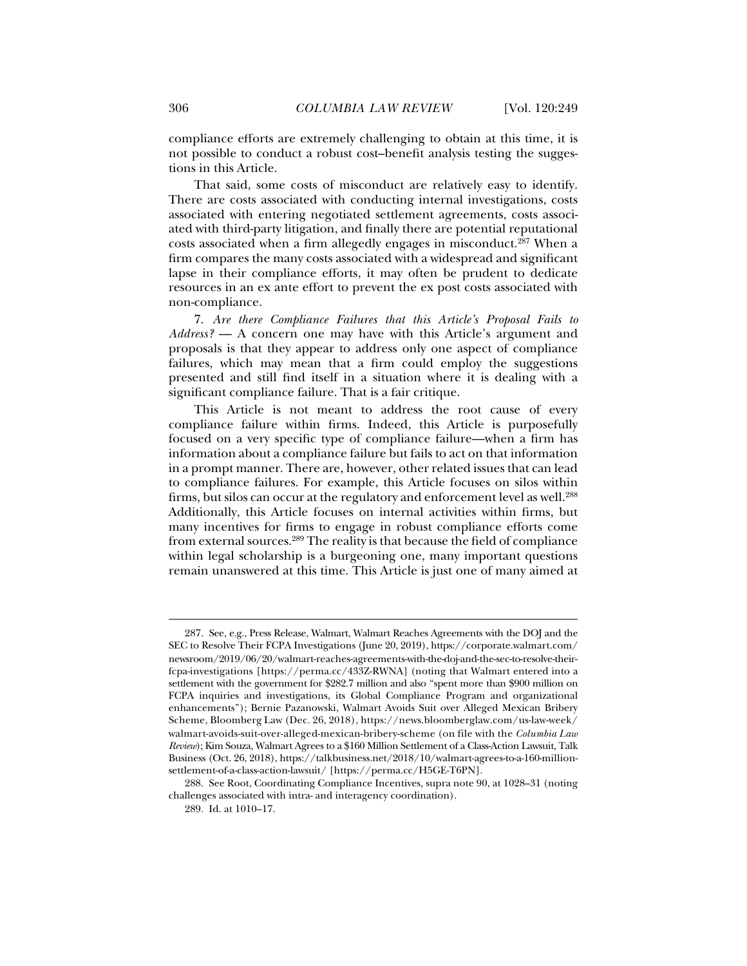compliance efforts are extremely challenging to obtain at this time, it is not possible to conduct a robust cost–benefit analysis testing the suggestions in this Article.

That said, some costs of misconduct are relatively easy to identify. There are costs associated with conducting internal investigations, costs associated with entering negotiated settlement agreements, costs associated with third-party litigation, and finally there are potential reputational costs associated when a firm allegedly engages in misconduct.<sup>287</sup> When a firm compares the many costs associated with a widespread and significant lapse in their compliance efforts, it may often be prudent to dedicate resources in an ex ante effort to prevent the ex post costs associated with non-compliance.

7. *Are there Compliance Failures that this Article's Proposal Fails to Address?* — A concern one may have with this Article's argument and proposals is that they appear to address only one aspect of compliance failures, which may mean that a firm could employ the suggestions presented and still find itself in a situation where it is dealing with a significant compliance failure. That is a fair critique.

This Article is not meant to address the root cause of every compliance failure within firms. Indeed, this Article is purposefully focused on a very specific type of compliance failure—when a firm has information about a compliance failure but fails to act on that information in a prompt manner. There are, however, other related issues that can lead to compliance failures. For example, this Article focuses on silos within firms, but silos can occur at the regulatory and enforcement level as well.<sup>288</sup> Additionally, this Article focuses on internal activities within firms, but many incentives for firms to engage in robust compliance efforts come from external sources.289 The reality is that because the field of compliance within legal scholarship is a burgeoning one, many important questions remain unanswered at this time. This Article is just one of many aimed at

 <sup>287.</sup> See, e.g., Press Release, Walmart, Walmart Reaches Agreements with the DOJ and the SEC to Resolve Their FCPA Investigations (June 20, 2019), https://corporate.walmart.com/ newsroom/2019/06/20/walmart-reaches-agreements-with-the-doj-and-the-sec-to-resolve-theirfcpa-investigations [https://perma.cc/433Z-RWNA] (noting that Walmart entered into a settlement with the government for \$282.7 million and also "spent more than \$900 million on FCPA inquiries and investigations, its Global Compliance Program and organizational enhancements"); Bernie Pazanowski, Walmart Avoids Suit over Alleged Mexican Bribery Scheme, Bloomberg Law (Dec. 26, 2018), https://news.bloomberglaw.com/us-law-week/ walmart-avoids-suit-over-alleged-mexican-bribery-scheme (on file with the *Columbia Law Review*); Kim Souza, Walmart Agrees to a \$160 Million Settlement of a Class-Action Lawsuit, Talk Business (Oct. 26, 2018), https://talkbusiness.net/2018/10/walmart-agrees-to-a-160-millionsettlement-of-a-class-action-lawsuit/ [https://perma.cc/H5GE-T6PN].

 <sup>288.</sup> See Root, Coordinating Compliance Incentives, supra note 90, at 1028–31 (noting challenges associated with intra- and interagency coordination).

 <sup>289.</sup> Id. at 1010–17.